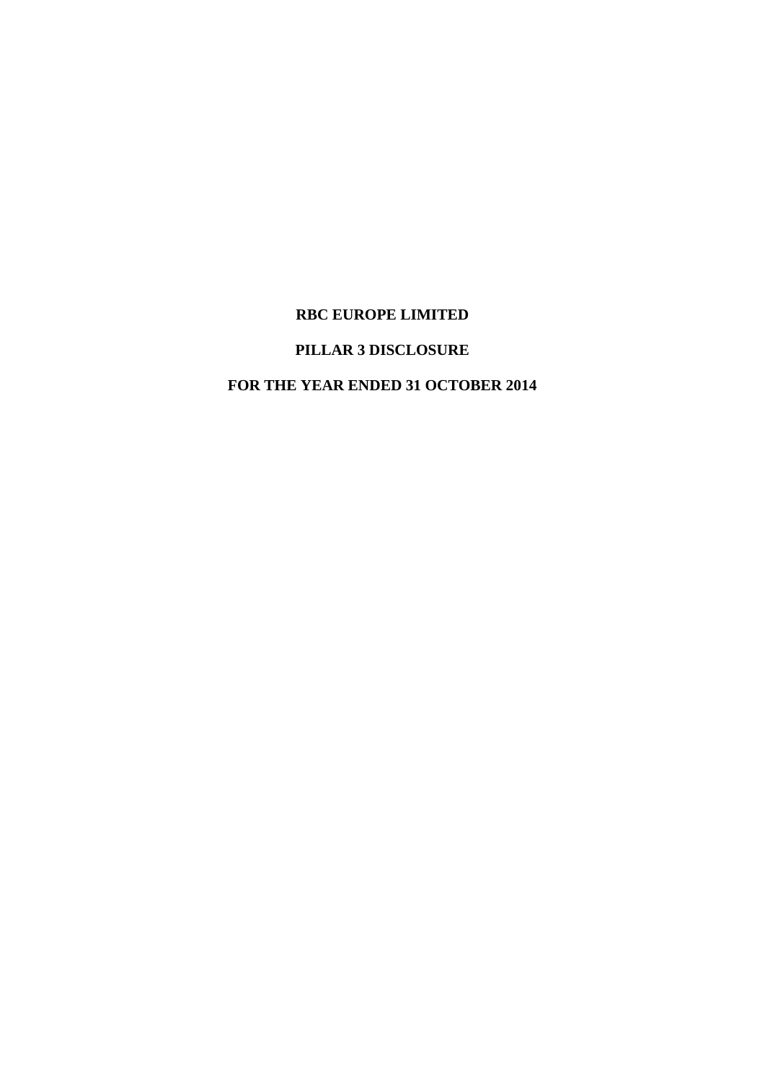## **RBC EUROPE LIMITED**

## **PILLAR 3 DISCLOSURE**

## **FOR THE YEAR ENDED 31 OCTOBER 2014**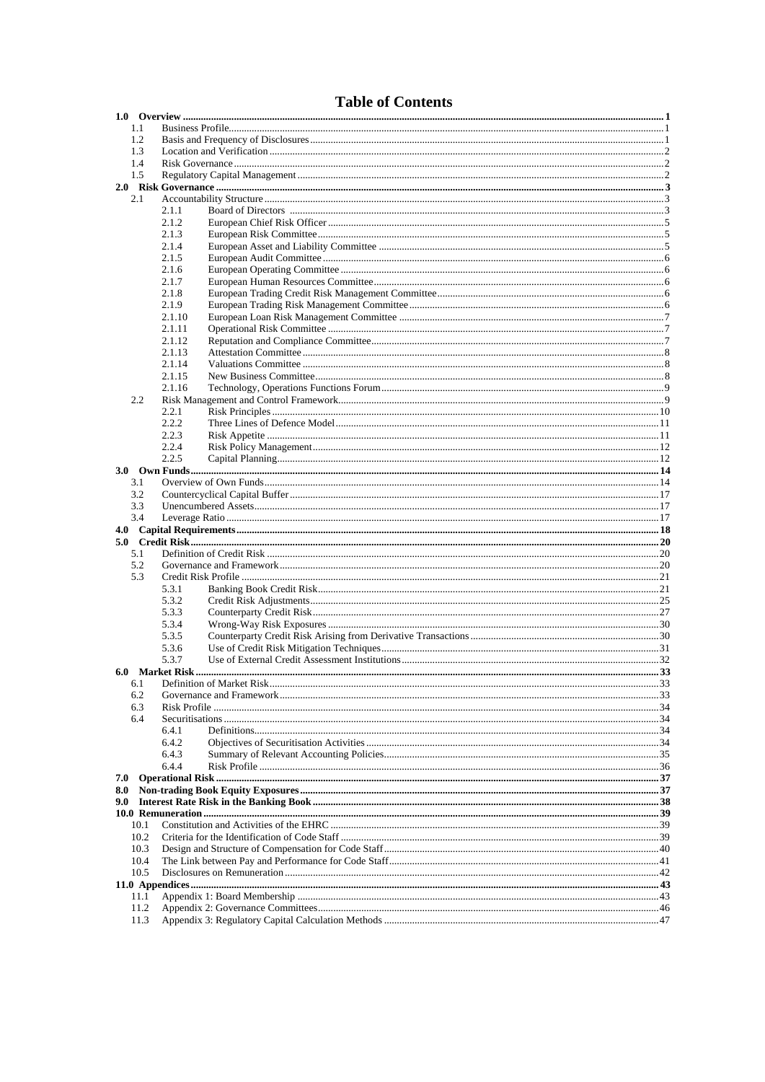## **Table of Contents**

| 1.1          |        |  |
|--------------|--------|--|
| 1.2          |        |  |
| 1.3          |        |  |
| 1.4          |        |  |
| 1.5          |        |  |
|              |        |  |
| 2.1          |        |  |
|              | 2.1.1  |  |
|              | 2.1.2  |  |
|              | 2.1.3  |  |
|              | 2.1.4  |  |
|              | 2.1.5  |  |
|              | 2.1.6  |  |
|              | 2.1.7  |  |
|              | 2.1.8  |  |
|              | 2.1.9  |  |
|              | 2.1.10 |  |
|              | 2.1.11 |  |
|              | 2.1.12 |  |
|              | 2.1.13 |  |
|              | 2.1.14 |  |
|              | 2.1.15 |  |
|              | 2.1.16 |  |
| 2.2          |        |  |
|              | 2.2.1  |  |
|              | 2.2.2  |  |
|              |        |  |
|              | 2.2.3  |  |
|              | 2.2.4  |  |
|              | 2.2.5  |  |
|              |        |  |
| 3.1          |        |  |
| 3.2          |        |  |
| 3.3          |        |  |
|              |        |  |
| 3.4          |        |  |
|              |        |  |
|              |        |  |
| 5.1          |        |  |
| 5.2          |        |  |
| 5.3          |        |  |
|              | 5.3.1  |  |
|              | 5.3.2  |  |
|              | 5.3.3  |  |
|              | 5.3.4  |  |
|              | 5.3.5  |  |
|              | 5.3.6  |  |
|              | 5.3.7  |  |
|              |        |  |
| 6.1          |        |  |
| 6.2          |        |  |
| 6.3          |        |  |
| 6.4          |        |  |
|              | 6.4.1  |  |
|              | 6.4.2  |  |
|              | 6.4.3  |  |
|              | 644    |  |
| 7.0          |        |  |
| 8.0          |        |  |
| 9.0          |        |  |
|              |        |  |
| 10.1         |        |  |
| 10.2         |        |  |
| 10.3         |        |  |
| 10.4         |        |  |
| 10.5         |        |  |
|              |        |  |
| 11.1         |        |  |
| 11.2<br>11.3 |        |  |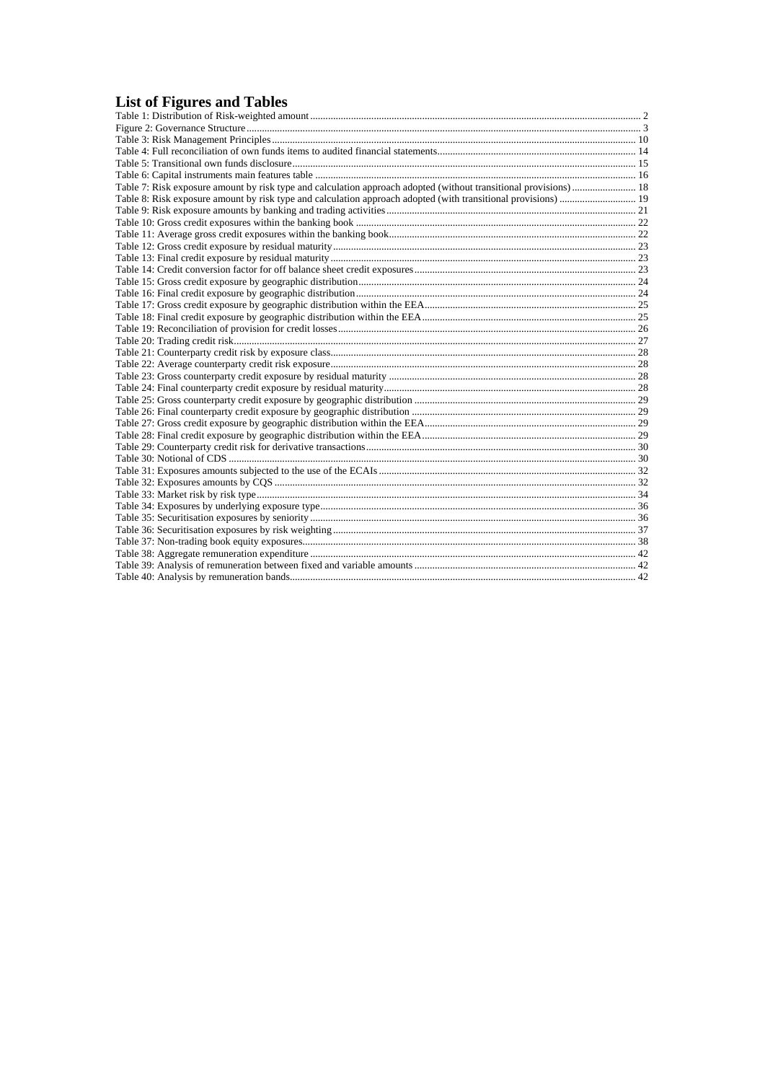## **List of Figures and Tables**

| Table 7: Risk exposure amount by risk type and calculation approach adopted (without transitional provisions) 18 |  |
|------------------------------------------------------------------------------------------------------------------|--|
|                                                                                                                  |  |
|                                                                                                                  |  |
|                                                                                                                  |  |
|                                                                                                                  |  |
|                                                                                                                  |  |
|                                                                                                                  |  |
|                                                                                                                  |  |
|                                                                                                                  |  |
|                                                                                                                  |  |
|                                                                                                                  |  |
|                                                                                                                  |  |
|                                                                                                                  |  |
|                                                                                                                  |  |
|                                                                                                                  |  |
|                                                                                                                  |  |
|                                                                                                                  |  |
|                                                                                                                  |  |
|                                                                                                                  |  |
|                                                                                                                  |  |
|                                                                                                                  |  |
|                                                                                                                  |  |
|                                                                                                                  |  |
|                                                                                                                  |  |
|                                                                                                                  |  |
|                                                                                                                  |  |
|                                                                                                                  |  |
|                                                                                                                  |  |
|                                                                                                                  |  |
|                                                                                                                  |  |
|                                                                                                                  |  |
|                                                                                                                  |  |
|                                                                                                                  |  |
|                                                                                                                  |  |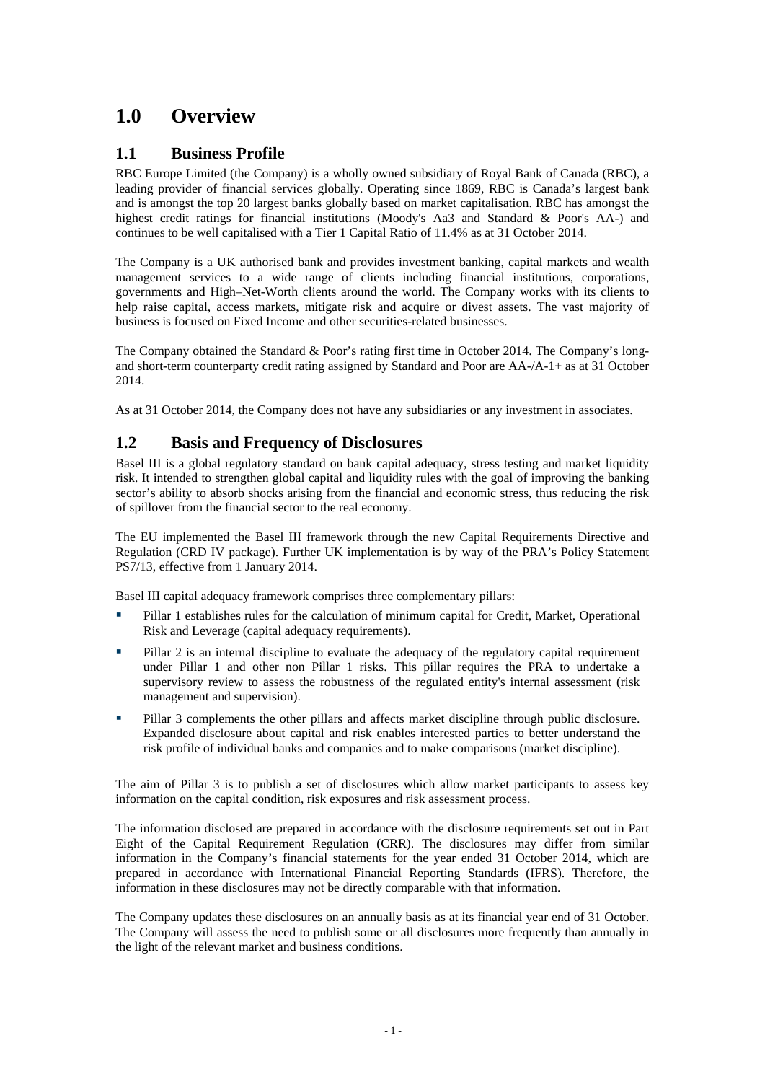# <span id="page-3-0"></span>**1.0 Overview**

## **1.1 Business Profile**

RBC Europe Limited (the Company) is a wholly owned subsidiary of Royal Bank of Canada (RBC), a leading provider of financial services globally. Operating since 1869, RBC is Canada's largest bank and is amongst the top 20 largest banks globally based on market capitalisation. RBC has amongst the highest credit ratings for financial institutions (Moody's Aa3 and Standard & Poor's AA-) and continues to be well capitalised with a Tier 1 Capital Ratio of 11.4% as at 31 October 2014.

The Company is a UK authorised bank and provides investment banking, capital markets and wealth management services to a wide range of clients including financial institutions, corporations, governments and High–Net-Worth clients around the world. The Company works with its clients to help raise capital, access markets, mitigate risk and acquire or divest assets. The vast majority of business is focused on Fixed Income and other securities-related businesses.

The Company obtained the Standard & Poor's rating first time in October 2014. The Company's longand short-term counterparty credit rating assigned by Standard and Poor are AA-/A-1+ as at 31 October 2014.

As at 31 October 2014, the Company does not have any subsidiaries or any investment in associates.

## **1.2 Basis and Frequency of Disclosures**

Basel III is a global regulatory standard on bank capital adequacy, stress testing and market liquidity risk. It intended to strengthen global capital and liquidity rules with the goal of improving the banking sector's ability to absorb shocks arising from the financial and economic stress, thus reducing the risk of spillover from the financial sector to the real economy.

The EU implemented the Basel III framework through the new Capital Requirements Directive and Regulation (CRD IV package). Further UK implementation is by way of the PRA's Policy Statement PS7/13, effective from 1 January 2014.

Basel III capital adequacy framework comprises three complementary pillars:

- Pillar 1 establishes rules for the calculation of minimum capital for Credit, Market, Operational Risk and Leverage (capital adequacy requirements).
- Pillar 2 is an internal discipline to evaluate the adequacy of the regulatory capital requirement under Pillar 1 and other non Pillar 1 risks. This pillar requires the PRA to undertake a supervisory review to assess the robustness of the regulated entity's internal assessment (risk management and supervision).
- Pillar 3 complements the other pillars and affects market discipline through public disclosure. Expanded disclosure about capital and risk enables interested parties to better understand the risk profile of individual banks and companies and to make comparisons (market discipline).

The aim of Pillar 3 is to publish a set of disclosures which allow market participants to assess key information on the capital condition, risk exposures and risk assessment process.

The information disclosed are prepared in accordance with the disclosure requirements set out in Part Eight of the Capital Requirement Regulation (CRR). The disclosures may differ from similar information in the Company's financial statements for the year ended 31 October 2014, which are prepared in accordance with International Financial Reporting Standards (IFRS). Therefore, the information in these disclosures may not be directly comparable with that information.

The Company updates these disclosures on an annually basis as at its financial year end of 31 October. The Company will assess the need to publish some or all disclosures more frequently than annually in the light of the relevant market and business conditions.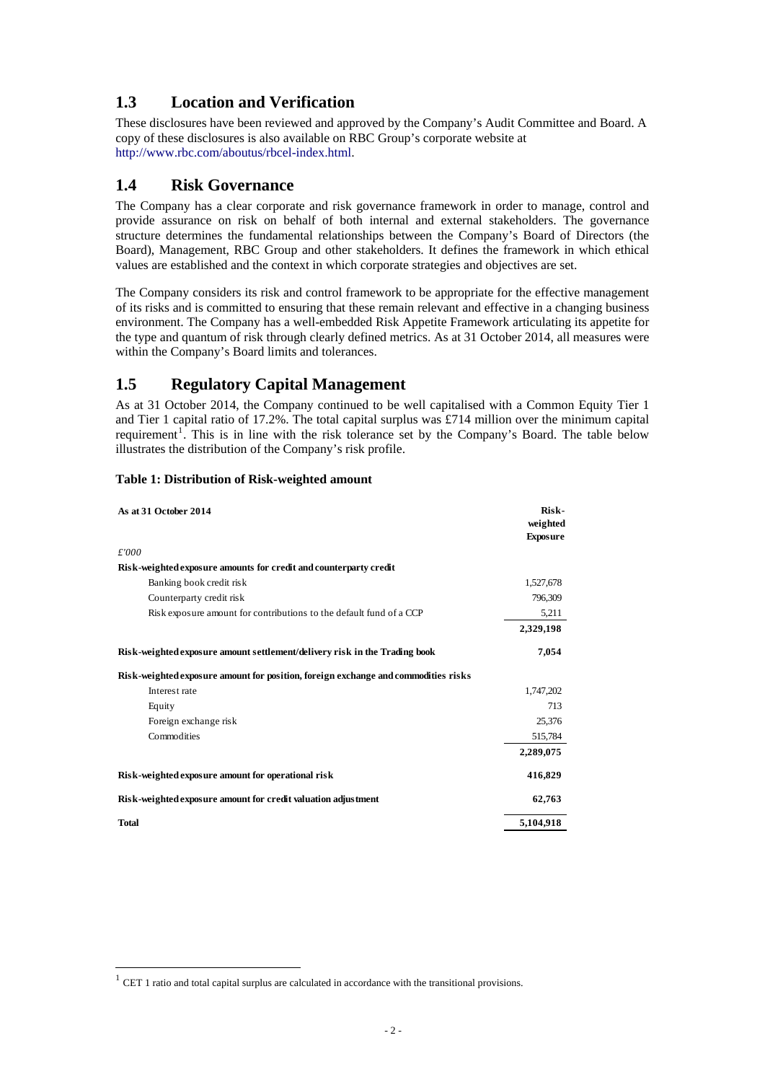## <span id="page-4-0"></span>**1.3 Location and Verification**

These disclosures have been reviewed and approved by the Company's Audit Committee and Board. A copy of these disclosures is also available on RBC Group's corporate website at http://www.rbc.com/aboutus/rbcel-index.html.

## **1.4 Risk Governance**

The Company has a clear corporate and risk governance framework in order to manage, control and provide assurance on risk on behalf of both internal and external stakeholders. The governance structure determines the fundamental relationships between the Company's Board of Directors (the Board), Management, RBC Group and other stakeholders. It defines the framework in which ethical values are established and the context in which corporate strategies and objectives are set.

The Company considers its risk and control framework to be appropriate for the effective management of its risks and is committed to ensuring that these remain relevant and effective in a changing business environment. The Company has a well-embedded Risk Appetite Framework articulating its appetite for the type and quantum of risk through clearly defined metrics. As at 31 October 2014, all measures were within the Company's Board limits and tolerances.

## **1.5 Regulatory Capital Management**

As at 31 October 2014, the Company continued to be well capitalised with a Common Equity Tier 1 and Tier 1 capital ratio of 17.2%. The total capital surplus was £714 million over the minimum capital requirement<sup>[1](#page-4-1)</sup>. This is in line with the risk tolerance set by the Company's Board. The table below illustrates the distribution of the Company's risk profile.

| As at 31 October 2014                                                              | Risk-<br>weighted<br><b>Exposure</b> |
|------------------------------------------------------------------------------------|--------------------------------------|
| £'000                                                                              |                                      |
| Risk-weighted exposure amounts for credit and counterparty credit                  |                                      |
| Banking book credit risk                                                           | 1,527,678                            |
| Counterparty credit risk                                                           | 796,309                              |
| Risk exposure amount for contributions to the default fund of a CCP                | 5,211                                |
|                                                                                    | 2,329,198                            |
| Risk-weighted exposure amount settlement/delivery risk in the Trading book         | 7,054                                |
| Risk-weighted exposure amount for position, foreign exchange and commodities risks |                                      |
| Interest rate                                                                      | 1,747,202                            |
| Equity                                                                             | 713                                  |
| Foreign exchange risk                                                              | 25,376                               |
| Commodities                                                                        | 515,784                              |
|                                                                                    | 2,289,075                            |
| Risk-weighted exposure amount for operational risk                                 | 416,829                              |
| Risk-weighted exposure amount for credit valuation adjustment                      | 62,763                               |
| Total                                                                              | 5,104,918                            |

#### **Table 1: Distribution of Risk-weighted amount**

<u>.</u>

<span id="page-4-1"></span> $1$  CET 1 ratio and total capital surplus are calculated in accordance with the transitional provisions.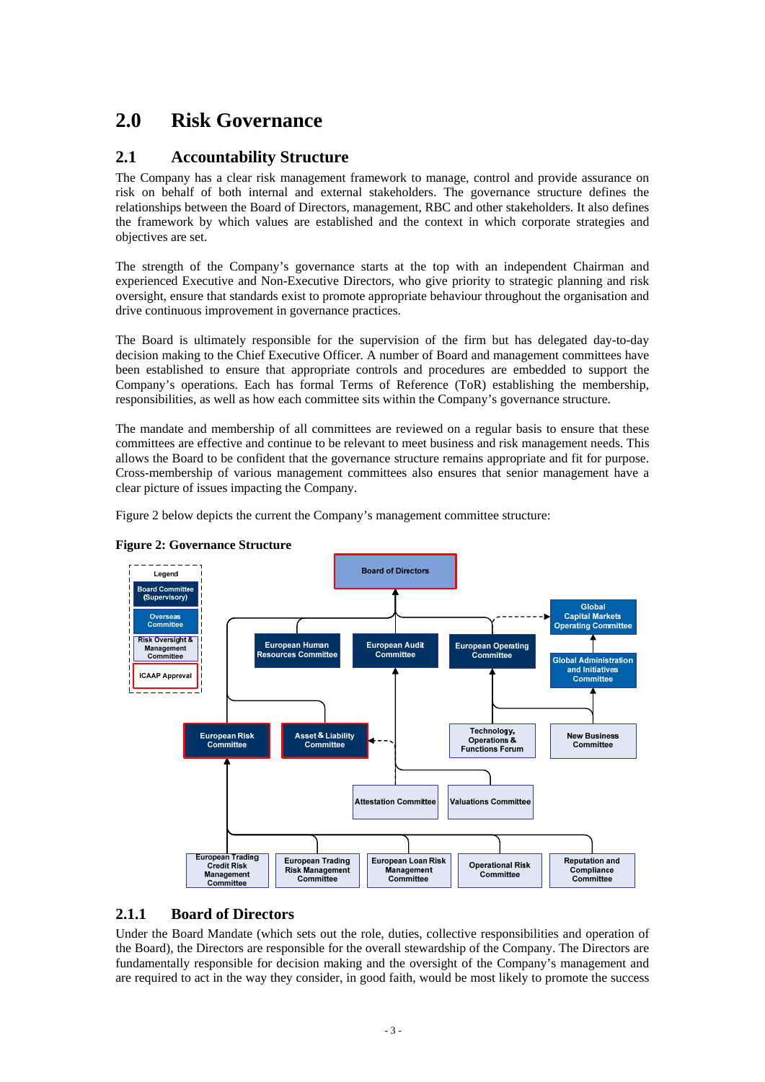# <span id="page-5-0"></span>**2.0 Risk Governance**

## **2.1 Accountability Structure**

The Company has a clear risk management framework to manage, control and provide assurance on risk on behalf of both internal and external stakeholders. The governance structure defines the relationships between the Board of Directors, management, RBC and other stakeholders. It also defines the framework by which values are established and the context in which corporate strategies and objectives are set.

The strength of the Company's governance starts at the top with an independent Chairman and experienced Executive and Non-Executive Directors, who give priority to strategic planning and risk oversight, ensure that standards exist to promote appropriate behaviour throughout the organisation and drive continuous improvement in governance practices.

The Board is ultimately responsible for the supervision of the firm but has delegated day-to-day decision making to the Chief Executive Officer. A number of Board and management committees have been established to ensure that appropriate controls and procedures are embedded to support the Company's operations. Each has formal Terms of Reference (ToR) establishing the membership, responsibilities, as well as how each committee sits within the Company's governance structure.

The mandate and membership of all committees are reviewed on a regular basis to ensure that these committees are effective and continue to be relevant to meet business and risk management needs. This allows the Board to be confident that the governance structure remains appropriate and fit for purpose. Cross-membership of various management committees also ensures that senior management have a clear picture of issues impacting the Company.

Figure 2 below depicts the current the Company's management committee structure:





### **2.1.1 Board of Directors**

Under the Board Mandate (which sets out the role, duties, collective responsibilities and operation of the Board), the Directors are responsible for the overall stewardship of the Company. The Directors are fundamentally responsible for decision making and the oversight of the Company's management and are required to act in the way they consider, in good faith, would be most likely to promote the success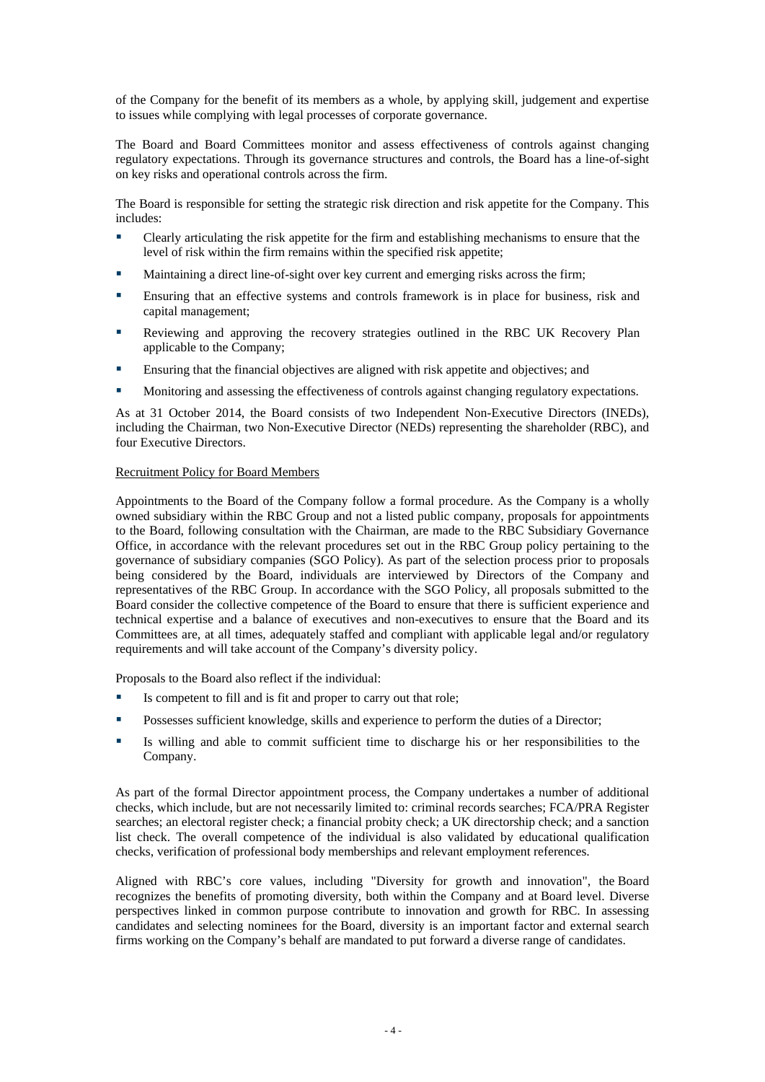of the Company for the benefit of its members as a whole, by applying skill, judgement and expertise to issues while complying with legal processes of corporate governance.

The Board and Board Committees monitor and assess effectiveness of controls against changing regulatory expectations. Through its governance structures and controls, the Board has a line-of-sight on key risks and operational controls across the firm.

The Board is responsible for setting the strategic risk direction and risk appetite for the Company. This includes:

- Clearly articulating the risk appetite for the firm and establishing mechanisms to ensure that the level of risk within the firm remains within the specified risk appetite;
- Maintaining a direct line-of-sight over key current and emerging risks across the firm;
- Ensuring that an effective systems and controls framework is in place for business, risk and capital management;
- Reviewing and approving the recovery strategies outlined in the RBC UK Recovery Plan applicable to the Company;
- Ensuring that the financial objectives are aligned with risk appetite and objectives; and
- Monitoring and assessing the effectiveness of controls against changing regulatory expectations.

As at 31 October 2014, the Board consists of two Independent Non-Executive Directors (INEDs), including the Chairman, two Non-Executive Director (NEDs) representing the shareholder (RBC), and four Executive Directors.

#### Recruitment Policy for Board Members

Appointments to the Board of the Company follow a formal procedure. As the Company is a wholly owned subsidiary within the RBC Group and not a listed public company, proposals for appointments to the Board, following consultation with the Chairman, are made to the RBC Subsidiary Governance Office, in accordance with the relevant procedures set out in the RBC Group policy pertaining to the governance of subsidiary companies (SGO Policy). As part of the selection process prior to proposals being considered by the Board, individuals are interviewed by Directors of the Company and representatives of the RBC Group. In accordance with the SGO Policy, all proposals submitted to the Board consider the collective competence of the Board to ensure that there is sufficient experience and technical expertise and a balance of executives and non-executives to ensure that the Board and its Committees are, at all times, adequately staffed and compliant with applicable legal and/or regulatory requirements and will take account of the Company's diversity policy.

Proposals to the Board also reflect if the individual:

- Is competent to fill and is fit and proper to carry out that role;
- **POSSESSES SUFFICIENT KNOWLEDGE, SKILLS and experience to perform the duties of a Director;**
- Is willing and able to commit sufficient time to discharge his or her responsibilities to the Company.

As part of the formal Director appointment process, the Company undertakes a number of additional checks, which include, but are not necessarily limited to: criminal records searches; FCA/PRA Register searches; an electoral register check; a financial probity check; a UK directorship check; and a sanction list check. The overall competence of the individual is also validated by educational qualification checks, verification of professional body memberships and relevant employment references.

Aligned with RBC's core values, including "Diversity for growth and innovation", the Board recognizes the benefits of promoting diversity, both within the Company and at Board level. Diverse perspectives linked in common purpose contribute to innovation and growth for RBC. In assessing candidates and selecting nominees for the Board, diversity is an important factor and external search firms working on the Company's behalf are mandated to put forward a diverse range of candidates.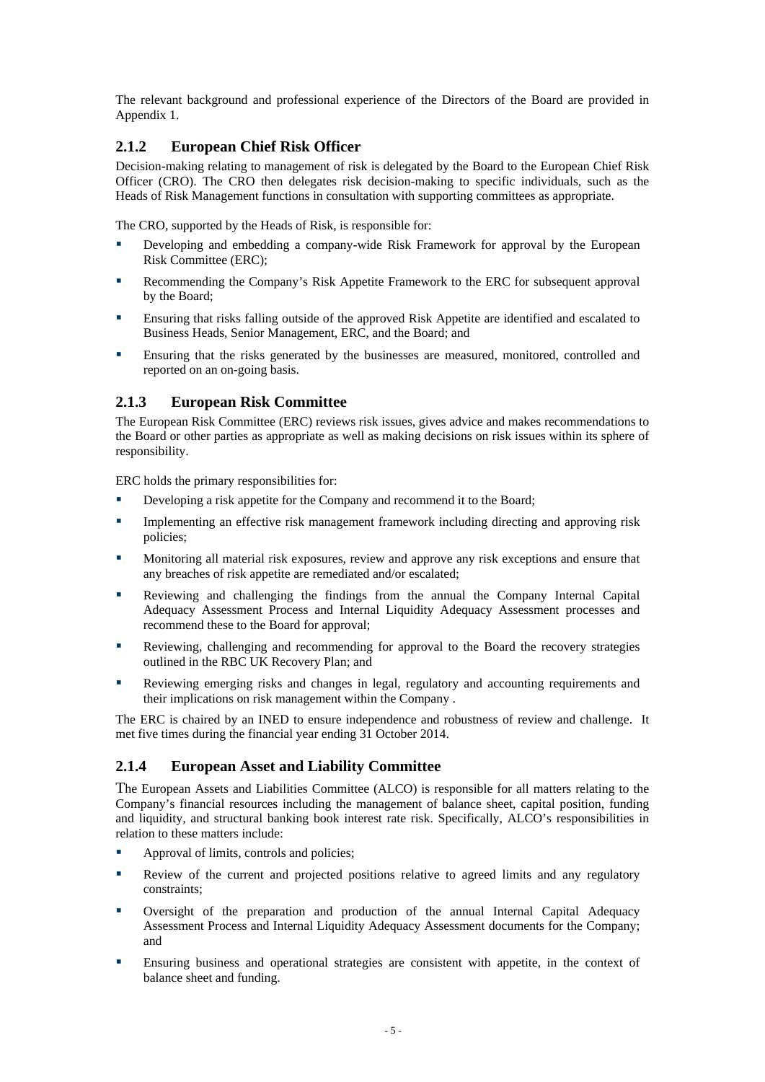<span id="page-7-0"></span>The relevant background and professional experience of the Directors of the Board are provided in Appendix 1.

## **2.1.2 European Chief Risk Officer**

Decision-making relating to management of risk is delegated by the Board to the European Chief Risk Officer (CRO). The CRO then delegates risk decision-making to specific individuals, such as the Heads of Risk Management functions in consultation with supporting committees as appropriate.

The CRO, supported by the Heads of Risk, is responsible for:

- Developing and embedding a company-wide Risk Framework for approval by the European Risk Committee (ERC);
- Recommending the Company's Risk Appetite Framework to the ERC for subsequent approval by the Board;
- Ensuring that risks falling outside of the approved Risk Appetite are identified and escalated to Business Heads, Senior Management, ERC, and the Board; and
- Ensuring that the risks generated by the businesses are measured, monitored, controlled and reported on an on-going basis.

### **2.1.3 European Risk Committee**

The European Risk Committee (ERC) reviews risk issues, gives advice and makes recommendations to the Board or other parties as appropriate as well as making decisions on risk issues within its sphere of responsibility.

ERC holds the primary responsibilities for:

- Developing a risk appetite for the Company and recommend it to the Board;
- **Implementing an effective risk management framework including directing and approving risk** policies;
- Monitoring all material risk exposures, review and approve any risk exceptions and ensure that any breaches of risk appetite are remediated and/or escalated;
- Reviewing and challenging the findings from the annual the Company Internal Capital Adequacy Assessment Process and Internal Liquidity Adequacy Assessment processes and recommend these to the Board for approval;
- Reviewing, challenging and recommending for approval to the Board the recovery strategies outlined in the RBC UK Recovery Plan; and
- Reviewing emerging risks and changes in legal, regulatory and accounting requirements and their implications on risk management within the Company .

The ERC is chaired by an INED to ensure independence and robustness of review and challenge. It met five times during the financial year ending 31 October 2014.

### **2.1.4 European Asset and Liability Committee**

The European Assets and Liabilities Committee (ALCO) is responsible for all matters relating to the Company's financial resources including the management of balance sheet, capital position, funding and liquidity, and structural banking book interest rate risk. Specifically, ALCO's responsibilities in relation to these matters include:

- Approval of limits, controls and policies;
- Review of the current and projected positions relative to agreed limits and any regulatory constraints;
- Oversight of the preparation and production of the annual Internal Capital Adequacy Assessment Process and Internal Liquidity Adequacy Assessment documents for the Company; and
- Ensuring business and operational strategies are consistent with appetite, in the context of balance sheet and funding.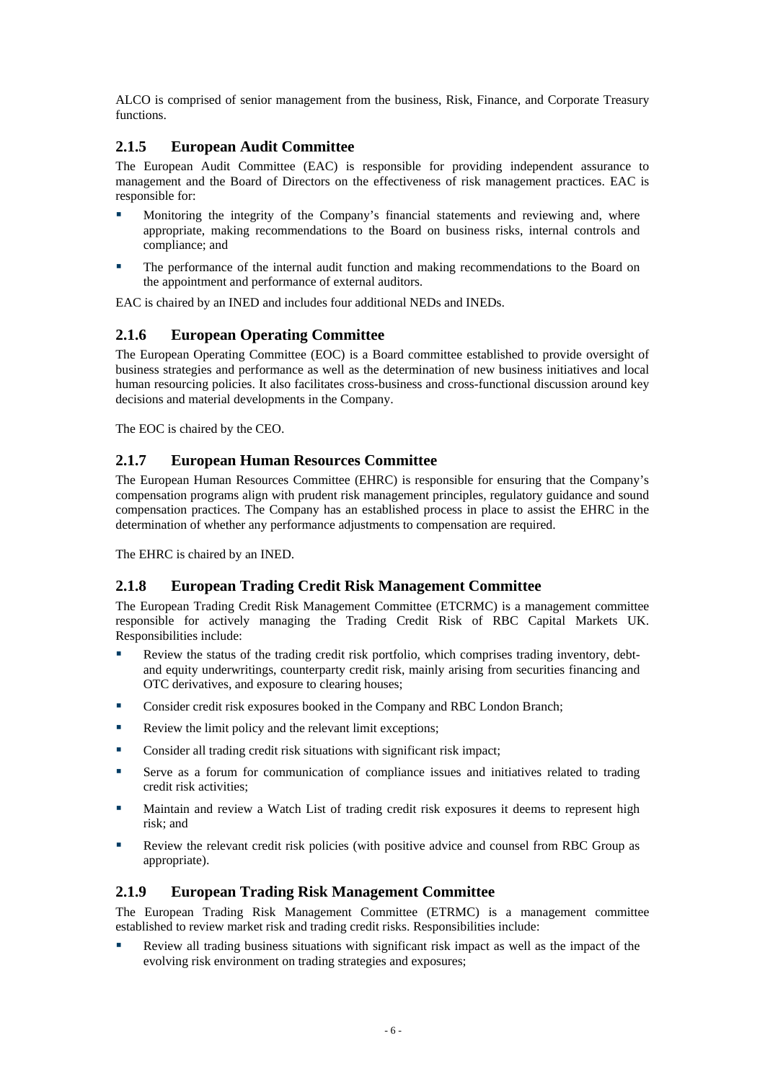<span id="page-8-0"></span>ALCO is comprised of senior management from the business, Risk, Finance, and Corporate Treasury functions.

## **2.1.5 European Audit Committee**

The European Audit Committee (EAC) is responsible for providing independent assurance to management and the Board of Directors on the effectiveness of risk management practices. EAC is responsible for:

- Monitoring the integrity of the Company's financial statements and reviewing and, where appropriate, making recommendations to the Board on business risks, internal controls and compliance; and
- The performance of the internal audit function and making recommendations to the Board on the appointment and performance of external auditors.

EAC is chaired by an INED and includes four additional NEDs and INEDs.

### **2.1.6 European Operating Committee**

The European Operating Committee (EOC) is a Board committee established to provide oversight of business strategies and performance as well as the determination of new business initiatives and local human resourcing policies. It also facilitates cross-business and cross-functional discussion around key decisions and material developments in the Company.

The EOC is chaired by the CEO.

### **2.1.7 European Human Resources Committee**

The European Human Resources Committee (EHRC) is responsible for ensuring that the Company's compensation programs align with prudent risk management principles, regulatory guidance and sound compensation practices. The Company has an established process in place to assist the EHRC in the determination of whether any performance adjustments to compensation are required.

The EHRC is chaired by an INED.

### **2.1.8 European Trading Credit Risk Management Committee**

The European Trading Credit Risk Management Committee (ETCRMC) is a management committee responsible for actively managing the Trading Credit Risk of RBC Capital Markets UK. Responsibilities include:

- Review the status of the trading credit risk portfolio, which comprises trading inventory, debtand equity underwritings, counterparty credit risk, mainly arising from securities financing and OTC derivatives, and exposure to clearing houses;
- **Consider credit risk exposures booked in the Company and RBC London Branch;**
- Review the limit policy and the relevant limit exceptions:
- Consider all trading credit risk situations with significant risk impact;
- Serve as a forum for communication of compliance issues and initiatives related to trading credit risk activities;
- Maintain and review a Watch List of trading credit risk exposures it deems to represent high risk; and
- Review the relevant credit risk policies (with positive advice and counsel from RBC Group as appropriate).

### **2.1.9 European Trading Risk Management Committee**

The European Trading Risk Management Committee (ETRMC) is a management committee established to review market risk and trading credit risks. Responsibilities include:

 Review all trading business situations with significant risk impact as well as the impact of the evolving risk environment on trading strategies and exposures;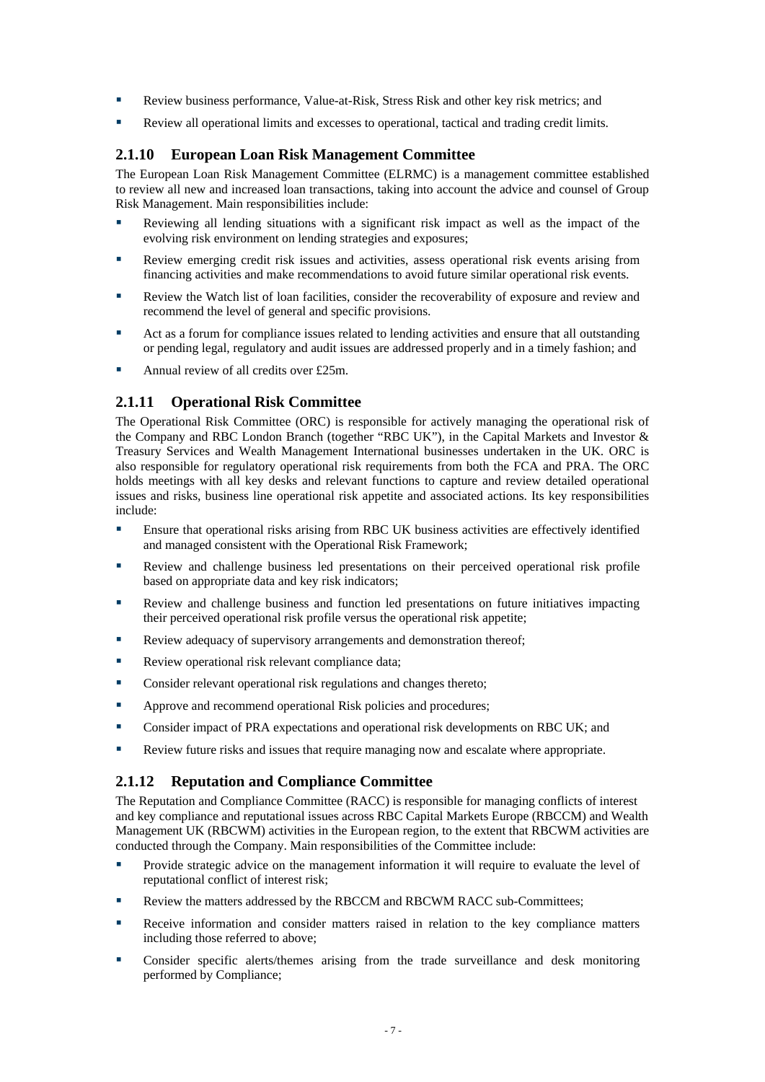- <span id="page-9-0"></span>Review business performance, Value-at-Risk, Stress Risk and other key risk metrics; and
- Review all operational limits and excesses to operational, tactical and trading credit limits.

#### **2.1.10 European Loan Risk Management Committee**

The European Loan Risk Management Committee (ELRMC) is a management committee established to review all new and increased loan transactions, taking into account the advice and counsel of Group Risk Management. Main responsibilities include:

- Reviewing all lending situations with a significant risk impact as well as the impact of the evolving risk environment on lending strategies and exposures;
- Review emerging credit risk issues and activities, assess operational risk events arising from financing activities and make recommendations to avoid future similar operational risk events.
- Review the Watch list of loan facilities, consider the recoverability of exposure and review and recommend the level of general and specific provisions.
- Act as a forum for compliance issues related to lending activities and ensure that all outstanding or pending legal, regulatory and audit issues are addressed properly and in a timely fashion; and
- Annual review of all credits over £25m.

#### **2.1.11 Operational Risk Committee**

The Operational Risk Committee (ORC) is responsible for actively managing the operational risk of the Company and RBC London Branch (together "RBC UK"), in the Capital Markets and Investor & Treasury Services and Wealth Management International businesses undertaken in the UK. ORC is also responsible for regulatory operational risk requirements from both the FCA and PRA. The ORC holds meetings with all key desks and relevant functions to capture and review detailed operational issues and risks, business line operational risk appetite and associated actions. Its key responsibilities include:

- Ensure that operational risks arising from RBC UK business activities are effectively identified and managed consistent with the Operational Risk Framework;
- Review and challenge business led presentations on their perceived operational risk profile based on appropriate data and key risk indicators;
- Review and challenge business and function led presentations on future initiatives impacting their perceived operational risk profile versus the operational risk appetite;
- Review adequacy of supervisory arrangements and demonstration thereof;
- Review operational risk relevant compliance data;
- **Consider relevant operational risk regulations and changes thereto;**
- **Approve and recommend operational Risk policies and procedures;**
- Consider impact of PRA expectations and operational risk developments on RBC UK; and
- Review future risks and issues that require managing now and escalate where appropriate.

### **2.1.12 Reputation and Compliance Committee**

The Reputation and Compliance Committee (RACC) is responsible for managing conflicts of interest and key compliance and reputational issues across RBC Capital Markets Europe (RBCCM) and Wealth Management UK (RBCWM) activities in the European region, to the extent that RBCWM activities are conducted through the Company. Main responsibilities of the Committee include:

- Provide strategic advice on the management information it will require to evaluate the level of reputational conflict of interest risk;
- Review the matters addressed by the RBCCM and RBCWM RACC sub-Committees:
- Receive information and consider matters raised in relation to the key compliance matters including those referred to above;
- Consider specific alerts/themes arising from the trade surveillance and desk monitoring performed by Compliance;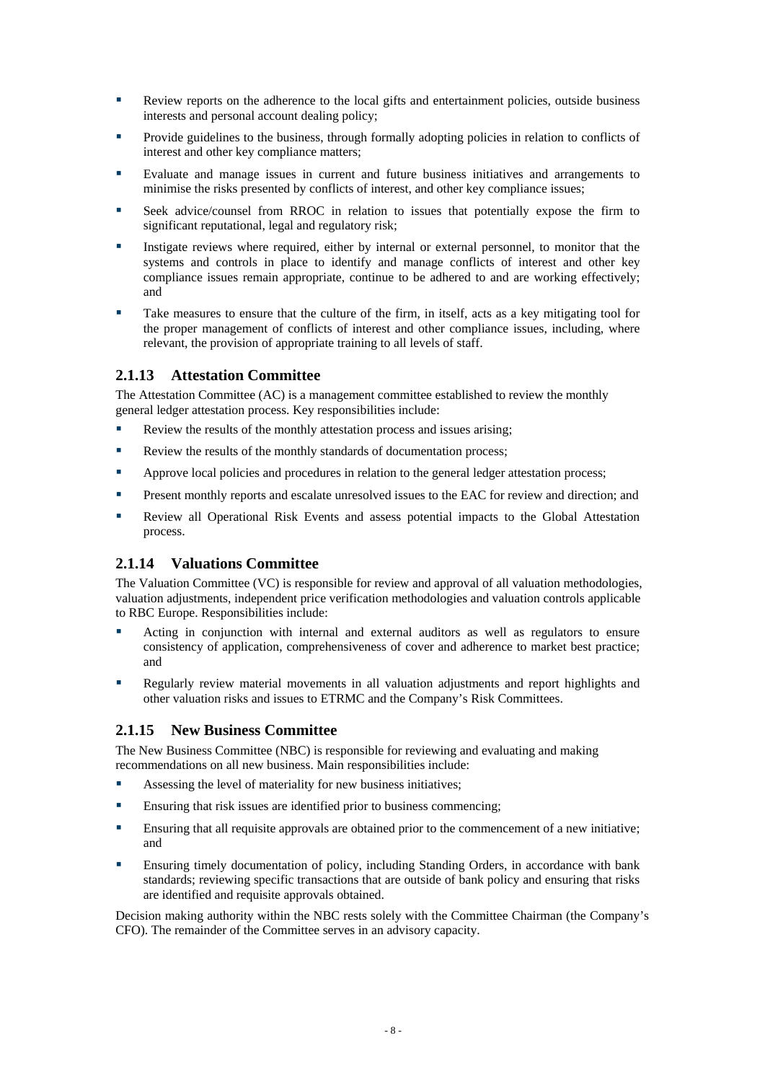- <span id="page-10-0"></span> Review reports on the adherence to the local gifts and entertainment policies, outside business interests and personal account dealing policy;
- Provide guidelines to the business, through formally adopting policies in relation to conflicts of interest and other key compliance matters;
- Evaluate and manage issues in current and future business initiatives and arrangements to minimise the risks presented by conflicts of interest, and other key compliance issues;
- Seek advice/counsel from RROC in relation to issues that potentially expose the firm to significant reputational, legal and regulatory risk;
- Instigate reviews where required, either by internal or external personnel, to monitor that the systems and controls in place to identify and manage conflicts of interest and other key compliance issues remain appropriate, continue to be adhered to and are working effectively; and
- Take measures to ensure that the culture of the firm, in itself, acts as a key mitigating tool for the proper management of conflicts of interest and other compliance issues, including, where relevant, the provision of appropriate training to all levels of staff.

#### **2.1.13 Attestation Committee**

The Attestation Committee (AC) is a management committee established to review the monthly general ledger attestation process. Key responsibilities include:

- Review the results of the monthly attestation process and issues arising;
- Review the results of the monthly standards of documentation process;
- **EXECUTE:** Approve local policies and procedures in relation to the general ledger attestation process:
- Present monthly reports and escalate unresolved issues to the EAC for review and direction; and
- Review all Operational Risk Events and assess potential impacts to the Global Attestation process.

### **2.1.14 Valuations Committee**

The Valuation Committee (VC) is responsible for review and approval of all valuation methodologies, valuation adjustments, independent price verification methodologies and valuation controls applicable to RBC Europe. Responsibilities include:

- Acting in conjunction with internal and external auditors as well as regulators to ensure consistency of application, comprehensiveness of cover and adherence to market best practice; and
- Regularly review material movements in all valuation adjustments and report highlights and other valuation risks and issues to ETRMC and the Company's Risk Committees.

### **2.1.15 New Business Committee**

The New Business Committee (NBC) is responsible for reviewing and evaluating and making recommendations on all new business. Main responsibilities include:

- Assessing the level of materiality for new business initiatives;
- Ensuring that risk issues are identified prior to business commencing;
- Ensuring that all requisite approvals are obtained prior to the commencement of a new initiative; and
- Ensuring timely documentation of policy, including Standing Orders, in accordance with bank standards; reviewing specific transactions that are outside of bank policy and ensuring that risks are identified and requisite approvals obtained.

Decision making authority within the NBC rests solely with the Committee Chairman (the Company's CFO). The remainder of the Committee serves in an advisory capacity.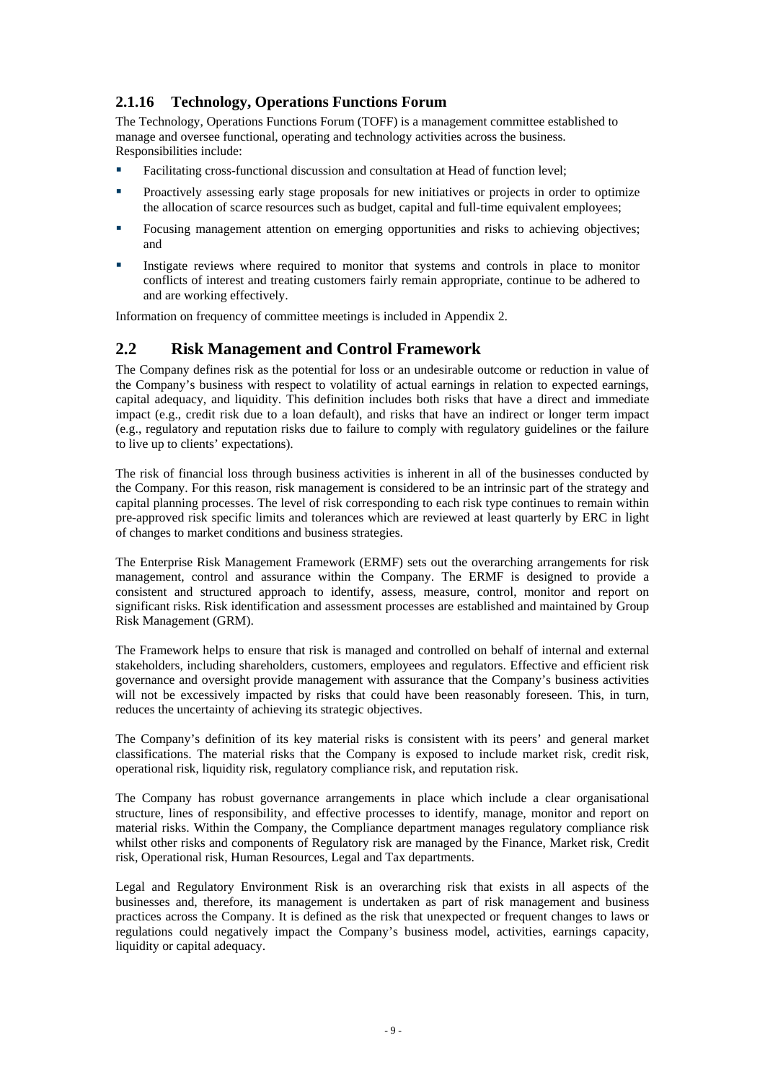## <span id="page-11-0"></span>**2.1.16 Technology, Operations Functions Forum**

The Technology, Operations Functions Forum (TOFF) is a management committee established to manage and oversee functional, operating and technology activities across the business. Responsibilities include:

- Facilitating cross-functional discussion and consultation at Head of function level;
- **Proactively assessing early stage proposals for new initiatives or projects in order to optimize** the allocation of scarce resources such as budget, capital and full-time equivalent employees;
- Focusing management attention on emerging opportunities and risks to achieving objectives; and
- Instigate reviews where required to monitor that systems and controls in place to monitor conflicts of interest and treating customers fairly remain appropriate, continue to be adhered to and are working effectively.

Information on frequency of committee meetings is included in Appendix 2.

## **2.2 Risk Management and Control Framework**

The Company defines risk as the potential for loss or an undesirable outcome or reduction in value of the Company's business with respect to volatility of actual earnings in relation to expected earnings, capital adequacy, and liquidity. This definition includes both risks that have a direct and immediate impact (e.g., credit risk due to a loan default), and risks that have an indirect or longer term impact (e.g., regulatory and reputation risks due to failure to comply with regulatory guidelines or the failure to live up to clients' expectations).

The risk of financial loss through business activities is inherent in all of the businesses conducted by the Company. For this reason, risk management is considered to be an intrinsic part of the strategy and capital planning processes. The level of risk corresponding to each risk type continues to remain within pre-approved risk specific limits and tolerances which are reviewed at least quarterly by ERC in light of changes to market conditions and business strategies.

The Enterprise Risk Management Framework (ERMF) sets out the overarching arrangements for risk management, control and assurance within the Company. The ERMF is designed to provide a consistent and structured approach to identify, assess, measure, control, monitor and report on significant risks. Risk identification and assessment processes are established and maintained by Group Risk Management (GRM).

The Framework helps to ensure that risk is managed and controlled on behalf of internal and external stakeholders, including shareholders, customers, employees and regulators. Effective and efficient risk governance and oversight provide management with assurance that the Company's business activities will not be excessively impacted by risks that could have been reasonably foreseen. This, in turn, reduces the uncertainty of achieving its strategic objectives.

The Company's definition of its key material risks is consistent with its peers' and general market classifications. The material risks that the Company is exposed to include market risk, credit risk, operational risk, liquidity risk, regulatory compliance risk, and reputation risk.

The Company has robust governance arrangements in place which include a clear organisational structure, lines of responsibility, and effective processes to identify, manage, monitor and report on material risks. Within the Company, the Compliance department manages regulatory compliance risk whilst other risks and components of Regulatory risk are managed by the Finance, Market risk, Credit risk, Operational risk, Human Resources, Legal and Tax departments.

Legal and Regulatory Environment Risk is an overarching risk that exists in all aspects of the businesses and, therefore, its management is undertaken as part of risk management and business practices across the Company. It is defined as the risk that unexpected or frequent changes to laws or regulations could negatively impact the Company's business model, activities, earnings capacity, liquidity or capital adequacy.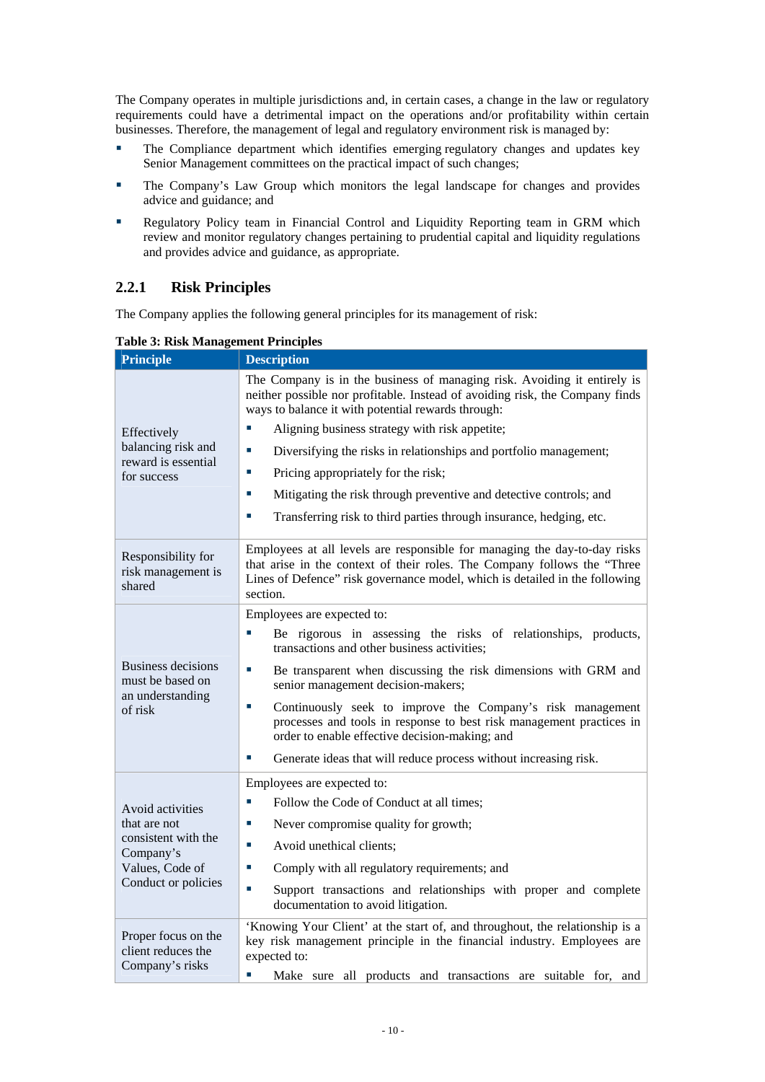<span id="page-12-0"></span>The Company operates in multiple jurisdictions and, in certain cases, a change in the law or regulatory requirements could have a detrimental impact on the operations and/or profitability within certain businesses. Therefore, the management of legal and regulatory environment risk is managed by:

- **The Compliance department which identifies emerging regulatory changes and updates key** Senior Management committees on the practical impact of such changes;
- The Company's Law Group which monitors the legal landscape for changes and provides advice and guidance; and
- Regulatory Policy team in Financial Control and Liquidity Reporting team in GRM which review and monitor regulatory changes pertaining to prudential capital and liquidity regulations and provides advice and guidance, as appropriate.

## **2.2.1 Risk Principles**

The Company applies the following general principles for its management of risk:

| <b>Principle</b>                                                                                               | <b>Description</b>                                                                                                                                                                                                                                                                                                                                                                                                                                                                                                                              |
|----------------------------------------------------------------------------------------------------------------|-------------------------------------------------------------------------------------------------------------------------------------------------------------------------------------------------------------------------------------------------------------------------------------------------------------------------------------------------------------------------------------------------------------------------------------------------------------------------------------------------------------------------------------------------|
| Effectively<br>balancing risk and<br>reward is essential<br>for success                                        | The Company is in the business of managing risk. Avoiding it entirely is<br>neither possible nor profitable. Instead of avoiding risk, the Company finds<br>ways to balance it with potential rewards through:<br>Aligning business strategy with risk appetite;<br>Diversifying the risks in relationships and portfolio management;<br>×.<br>T,<br>Pricing appropriately for the risk;<br>Mitigating the risk through preventive and detective controls; and<br>п<br>Transferring risk to third parties through insurance, hedging, etc.<br>п |
| Responsibility for<br>risk management is<br>shared                                                             | Employees at all levels are responsible for managing the day-to-day risks<br>that arise in the context of their roles. The Company follows the "Three<br>Lines of Defence" risk governance model, which is detailed in the following<br>section.                                                                                                                                                                                                                                                                                                |
| Business decisions<br>must be based on<br>an understanding<br>of risk                                          | Employees are expected to:<br>Be rigorous in assessing the risks of relationships, products,<br>transactions and other business activities;<br>T,<br>Be transparent when discussing the risk dimensions with GRM and<br>senior management decision-makers;<br>Continuously seek to improve the Company's risk management<br>×.<br>processes and tools in response to best risk management practices in<br>order to enable effective decision-making; and<br>Generate ideas that will reduce process without increasing risk.<br>×.              |
| Avoid activities<br>that are not<br>consistent with the<br>Company's<br>Values, Code of<br>Conduct or policies | Employees are expected to:<br>Follow the Code of Conduct at all times;<br>Never compromise quality for growth;<br>T.<br>Avoid unethical clients;<br>I.<br>Comply with all regulatory requirements; and<br>×.<br>Support transactions and relationships with proper and complete<br>×.<br>documentation to avoid litigation.                                                                                                                                                                                                                     |
| Proper focus on the<br>client reduces the<br>Company's risks                                                   | 'Knowing Your Client' at the start of, and throughout, the relationship is a<br>key risk management principle in the financial industry. Employees are<br>expected to:<br>T.<br>Make sure all products and transactions are suitable for, and                                                                                                                                                                                                                                                                                                   |

**Table 3: Risk Management Principles**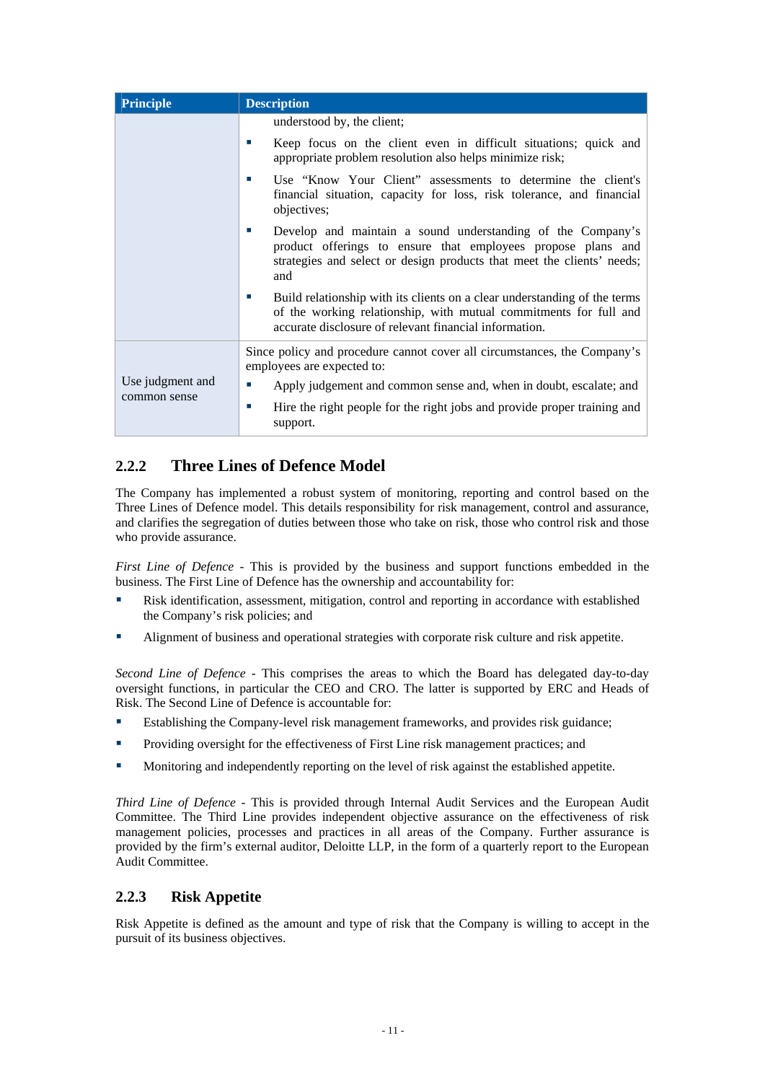<span id="page-13-0"></span>

| <b>Principle</b> | <b>Description</b>                                                                                                                                                                                                 |
|------------------|--------------------------------------------------------------------------------------------------------------------------------------------------------------------------------------------------------------------|
|                  | understood by, the client;                                                                                                                                                                                         |
|                  | Keep focus on the client even in difficult situations; quick and<br>appropriate problem resolution also helps minimize risk;                                                                                       |
|                  | Use "Know Your Client" assessments to determine the client's<br>×.<br>financial situation, capacity for loss, risk tolerance, and financial<br>objectives;                                                         |
|                  | Develop and maintain a sound understanding of the Company's<br>×.<br>product offerings to ensure that employees propose plans and<br>strategies and select or design products that meet the clients' needs;<br>and |
|                  | Build relationship with its clients on a clear understanding of the terms<br>of the working relationship, with mutual commitments for full and<br>accurate disclosure of relevant financial information.           |
|                  | Since policy and procedure cannot cover all circumstances, the Company's<br>employees are expected to:                                                                                                             |
| Use judgment and | Apply judgement and common sense and, when in doubt, escalate; and<br>×.                                                                                                                                           |
| common sense     | Hire the right people for the right jobs and provide proper training and<br>×.<br>support.                                                                                                                         |

## **2.2.2 Three Lines of Defence Model**

The Company has implemented a robust system of monitoring, reporting and control based on the Three Lines of Defence model. This details responsibility for risk management, control and assurance, and clarifies the segregation of duties between those who take on risk, those who control risk and those who provide assurance.

*First Line of Defence* - This is provided by the business and support functions embedded in the business. The First Line of Defence has the ownership and accountability for:

- Risk identification, assessment, mitigation, control and reporting in accordance with established the Company's risk policies; and
- Alignment of business and operational strategies with corporate risk culture and risk appetite.

*Second Line of Defence* - This comprises the areas to which the Board has delegated day-to-day oversight functions, in particular the CEO and CRO. The latter is supported by ERC and Heads of Risk. The Second Line of Defence is accountable for:

- Establishing the Company-level risk management frameworks, and provides risk guidance;
- **Providing oversight for the effectiveness of First Line risk management practices; and**
- Monitoring and independently reporting on the level of risk against the established appetite.

*Third Line of Defence* - This is provided through Internal Audit Services and the European Audit Committee. The Third Line provides independent objective assurance on the effectiveness of risk management policies, processes and practices in all areas of the Company. Further assurance is provided by the firm's external auditor, Deloitte LLP, in the form of a quarterly report to the European Audit Committee.

### **2.2.3 Risk Appetite**

Risk Appetite is defined as the amount and type of risk that the Company is willing to accept in the pursuit of its business objectives.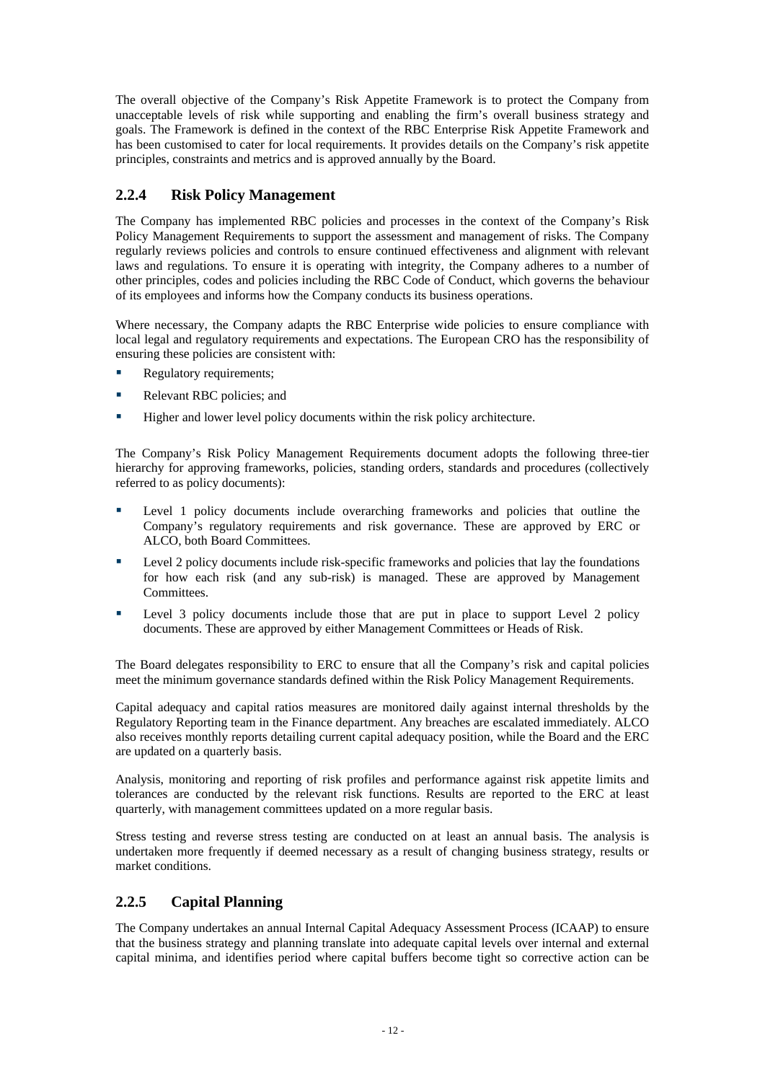<span id="page-14-0"></span>The overall objective of the Company's Risk Appetite Framework is to protect the Company from unacceptable levels of risk while supporting and enabling the firm's overall business strategy and goals. The Framework is defined in the context of the RBC Enterprise Risk Appetite Framework and has been customised to cater for local requirements. It provides details on the Company's risk appetite principles, constraints and metrics and is approved annually by the Board.

### **2.2.4 Risk Policy Management**

The Company has implemented RBC policies and processes in the context of the Company's Risk Policy Management Requirements to support the assessment and management of risks. The Company regularly reviews policies and controls to ensure continued effectiveness and alignment with relevant laws and regulations. To ensure it is operating with integrity, the Company adheres to a number of other principles, codes and policies including the RBC Code of Conduct, which governs the behaviour of its employees and informs how the Company conducts its business operations.

Where necessary, the Company adapts the RBC Enterprise wide policies to ensure compliance with local legal and regulatory requirements and expectations. The European CRO has the responsibility of ensuring these policies are consistent with:

- Regulatory requirements;
- Relevant RBC policies; and
- Higher and lower level policy documents within the risk policy architecture.

The Company's Risk Policy Management Requirements document adopts the following three-tier hierarchy for approving frameworks, policies, standing orders, standards and procedures (collectively referred to as policy documents):

- **Level 1 policy documents include overarching frameworks and policies that outline the** Company's regulatory requirements and risk governance. These are approved by ERC or ALCO, both Board Committees.
- Level 2 policy documents include risk-specific frameworks and policies that lay the foundations for how each risk (and any sub-risk) is managed. These are approved by Management Committees.
- Level 3 policy documents include those that are put in place to support Level 2 policy documents. These are approved by either Management Committees or Heads of Risk.

The Board delegates responsibility to ERC to ensure that all the Company's risk and capital policies meet the minimum governance standards defined within the Risk Policy Management Requirements.

Capital adequacy and capital ratios measures are monitored daily against internal thresholds by the Regulatory Reporting team in the Finance department. Any breaches are escalated immediately. ALCO also receives monthly reports detailing current capital adequacy position, while the Board and the ERC are updated on a quarterly basis.

Analysis, monitoring and reporting of risk profiles and performance against risk appetite limits and tolerances are conducted by the relevant risk functions. Results are reported to the ERC at least quarterly, with management committees updated on a more regular basis.

Stress testing and reverse stress testing are conducted on at least an annual basis. The analysis is undertaken more frequently if deemed necessary as a result of changing business strategy, results or market conditions.

### **2.2.5 Capital Planning**

The Company undertakes an annual Internal Capital Adequacy Assessment Process (ICAAP) to ensure that the business strategy and planning translate into adequate capital levels over internal and external capital minima, and identifies period where capital buffers become tight so corrective action can be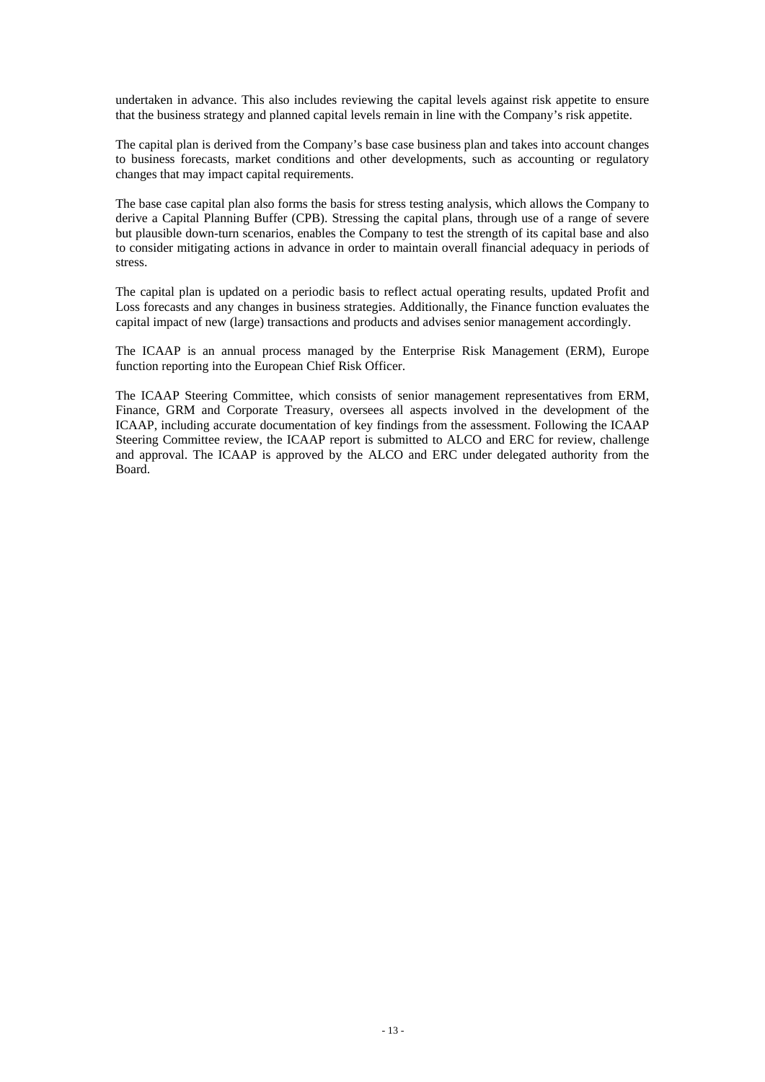undertaken in advance. This also includes reviewing the capital levels against risk appetite to ensure that the business strategy and planned capital levels remain in line with the Company's risk appetite.

The capital plan is derived from the Company's base case business plan and takes into account changes to business forecasts, market conditions and other developments, such as accounting or regulatory changes that may impact capital requirements.

The base case capital plan also forms the basis for stress testing analysis, which allows the Company to derive a Capital Planning Buffer (CPB). Stressing the capital plans, through use of a range of severe but plausible down-turn scenarios, enables the Company to test the strength of its capital base and also to consider mitigating actions in advance in order to maintain overall financial adequacy in periods of stress.

The capital plan is updated on a periodic basis to reflect actual operating results, updated Profit and Loss forecasts and any changes in business strategies. Additionally, the Finance function evaluates the capital impact of new (large) transactions and products and advises senior management accordingly.

The ICAAP is an annual process managed by the Enterprise Risk Management (ERM), Europe function reporting into the European Chief Risk Officer.

The ICAAP Steering Committee, which consists of senior management representatives from ERM, Finance, GRM and Corporate Treasury, oversees all aspects involved in the development of the ICAAP, including accurate documentation of key findings from the assessment. Following the ICAAP Steering Committee review, the ICAAP report is submitted to ALCO and ERC for review, challenge and approval. The ICAAP is approved by the ALCO and ERC under delegated authority from the Board.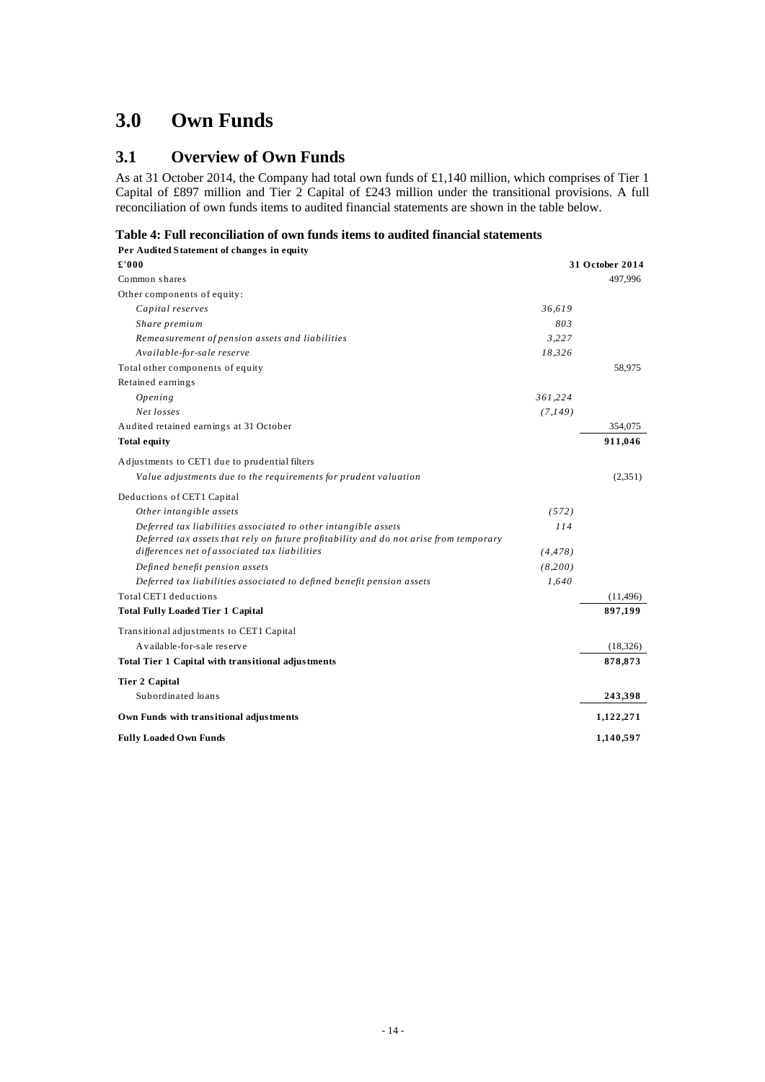## <span id="page-16-0"></span>**3.0 Own Funds**

## **3.1 Overview of Own Funds**

As at 31 October 2014, the Company had total own funds of £1,140 million, which comprises of Tier 1 Capital of £897 million and Tier 2 Capital of £243 million under the transitional provisions. A full reconciliation of own funds items to audited financial statements are shown in the table below.

#### **Table 4: Full reconciliation of own funds items to audited financial statements**

| Per Audited Statement of changes in equity                                            |          |                 |
|---------------------------------------------------------------------------------------|----------|-----------------|
| £'000                                                                                 |          | 31 October 2014 |
| Common shares                                                                         |          | 497.996         |
| Other components of equity:                                                           |          |                 |
| Capital reserves                                                                      | 36.619   |                 |
| Share premium                                                                         | 803      |                 |
| Remeasurement of pension assets and liabilities                                       | 3,227    |                 |
| Available-for-sale reserve                                                            | 18,326   |                 |
| Total other components of equity                                                      |          | 58,975          |
| Retained earnings                                                                     |          |                 |
| Opening                                                                               | 361,224  |                 |
| Net losses                                                                            | (7,149)  |                 |
| Audited retained earnings at 31 October                                               |          | 354,075         |
| <b>Total equity</b>                                                                   |          | 911,046         |
| Adjustments to CET1 due to prudential filters                                         |          |                 |
| Value adjustments due to the requirements for prudent valuation                       |          | (2,351)         |
| Deductions of CET1 Capital                                                            |          |                 |
| Other intangible assets                                                               | (572)    |                 |
| Deferred tax liabilities associated to other intangible assets                        | 114      |                 |
| Deferred tax assets that rely on future profitability and do not arise from temporary |          |                 |
| differences net of associated tax liabilities                                         | (4, 478) |                 |
| Defined benefit pension assets                                                        | (8,200)  |                 |
| Deferred tax liabilities associated to defined benefit pension assets                 | 1,640    |                 |
| Total CET1 deductions                                                                 |          | (11, 496)       |
| <b>Total Fully Loaded Tier 1 Capital</b>                                              |          | 897,199         |
| Transitional adjustments to CET1 Capital                                              |          |                 |
| A vailable-for-sale reserve                                                           |          | (18, 326)       |
| Total Tier 1 Capital with transitional adjustments                                    |          | 878,873         |
| <b>Tier 2 Capital</b>                                                                 |          |                 |
| Subordinated loans                                                                    |          | 243,398         |
| Own Funds with transitional adjustments                                               |          | 1,122,271       |
| <b>Fully Loaded Own Funds</b>                                                         |          | 1,140,597       |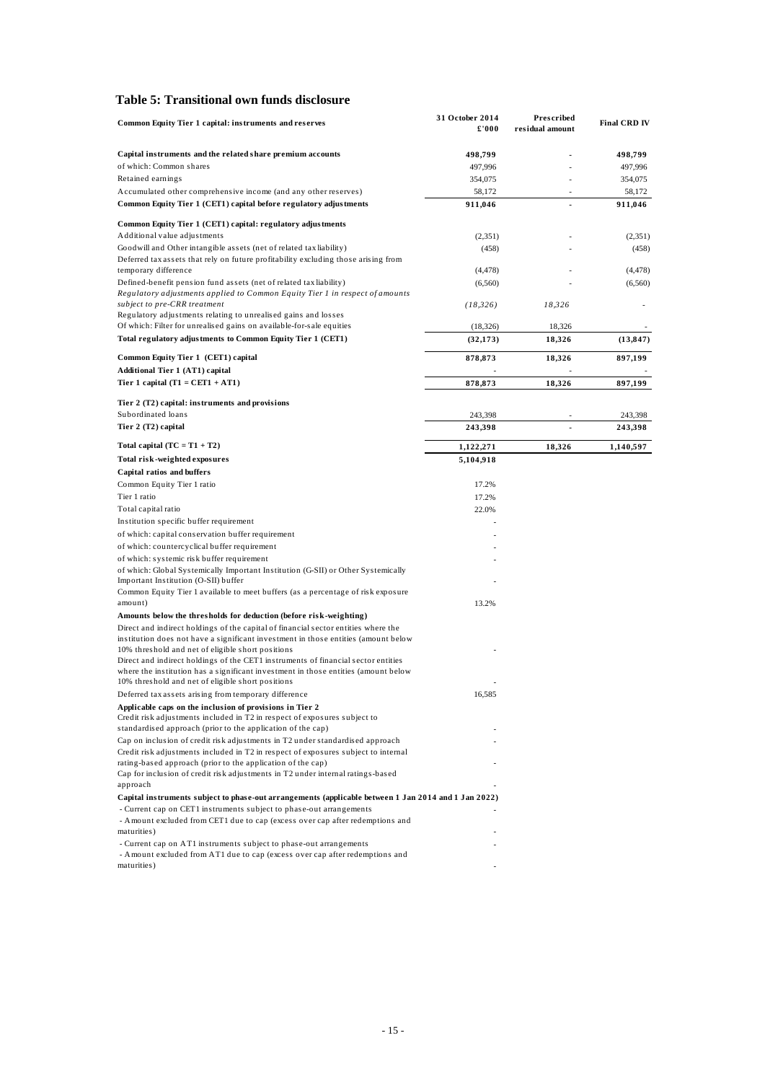#### <span id="page-17-0"></span>**Table 5: Transitional own funds disclosure**

| Common Equity Tier 1 capital: instruments and reserves                                                                                   | 31 October 2014<br>£'000 | Prescribed<br>residual amount | <b>Final CRD IV</b> |
|------------------------------------------------------------------------------------------------------------------------------------------|--------------------------|-------------------------------|---------------------|
| Capital instruments and the related share premium accounts                                                                               | 498,799                  |                               | 498,799             |
| of which: Common shares                                                                                                                  | 497,996                  |                               | 497,996             |
| Retained earnings                                                                                                                        | 354,075                  |                               | 354,075             |
| Accumulated other comprehensive income (and any other reserves)                                                                          | 58,172                   |                               | 58,172              |
| Common Equity Tier 1 (CET1) capital before regulatory adjustments                                                                        | 911,046                  | ä,                            | 911,046             |
| Common Equity Tier 1 (CET1) capital: regulatory adjustments                                                                              |                          |                               |                     |
| Additional value adjustments                                                                                                             | (2,351)                  |                               | (2, 351)            |
| Goodwill and Other intangible assets (net of related tax liability)                                                                      | (458)                    |                               | (458)               |
| Deferred tax assets that rely on future profitability excluding those arising from<br>temporary difference                               | (4, 478)                 |                               | (4, 478)            |
| Defined-benefit pension fund assets (net of related tax liability)                                                                       | (6,560)                  |                               | (6, 560)            |
| Regulatory adjustments applied to Common Equity Tier 1 in respect of amounts<br>subject to pre-CRR treatment                             | (18, 326)                | 18,326                        |                     |
| Regulatory adjustments relating to unrealised gains and losses                                                                           |                          |                               |                     |
| Of which: Filter for unrealised gains on available-for-sale equities                                                                     | (18, 326)                | 18,326                        |                     |
| Total regulatory adjustments to Common Equity Tier 1 (CET1)                                                                              | (32, 173)                | 18,326                        | (13, 847)           |
| Common Equity Tier 1 (CET1) capital                                                                                                      | 878,873                  | 18,326                        | 897,199             |
| <b>Additional Tier 1 (AT1) capital</b>                                                                                                   |                          |                               |                     |
| Tier 1 capital $(T1 = CET1 + AT1)$                                                                                                       | 878,873                  | 18,326                        | 897,199             |
| Tier 2 (T2) capital: instruments and provisions                                                                                          |                          |                               |                     |
| Subordinated loans                                                                                                                       | 243,398                  |                               | 243,398             |
| Tier 2 (T2) capital                                                                                                                      | 243,398                  |                               | 243,398             |
| Total capital $(TC = T1 + T2)$                                                                                                           | 1,122,271                | 18,326                        | 1,140,597           |
| Total risk-weighted exposures                                                                                                            | 5,104,918                |                               |                     |
| <b>Capital ratios and buffers</b>                                                                                                        |                          |                               |                     |
| Common Equity Tier 1 ratio                                                                                                               | 17.2%                    |                               |                     |
| Tier 1 ratio                                                                                                                             | 17.2%                    |                               |                     |
| Total capital ratio                                                                                                                      | 22.0%                    |                               |                     |
| Institution specific buffer requirement                                                                                                  |                          |                               |                     |
| of which: capital conservation buffer requirement                                                                                        |                          |                               |                     |
| of which: countercyclical buffer requirement                                                                                             |                          |                               |                     |
| of which: systemic risk buffer requirement                                                                                               |                          |                               |                     |
| of which: Global Systemically Important Institution (G-SII) or Other Systemically                                                        |                          |                               |                     |
| Important Institution (O-SII) buffer                                                                                                     |                          |                               |                     |
| Common Equity Tier 1 available to meet buffers (as a percentage of risk exposure<br>amount)                                              | 13.2%                    |                               |                     |
| Amounts below the thresholds for deduction (before risk-weighting)                                                                       |                          |                               |                     |
| Direct and indirect holdings of the capital of financial sector entities where the                                                       |                          |                               |                     |
| institution does not have a significant investment in those entities (amount below                                                       |                          |                               |                     |
| 10% threshold and net of eligible short positions<br>Direct and indirect holdings of the CET1 instruments of financial sector entities   |                          |                               |                     |
| where the institution has a significant investment in those entities (amount below<br>10% threshold and net of eligible short positions  |                          |                               |                     |
| Deferred tax assets arising from temporary difference                                                                                    | 16,585                   |                               |                     |
| Applicable caps on the inclusion of provisions in Tier 2                                                                                 |                          |                               |                     |
| Credit risk adjustments included in T2 in respect of exposures subject to<br>standardised approach (prior to the application of the cap) |                          |                               |                     |
| Cap on inclusion of credit risk adjustments in T2 under standardised approach                                                            |                          |                               |                     |
| Credit risk adjustments included in T2 in respect of exposures subject to internal                                                       |                          |                               |                     |
| rating-based approach (prior to the application of the cap)                                                                              |                          |                               |                     |
| Cap for inclusion of credit risk adjustments in T2 under internal ratings-based                                                          |                          |                               |                     |
| approach                                                                                                                                 |                          |                               |                     |
| Capital instruments subject to phase-out arrangements (applicable between 1 Jan 2014 and 1 Jan 2022)                                     |                          |                               |                     |
| - Current cap on CET1 instruments subject to phase-out arrangements                                                                      |                          |                               |                     |
| - Amount excluded from CET1 due to cap (excess over cap after redemptions and<br>maturities)                                             |                          |                               |                     |
| - Current cap on AT1 instruments subject to phase-out arrangements                                                                       |                          |                               |                     |
| - Amount excluded from AT1 due to cap (excess over cap after redemptions and                                                             |                          |                               |                     |
| maturities)                                                                                                                              |                          |                               |                     |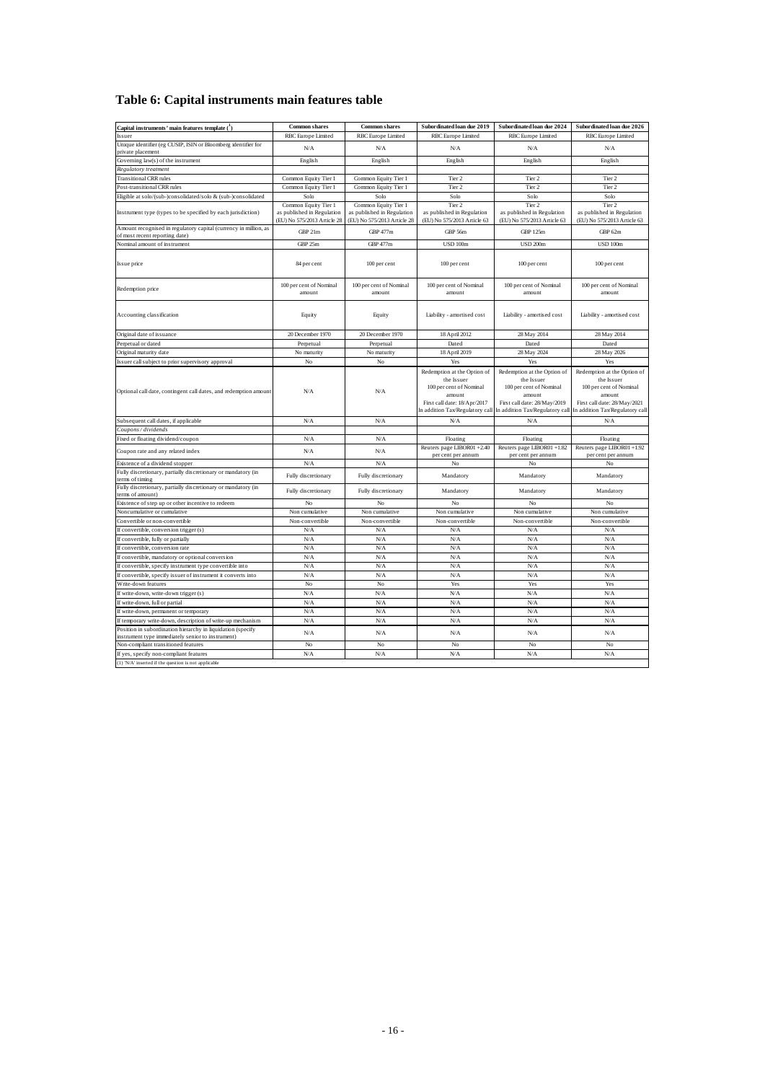## <span id="page-18-0"></span>**Table 6: Capital instruments main features table**

| Capital instruments' main features template $(1)$                                                  | <b>Common shares</b>                                                              | <b>Common shares</b>                                                              | Subordinated loan due 2019                                                                                                                        | Subordinated loan due 2024                                                                                                                        | Subordinated loan due 2026                                                                                                                        |
|----------------------------------------------------------------------------------------------------|-----------------------------------------------------------------------------------|-----------------------------------------------------------------------------------|---------------------------------------------------------------------------------------------------------------------------------------------------|---------------------------------------------------------------------------------------------------------------------------------------------------|---------------------------------------------------------------------------------------------------------------------------------------------------|
| Issuer                                                                                             | <b>RBC</b> Europe Limited                                                         | RBC Europe Limited                                                                | <b>RBC</b> Europe Limited                                                                                                                         | <b>RBC</b> Europe Limited                                                                                                                         | <b>RBC</b> Europe Limited                                                                                                                         |
| Unique identifier (eg CUSIP, ISIN or Bloomberg identifier for                                      | N/A                                                                               | N/A                                                                               | N/A                                                                                                                                               | N/A                                                                                                                                               | N/A                                                                                                                                               |
| private placement                                                                                  |                                                                                   |                                                                                   |                                                                                                                                                   |                                                                                                                                                   |                                                                                                                                                   |
| Governing law(s) of the instrument                                                                 | English                                                                           | English                                                                           | English                                                                                                                                           | English                                                                                                                                           | English                                                                                                                                           |
| Regulatory treatment                                                                               |                                                                                   |                                                                                   |                                                                                                                                                   |                                                                                                                                                   |                                                                                                                                                   |
| <b>Transitional CRR</b> rules                                                                      | Common Equity Tier 1                                                              | Common Equity Tier 1                                                              | Tier 2                                                                                                                                            | Tier 2                                                                                                                                            | Tier 2                                                                                                                                            |
| Post-transitional CRR rules                                                                        | Common Equity Tier 1                                                              | Common Equity Tier 1                                                              | Tier 2                                                                                                                                            | Tier 2                                                                                                                                            | Tier 2                                                                                                                                            |
| Eligible at solo/(sub-)consolidated/solo & (sub-)consolidated                                      | Solo                                                                              | Solo                                                                              | Solo                                                                                                                                              | Solo                                                                                                                                              | Solo                                                                                                                                              |
| Instrument type (types to be specified by each jurisdiction)                                       | Common Equity Tier 1<br>as published in Regulation<br>(EU) No 575/2013 Article 28 | Common Equity Tier 1<br>as published in Regulation<br>(EU) No 575/2013 Article 28 | Tier 2<br>as published in Regulation<br>(EU) No 575/2013 Article 63                                                                               | Tier 2<br>as published in Regulation<br>(EU) No 575/2013 Article 63                                                                               | Tier 2<br>as published in Regulation<br>(EU) No 575/2013 Article 63                                                                               |
| Amount recognised in regulatory capital (currency in million, as<br>of most recent reporting date) | GBP 21m                                                                           | GBP 477m                                                                          | GBP 56m                                                                                                                                           | <b>GBP 125m</b>                                                                                                                                   | GBP 62m                                                                                                                                           |
| Nominal amount of instrument                                                                       | GBP 25m                                                                           | GBP 477m                                                                          | <b>USD 100m</b>                                                                                                                                   | <b>USD 200m</b>                                                                                                                                   | USD 100m                                                                                                                                          |
|                                                                                                    |                                                                                   |                                                                                   |                                                                                                                                                   |                                                                                                                                                   |                                                                                                                                                   |
| Issue price                                                                                        | 84 per cent                                                                       | 100 per cent                                                                      | 100 per cent                                                                                                                                      | 100 per cent                                                                                                                                      | 100 per cent                                                                                                                                      |
| Redemption price                                                                                   | 100 per cent of Nominal<br>amount                                                 | 100 per cent of Nominal<br>amount                                                 | 100 per cent of Nominal<br>amount                                                                                                                 | 100 per cent of Nominal<br>amount                                                                                                                 | 100 per cent of Nominal<br>amount                                                                                                                 |
| Accounting classification                                                                          | Equity                                                                            | Equity                                                                            | Liability - amortised cost                                                                                                                        | Liability - amortised cost                                                                                                                        | Liability - amortised cost                                                                                                                        |
| Original date of issuance                                                                          | 20 December 1970                                                                  | 20 December 1970                                                                  | 18 April 2012                                                                                                                                     | 28 May 2014                                                                                                                                       | 28 May 2014                                                                                                                                       |
| Perpetual or dated                                                                                 | Perpetual                                                                         | Perpetual                                                                         | Dated                                                                                                                                             | Dated                                                                                                                                             | Dated                                                                                                                                             |
| Original maturity date                                                                             | No maturity                                                                       | No maturity                                                                       | 18 April 2019                                                                                                                                     | 28 May 2024                                                                                                                                       | 28 May 2026                                                                                                                                       |
| Issuer call subject to prior supervisory approval                                                  | $_{\rm No}$                                                                       | No                                                                                | Yes                                                                                                                                               | Yes                                                                                                                                               | Yes                                                                                                                                               |
| Optional call date, contingent call dates, and redemption amount                                   | N/A                                                                               | N/A                                                                               | Redemption at the Option of<br>the Issuer<br>100 per cent of Nominal<br>amount<br>First call date: 18/Apr/2017<br>In addition Tax/Regulatory call | Redemption at the Option of<br>the Issuer<br>100 per cent of Nominal<br>amount<br>First call date: 28/May/2019<br>In addition Tax/Regulatory call | Redemption at the Option of<br>the Issuer<br>100 per cent of Nominal<br>amount<br>First call date: 28/May/2021<br>In addition Tax/Regulatory call |
| Subsequent call dates, if applicable                                                               | N/A                                                                               | N/A                                                                               | N/A                                                                                                                                               | N/A                                                                                                                                               | N/A                                                                                                                                               |
| Coupons / dividends                                                                                |                                                                                   |                                                                                   |                                                                                                                                                   |                                                                                                                                                   |                                                                                                                                                   |
| Fixed or floating dividend/coupon                                                                  | N/A                                                                               | N/A                                                                               | Floating                                                                                                                                          | Floating                                                                                                                                          | Floating                                                                                                                                          |
| Coupon rate and any related index                                                                  | N/A                                                                               | ${\bf N/A}$                                                                       | Reuters page LIBOR01 +2.40<br>per cent per annum                                                                                                  | Reuters page LIBOR01 +1.82<br>per cent per annum                                                                                                  | Reuters page LIBOR01 +1.92<br>per cent per annum                                                                                                  |
| Existence of a dividend stopper                                                                    | ${\rm N/A}$                                                                       | N/A                                                                               | $_{\rm No}$                                                                                                                                       | No                                                                                                                                                | No                                                                                                                                                |
| Fully discretionary, partially discretionary or mandatory (in<br>terms of timing                   | Fully discretionary                                                               | Fully discretionary                                                               | Mandatory                                                                                                                                         | Mandatory                                                                                                                                         | Mandatory                                                                                                                                         |
| Fully discretionary, partially discretionary or mandatory (in<br>terms of amount)                  | Fully discretionary                                                               | Fully discretionary                                                               | Mandatory                                                                                                                                         | Mandatory                                                                                                                                         | Mandatory                                                                                                                                         |
| Existence of step up or other incentive to redeem                                                  | No                                                                                | No                                                                                | No                                                                                                                                                | No                                                                                                                                                | No                                                                                                                                                |
| Noncumulative or cumulative                                                                        | Non cumulative                                                                    | Non cumulative                                                                    | Non cumulative                                                                                                                                    | Non cumulative                                                                                                                                    | Non cumulative                                                                                                                                    |
| Convertible or non-convertible                                                                     | Non-convertible                                                                   | Non-convertible                                                                   | Non-convertible                                                                                                                                   | Non-convertible                                                                                                                                   | Non-convertible                                                                                                                                   |
| If convertible, conversion trigger (s)                                                             | N/A                                                                               | N/A                                                                               | N/A                                                                                                                                               | N/A                                                                                                                                               | N/A                                                                                                                                               |
| If convertible, fully or partially                                                                 | N/A                                                                               | N/A                                                                               | N/A                                                                                                                                               | N/A                                                                                                                                               | N/A                                                                                                                                               |
| If convertible, conversion rate                                                                    | N/A                                                                               | N/A                                                                               | N/A                                                                                                                                               | N/A                                                                                                                                               | ${\rm N/A}$                                                                                                                                       |
| If convertible, mandatory or optional conversion                                                   | N/A                                                                               | N/A                                                                               | N/A                                                                                                                                               | N/A                                                                                                                                               | N/A                                                                                                                                               |
| If convertible, specify instrument type convertible into                                           | N/A                                                                               | N/A                                                                               | N/A                                                                                                                                               | N/A                                                                                                                                               | N/A                                                                                                                                               |
| If convertible, specify issuer of instrument it converts into                                      | N/A                                                                               | N/A                                                                               | N/A                                                                                                                                               | N/A                                                                                                                                               | N/A                                                                                                                                               |
| Write-down features                                                                                | N <sub>o</sub>                                                                    | No                                                                                | Yes                                                                                                                                               | Yes                                                                                                                                               | Yes                                                                                                                                               |
| If write-down, write-down trigger (s)                                                              | N/A                                                                               | N/A                                                                               | N/A                                                                                                                                               | N/A                                                                                                                                               | N/A                                                                                                                                               |
| If write-down, full or partial                                                                     | N/A                                                                               | N/A                                                                               | N/A                                                                                                                                               | N/A                                                                                                                                               | N/A                                                                                                                                               |
| If write-down, permanent or temporary                                                              | N/A                                                                               | N/A                                                                               | N/A                                                                                                                                               | N/A                                                                                                                                               | N/A                                                                                                                                               |
| If temporary write-down, description of write-up mechanism                                         | N/A                                                                               | N/A                                                                               | N/A                                                                                                                                               | N/A                                                                                                                                               | N/A                                                                                                                                               |
| Position in subordination hierarchy in liquidation (specify                                        |                                                                                   |                                                                                   |                                                                                                                                                   |                                                                                                                                                   |                                                                                                                                                   |
| instrument type immediately senior to instrument)<br>Non-compliant transitioned features           | N/A                                                                               | N/A                                                                               | N/A<br>No                                                                                                                                         | N/A                                                                                                                                               | N/A                                                                                                                                               |
|                                                                                                    | $_{\rm No}$                                                                       | No                                                                                |                                                                                                                                                   | No                                                                                                                                                | No                                                                                                                                                |
| If yes, specify non-compliant features                                                             | N/A                                                                               | N/A                                                                               | N/A                                                                                                                                               | N/A                                                                                                                                               | ${\rm N/A}$                                                                                                                                       |
| (1) 'N/A' inserted if the question is not applicable                                               |                                                                                   |                                                                                   |                                                                                                                                                   |                                                                                                                                                   |                                                                                                                                                   |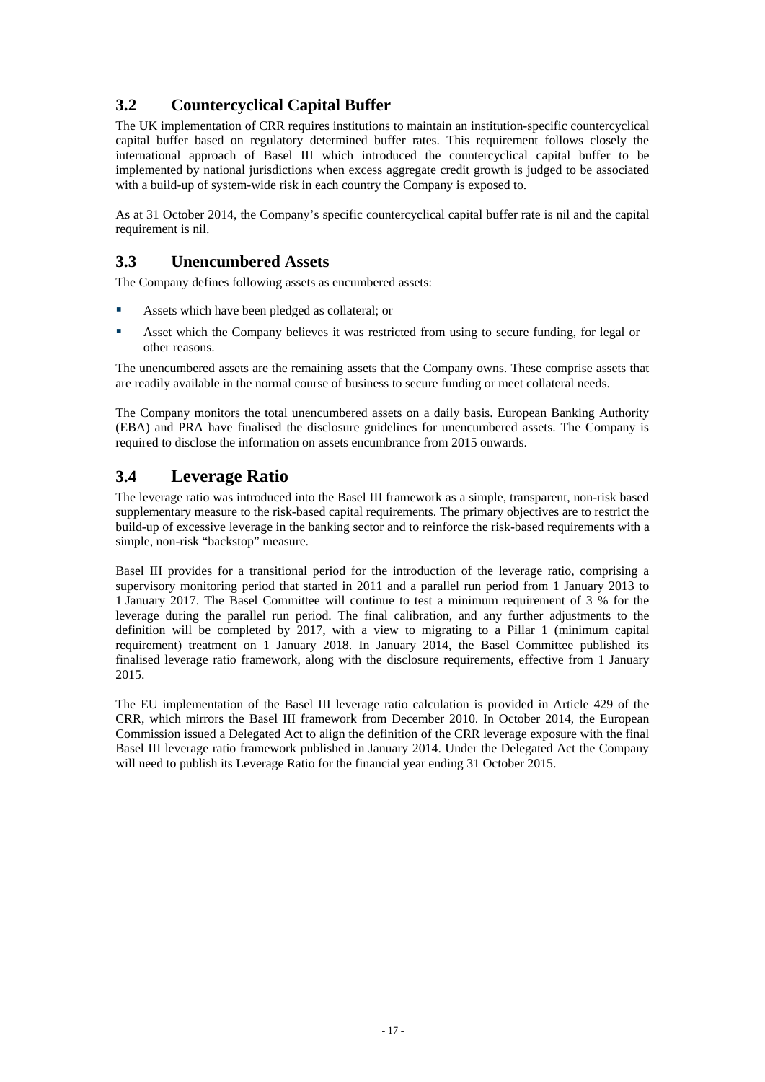## <span id="page-19-0"></span>**3.2 Countercyclical Capital Buffer**

The UK implementation of CRR requires institutions to maintain an institution-specific countercyclical capital buffer based on regulatory determined buffer rates. This requirement follows closely the international approach of Basel III which introduced the countercyclical capital buffer to be implemented by national jurisdictions when excess aggregate credit growth is judged to be associated with a build-up of system-wide risk in each country the Company is exposed to.

As at 31 October 2014, the Company's specific countercyclical capital buffer rate is nil and the capital requirement is nil.

## **3.3 Unencumbered Assets**

The Company defines following assets as encumbered assets:

- Assets which have been pledged as collateral; or
- Asset which the Company believes it was restricted from using to secure funding, for legal or other reasons.

The unencumbered assets are the remaining assets that the Company owns. These comprise assets that are readily available in the normal course of business to secure funding or meet collateral needs.

The Company monitors the total unencumbered assets on a daily basis. European Banking Authority (EBA) and PRA have finalised the disclosure guidelines for unencumbered assets. The Company is required to disclose the information on assets encumbrance from 2015 onwards.

## **3.4 Leverage Ratio**

The leverage ratio was introduced into the Basel III framework as a simple, transparent, non-risk based supplementary measure to the risk-based capital requirements. The primary objectives are to restrict the build-up of excessive leverage in the banking sector and to reinforce the risk-based requirements with a simple, non-risk "backstop" measure.

Basel III provides for a transitional period for the introduction of the leverage ratio, comprising a supervisory monitoring period that started in 2011 and a parallel run period from 1 January 2013 to 1 January 2017. The Basel Committee will continue to test a minimum requirement of 3 % for the leverage during the parallel run period. The final calibration, and any further adjustments to the definition will be completed by 2017, with a view to migrating to a Pillar 1 (minimum capital requirement) treatment on 1 January 2018. In January 2014, the Basel Committee published its finalised leverage ratio framework, along with the disclosure requirements, effective from 1 January 2015.

The EU implementation of the Basel III leverage ratio calculation is provided in Article 429 of the CRR, which mirrors the Basel III framework from December 2010. In October 2014, the European Commission issued a Delegated Act to align the definition of the CRR leverage exposure with the final Basel III leverage ratio framework published in January 2014. Under the Delegated Act the Company will need to publish its Leverage Ratio for the financial year ending 31 October 2015.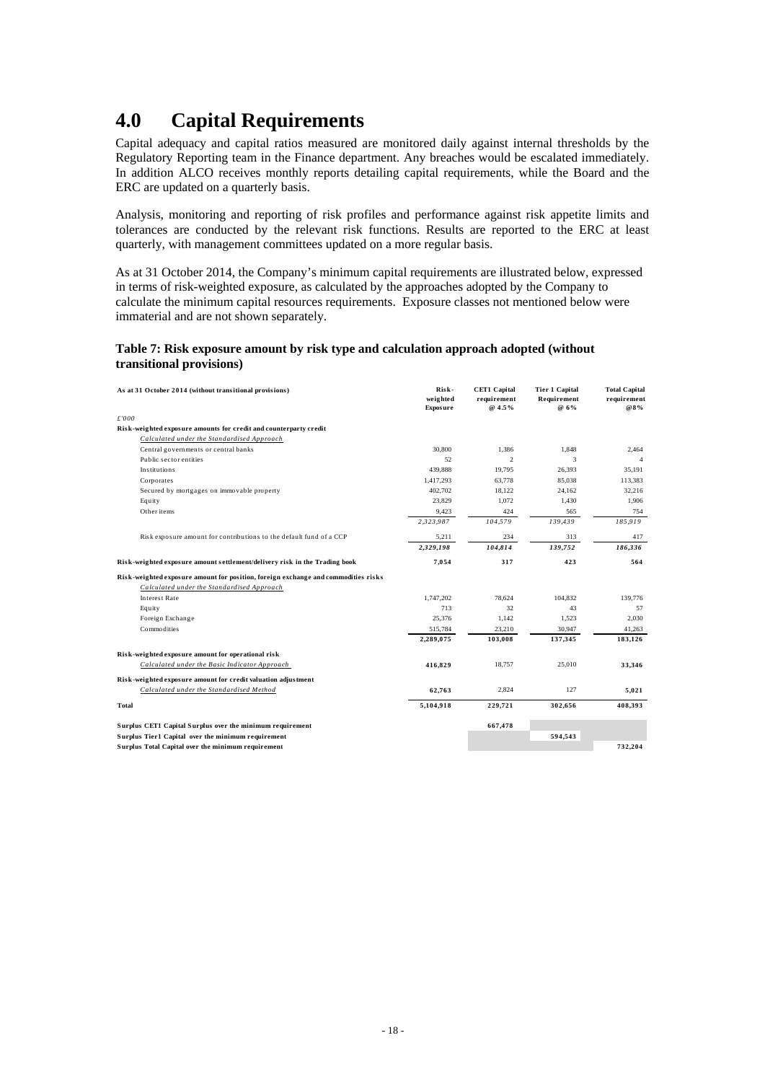# <span id="page-20-0"></span>**4.0 Capital Requirements**

Capital adequacy and capital ratios measured are monitored daily against internal thresholds by the Regulatory Reporting team in the Finance department. Any breaches would be escalated immediately. In addition ALCO receives monthly reports detailing capital requirements, while the Board and the ERC are updated on a quarterly basis.

Analysis, monitoring and reporting of risk profiles and performance against risk appetite limits and tolerances are conducted by the relevant risk functions. Results are reported to the ERC at least quarterly, with management committees updated on a more regular basis.

As at 31 October 2014, the Company's minimum capital requirements are illustrated below, expressed in terms of risk-weighted exposure, as calculated by the approaches adopted by the Company to calculate the minimum capital resources requirements. Exposure classes not mentioned below were immaterial and are not shown separately.

#### **Table 7: Risk exposure amount by risk type and calculation approach adopted (without transitional provisions)**

| As at 31 October 2014 (without transitional provisions)                            | Risk-<br>weighted<br>Exposure | <b>CET1 Capital</b><br>requirement<br>@ 4.5% | Tier 1 Capital<br>Requirement<br>@ 6% | <b>Total Capital</b><br>requirement<br>@8% |
|------------------------------------------------------------------------------------|-------------------------------|----------------------------------------------|---------------------------------------|--------------------------------------------|
| £'000                                                                              |                               |                                              |                                       |                                            |
| Risk-weighted exposure amounts for credit and counterparty credit                  |                               |                                              |                                       |                                            |
| Calculated under the Standardised Approach                                         |                               |                                              |                                       |                                            |
| Central governments or central banks                                               | 30.800                        | 1,386                                        | 1,848                                 | 2,464                                      |
| Public sector entities                                                             | 52                            | $\overline{2}$                               | 3                                     |                                            |
| Institutions                                                                       | 439,888                       | 19,795                                       | 26,393                                | 35.191                                     |
| Corporates                                                                         | 1,417,293                     | 63,778                                       | 85,038                                | 113,383                                    |
| Secured by mortgages on immovable property                                         | 402.702                       | 18.122                                       | 24.162                                | 32.216                                     |
| Equity                                                                             | 23,829                        | 1.072                                        | 1,430                                 | 1,906                                      |
| Other items                                                                        | 9,423                         | 424                                          | 565                                   | 754                                        |
|                                                                                    | 2,323,987                     | 104,579                                      | 139.439                               | 185,919                                    |
| Risk exposure amount for contributions to the default fund of a CCP                | 5,211                         | 234                                          | 313                                   | 417                                        |
|                                                                                    | 2,329,198                     | 104,814                                      | 139,752                               | 186,336                                    |
| Risk-weighted exposure amount settlement/delivery risk in the Trading book         | 7,054                         | 317                                          | 423                                   | 564                                        |
| Risk-weighted exposure amount for position, foreign exchange and commodities risks |                               |                                              |                                       |                                            |
| Calculated under the Standardised Approach                                         |                               |                                              |                                       |                                            |
| <b>Interest Rate</b>                                                               | 1.747.202                     | 78.624                                       | 104.832                               | 139,776                                    |
| Equity                                                                             | 713                           | 32                                           | 43                                    | 57                                         |
| Foreign Exchange                                                                   | 25,376                        | 1,142                                        | 1,523                                 | 2,030                                      |
| Commodities                                                                        | 515,784                       | 23,210                                       | 30,947                                | 41,263                                     |
|                                                                                    | 2,289,075                     | 103,008                                      | 137,345                               | 183,126                                    |
| Risk-weighted exposure amount for operational risk                                 |                               |                                              |                                       |                                            |
| Calculated under the Basic Indicator Approach                                      | 416,829                       | 18,757                                       | 25,010                                | 33,346                                     |
| Risk-weighted exposure amount for credit valuation adjustment                      |                               |                                              |                                       |                                            |
| Calculated under the Standardised Method                                           | 62,763                        | 2.824                                        | 127                                   | 5,021                                      |
| Total                                                                              | 5,104,918                     | 229,721                                      | 302,656                               | 408,393                                    |
| Surplus CET1 Capital Surplus over the minimum requirement                          |                               | 667,478                                      |                                       |                                            |
| Surplus Tier1 Capital over the minimum requirement                                 |                               |                                              | 594,543                               |                                            |
| Surplus Total Capital over the minimum requirement                                 |                               |                                              |                                       | 732,204                                    |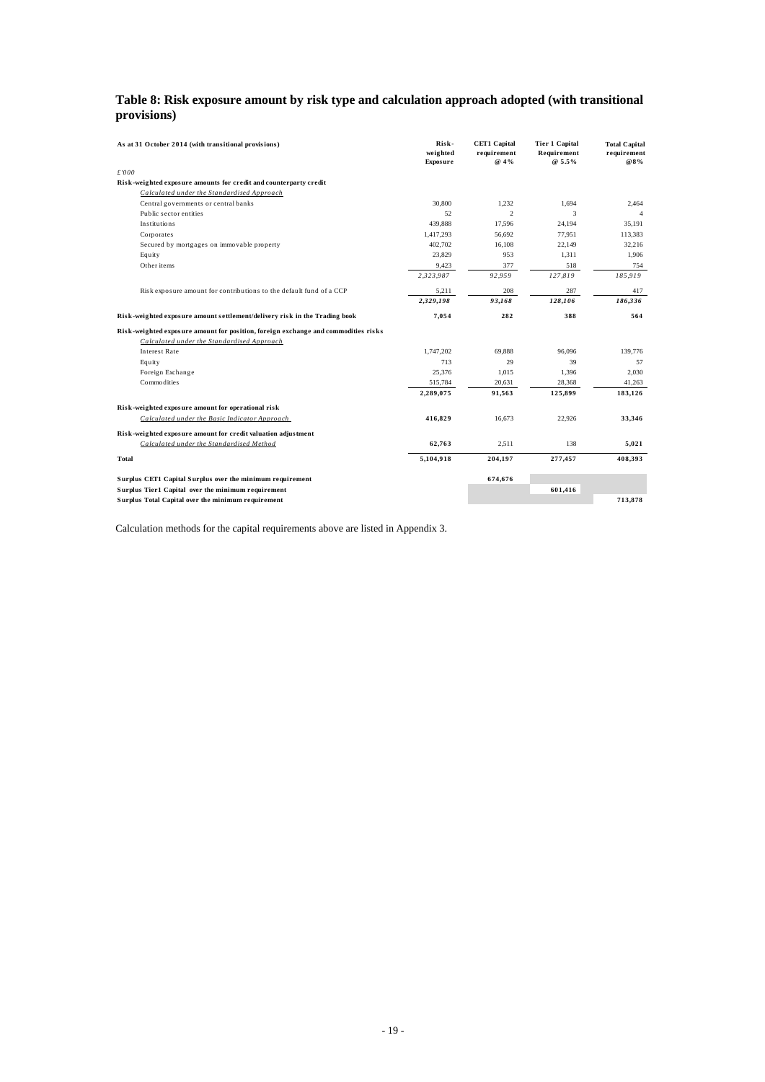### <span id="page-21-0"></span>**Table 8: Risk exposure amount by risk type and calculation approach adopted (with transitional provisions)**

| As at 31 October 2014 (with transitional provisions)                               | Risk-<br>weighted<br><b>Exposure</b> | <b>CET1 Capital</b><br>requirement<br>@ 4% | <b>Tier 1 Capital</b><br>Requirement<br>$@5.5\%$ | <b>Total Capital</b><br>requirement<br>@8% |
|------------------------------------------------------------------------------------|--------------------------------------|--------------------------------------------|--------------------------------------------------|--------------------------------------------|
| £'000                                                                              |                                      |                                            |                                                  |                                            |
| Risk-weighted exposure amounts for credit and counterparty credit                  |                                      |                                            |                                                  |                                            |
| Calculated under the Standardised Approach                                         |                                      |                                            |                                                  |                                            |
| Central governments or central banks                                               | 30,800                               | 1.232                                      | 1.694                                            | 2.464                                      |
| Public sector entities                                                             | 52                                   | $\overline{\mathfrak{L}}$                  | 3                                                |                                            |
| Institutions                                                                       | 439.888                              | 17,596                                     | 24,194                                           | 35,191                                     |
| Corporates                                                                         | 1,417,293                            | 56,692                                     | 77,951                                           | 113,383                                    |
| Secured by mortgages on immovable property                                         | 402,702                              | 16,108                                     | 22,149                                           | 32,216                                     |
| Equity                                                                             | 23,829                               | 953                                        | 1,311                                            | 1,906                                      |
| Other items                                                                        | 9,423                                | 377                                        | 518                                              | 754                                        |
|                                                                                    | 2,323,987                            | 92,959                                     | 127,819                                          | 185,919                                    |
| Risk exposure amount for contributions to the default fund of a CCP                | 5,211                                | 208                                        | 287                                              | 417                                        |
|                                                                                    | 2,329,198                            | 93,168                                     | 128,106                                          | 186,336                                    |
| Risk-weighted exposure amount settlement/delivery risk in the Trading book         | 7,054                                | 282                                        | 388                                              | 564                                        |
| Risk-weighted exposure amount for position, foreign exchange and commodities risks |                                      |                                            |                                                  |                                            |
| Calculated under the Standardised Approach                                         |                                      |                                            |                                                  |                                            |
| <b>Interest Rate</b>                                                               | 1,747,202                            | 69.888                                     | 96.096                                           | 139,776                                    |
| Equity                                                                             | 713                                  | 29                                         | 39                                               | 57                                         |
| Foreign Exchange                                                                   | 25,376                               | 1,015                                      | 1.396                                            | 2,030                                      |
| Commodities                                                                        | 515,784                              | 20.631                                     | 28,368                                           | 41,263                                     |
|                                                                                    | 2,289,075                            | 91,563                                     | 125,899                                          | 183,126                                    |
| Risk-weighted exposure amount for operational risk                                 |                                      |                                            |                                                  |                                            |
| Calculated under the Basic Indicator Approach                                      | 416,829                              | 16.673                                     | 22.926                                           | 33,346                                     |
| Risk-weighted exposure amount for credit valuation adjustment                      |                                      |                                            |                                                  |                                            |
| Calculated under the Standardised Method                                           | 62,763                               | 2,511                                      | 138                                              | 5,021                                      |
| Total                                                                              | 5,104,918                            | 204,197                                    | 277,457                                          | 408,393                                    |
| Surplus CET1 Capital Surplus over the minimum requirement                          |                                      | 674,676                                    |                                                  |                                            |
| Surplus Tier1 Capital over the minimum requirement                                 |                                      |                                            | 601,416                                          |                                            |
| Surplus Total Capital over the minimum requirement                                 |                                      |                                            |                                                  | 713.878                                    |

Calculation methods for the capital requirements above are listed in Appendix 3.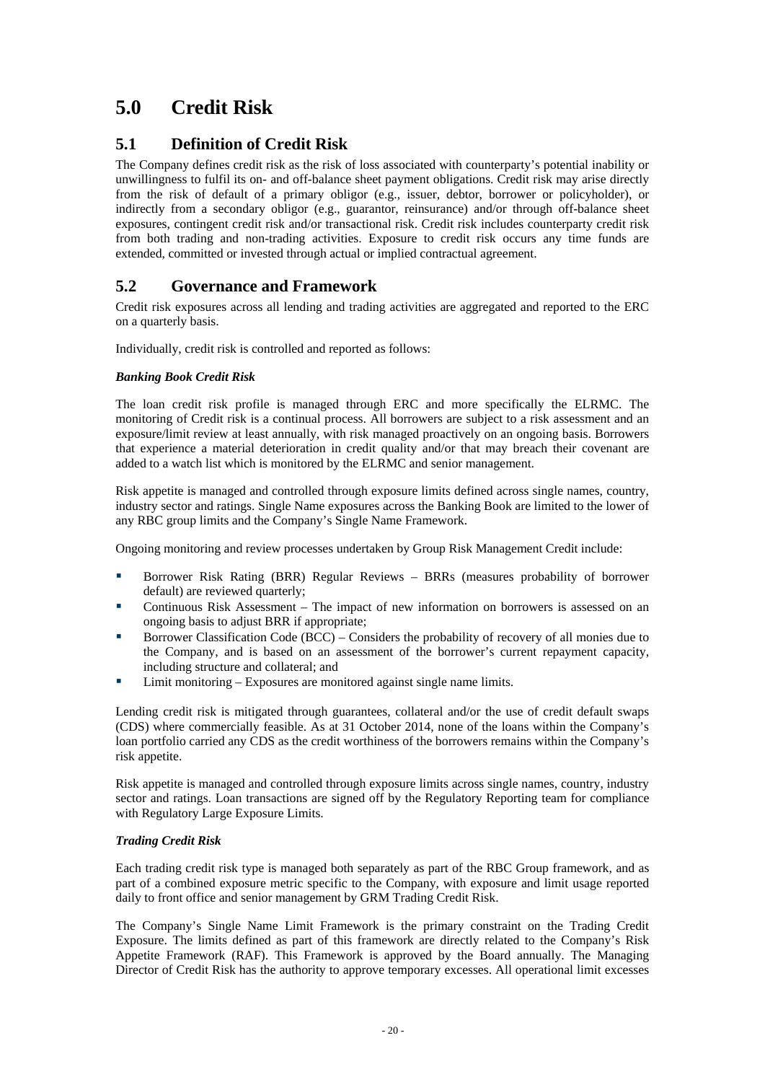# <span id="page-22-0"></span>**5.0 Credit Risk**

## **5.1 Definition of Credit Risk**

The Company defines credit risk as the risk of loss associated with counterparty's potential inability or unwillingness to fulfil its on- and off-balance sheet payment obligations. Credit risk may arise directly from the risk of default of a primary obligor (e.g., issuer, debtor, borrower or policyholder), or indirectly from a secondary obligor (e.g., guarantor, reinsurance) and/or through off-balance sheet exposures, contingent credit risk and/or transactional risk. Credit risk includes counterparty credit risk from both trading and non-trading activities. Exposure to credit risk occurs any time funds are extended, committed or invested through actual or implied contractual agreement.

## **5.2 Governance and Framework**

Credit risk exposures across all lending and trading activities are aggregated and reported to the ERC on a quarterly basis.

Individually, credit risk is controlled and reported as follows:

#### *Banking Book Credit Risk*

The loan credit risk profile is managed through ERC and more specifically the ELRMC. The monitoring of Credit risk is a continual process. All borrowers are subject to a risk assessment and an exposure/limit review at least annually, with risk managed proactively on an ongoing basis. Borrowers that experience a material deterioration in credit quality and/or that may breach their covenant are added to a watch list which is monitored by the ELRMC and senior management.

Risk appetite is managed and controlled through exposure limits defined across single names, country, industry sector and ratings. Single Name exposures across the Banking Book are limited to the lower of any RBC group limits and the Company's Single Name Framework.

Ongoing monitoring and review processes undertaken by Group Risk Management Credit include:

- Borrower Risk Rating (BRR) Regular Reviews BRRs (measures probability of borrower default) are reviewed quarterly;
- Continuous Risk Assessment The impact of new information on borrowers is assessed on an ongoing basis to adjust BRR if appropriate;
- Borrower Classification Code (BCC) Considers the probability of recovery of all monies due to the Company, and is based on an assessment of the borrower's current repayment capacity, including structure and collateral; and
- Limit monitoring Exposures are monitored against single name limits.

Lending credit risk is mitigated through guarantees, collateral and/or the use of credit default swaps (CDS) where commercially feasible. As at 31 October 2014, none of the loans within the Company's loan portfolio carried any CDS as the credit worthiness of the borrowers remains within the Company's risk appetite.

Risk appetite is managed and controlled through exposure limits across single names, country, industry sector and ratings. Loan transactions are signed off by the Regulatory Reporting team for compliance with Regulatory Large Exposure Limits.

#### *Trading Credit Risk*

Each trading credit risk type is managed both separately as part of the RBC Group framework, and as part of a combined exposure metric specific to the Company, with exposure and limit usage reported daily to front office and senior management by GRM Trading Credit Risk.

The Company's Single Name Limit Framework is the primary constraint on the Trading Credit Exposure. The limits defined as part of this framework are directly related to the Company's Risk Appetite Framework (RAF). This Framework is approved by the Board annually. The Managing Director of Credit Risk has the authority to approve temporary excesses. All operational limit excesses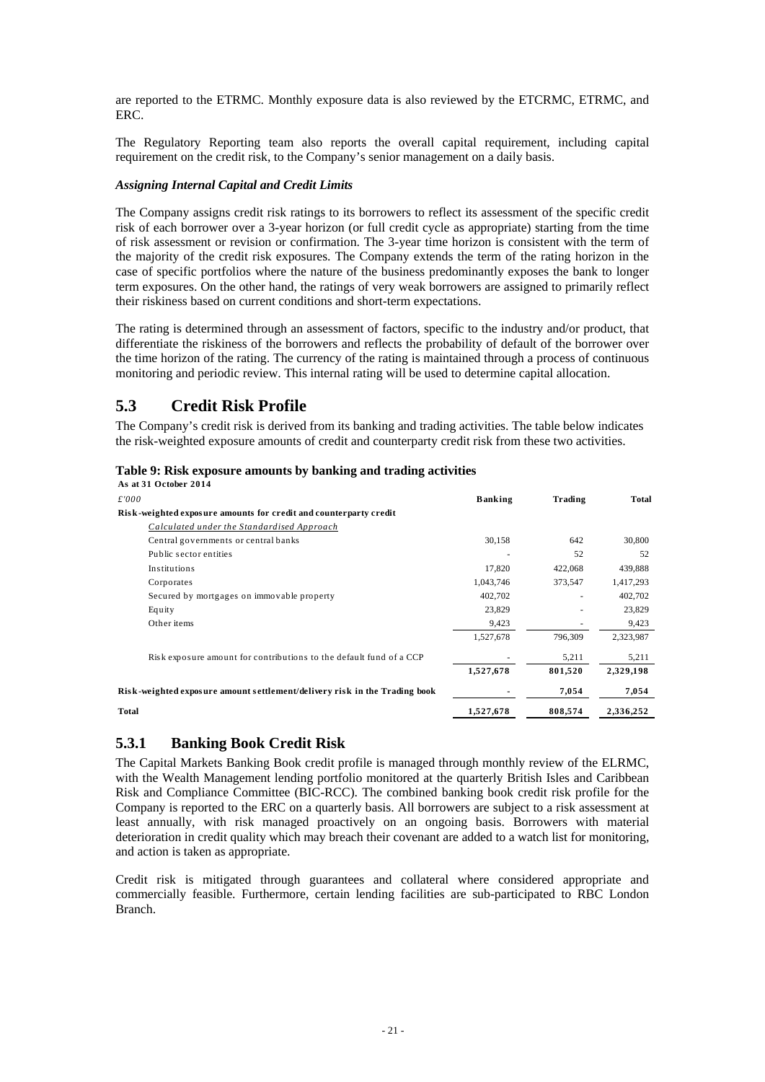<span id="page-23-0"></span>are reported to the ETRMC. Monthly exposure data is also reviewed by the ETCRMC, ETRMC, and ERC.

The Regulatory Reporting team also reports the overall capital requirement, including capital requirement on the credit risk, to the Company's senior management on a daily basis.

#### *Assigning Internal Capital and Credit Limits*

The Company assigns credit risk ratings to its borrowers to reflect its assessment of the specific credit risk of each borrower over a 3-year horizon (or full credit cycle as appropriate) starting from the time of risk assessment or revision or confirmation. The 3-year time horizon is consistent with the term of the majority of the credit risk exposures. The Company extends the term of the rating horizon in the case of specific portfolios where the nature of the business predominantly exposes the bank to longer term exposures. On the other hand, the ratings of very weak borrowers are assigned to primarily reflect their riskiness based on current conditions and short-term expectations.

The rating is determined through an assessment of factors, specific to the industry and/or product, that differentiate the riskiness of the borrowers and reflects the probability of default of the borrower over the time horizon of the rating. The currency of the rating is maintained through a process of continuous monitoring and periodic review. This internal rating will be used to determine capital allocation.

## **5.3 Credit Risk Profile**

The Company's credit risk is derived from its banking and trading activities. The table below indicates the risk-weighted exposure amounts of credit and counterparty credit risk from these two activities.

#### **Table 9: Risk exposure amounts by banking and trading activities**

| As at 31 October 2014                                                      |                |         |           |
|----------------------------------------------------------------------------|----------------|---------|-----------|
| £'000                                                                      | <b>Banking</b> | Trading | Total     |
| Risk-weighted exposure amounts for credit and counterparty credit          |                |         |           |
| Calculated under the Standardised Approach                                 |                |         |           |
| Central governments or central banks                                       | 30,158         | 642     | 30,800    |
| Public sector entities                                                     |                | 52      | 52        |
| Institutions                                                               | 17,820         | 422,068 | 439,888   |
| Corporates                                                                 | 1,043,746      | 373,547 | 1,417,293 |
| Secured by mortgages on immovable property                                 | 402,702        |         | 402,702   |
| Equity                                                                     | 23,829         |         | 23,829    |
| Other items                                                                | 9,423          |         | 9,423     |
|                                                                            | 1,527,678      | 796,309 | 2,323,987 |
| Risk exposure amount for contributions to the default fund of a CCP        |                | 5,211   | 5,211     |
|                                                                            | 1,527,678      | 801,520 | 2,329,198 |
| Risk-weighted exposure amount settlement/delivery risk in the Trading book |                | 7,054   | 7,054     |
| <b>Total</b>                                                               | 1,527,678      | 808,574 | 2,336,252 |

### **5.3.1 Banking Book Credit Risk**

The Capital Markets Banking Book credit profile is managed through monthly review of the ELRMC, with the Wealth Management lending portfolio monitored at the quarterly British Isles and Caribbean Risk and Compliance Committee (BIC-RCC). The combined banking book credit risk profile for the Company is reported to the ERC on a quarterly basis. All borrowers are subject to a risk assessment at least annually, with risk managed proactively on an ongoing basis. Borrowers with material deterioration in credit quality which may breach their covenant are added to a watch list for monitoring, and action is taken as appropriate.

Credit risk is mitigated through guarantees and collateral where considered appropriate and commercially feasible. Furthermore, certain lending facilities are sub-participated to RBC London Branch.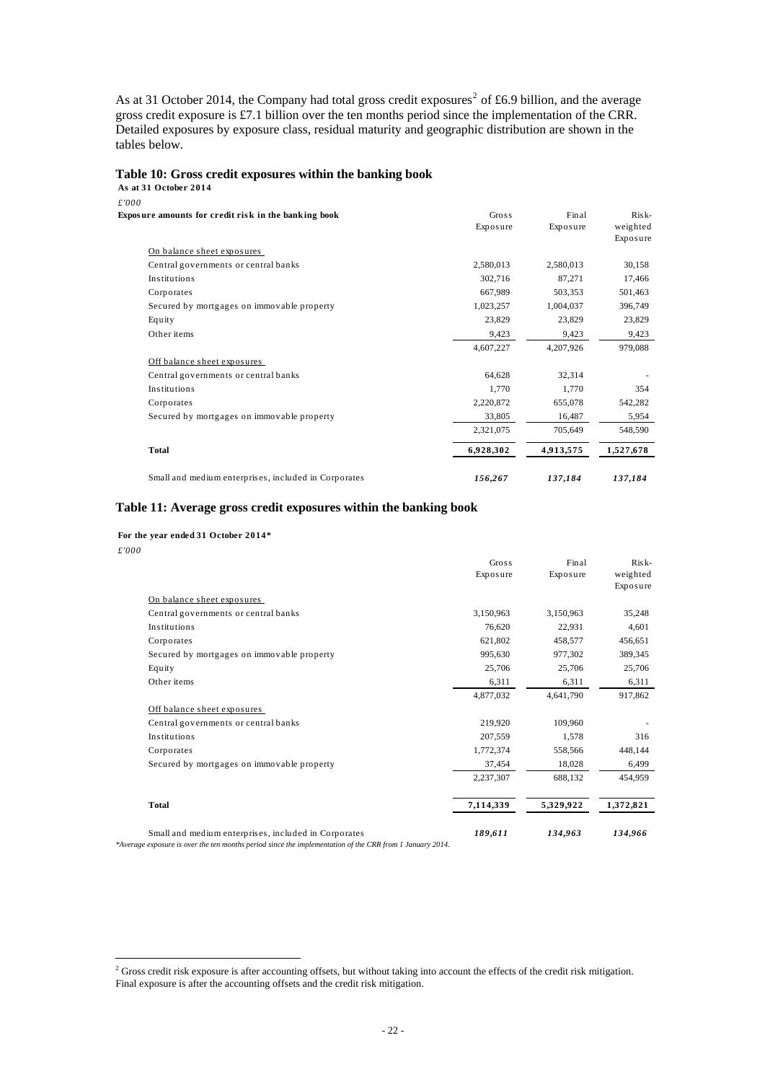<span id="page-24-0"></span>As at 31 October [2](#page-24-1)014, the Company had total gross credit exposures<sup>2</sup> of £6.9 billion, and the average gross credit exposure is £7.1 billion over the ten months period since the implementation of the CRR. Detailed exposures by exposure class, residual maturity and geographic distribution are shown in the tables below.

#### **Table 10: Gross credit exposures within the banking book**

**As at 31 October 2014**

| £'000                                                |           |           |           |
|------------------------------------------------------|-----------|-----------|-----------|
| Exposure amounts for credit risk in the banking book | Gross     | Final     | $Risk-$   |
|                                                      | Exposure  | Exposure  | weighted  |
|                                                      |           |           | Exposure  |
| On balance sheet exposures                           |           |           |           |
| Central governments or central banks                 | 2,580,013 | 2,580,013 | 30,158    |
| Institutions                                         | 302,716   | 87,271    | 17,466    |
| Corporates                                           | 667,989   | 503,353   | 501,463   |
| Secured by mortgages on immovable property           | 1,023,257 | 1,004,037 | 396,749   |
| Equity                                               | 23,829    | 23,829    | 23,829    |
| Other items                                          | 9,423     | 9,423     | 9,423     |
|                                                      | 4,607,227 | 4,207,926 | 979,088   |
| Off balance sheet exposures                          |           |           |           |
| Central governments or central banks                 | 64,628    | 32,314    |           |
| Institutions                                         | 1,770     | 1,770     | 354       |
| Corporates                                           | 2,220,872 | 655,078   | 542,282   |
| Secured by mortgages on immovable property           | 33,805    | 16,487    | 5,954     |
|                                                      | 2,321,075 | 705,649   | 548,590   |
| <b>Total</b>                                         | 6,928,302 | 4,913,575 | 1,527,678 |
| Small and medium enterprises, included in Corporates | 156,267   | 137,184   | 137,184   |

#### **Table 11: Average gross credit exposures within the banking book**

#### **For the year ended 31 October 2014\***

| £'000 |                                                                                                                                                                  |           |           |           |
|-------|------------------------------------------------------------------------------------------------------------------------------------------------------------------|-----------|-----------|-----------|
|       |                                                                                                                                                                  | Gross     | Final     | $Risk-$   |
|       |                                                                                                                                                                  | Exposure  | Exposure  | weighted  |
|       |                                                                                                                                                                  |           |           | Exposure  |
|       | On balance sheet exposures                                                                                                                                       |           |           |           |
|       | Central governments or central banks                                                                                                                             | 3,150,963 | 3,150,963 | 35,248    |
|       | Institutions                                                                                                                                                     | 76,620    | 22,931    | 4,601     |
|       | Corporates                                                                                                                                                       | 621,802   | 458,577   | 456,651   |
|       | Secured by mortgages on immovable property                                                                                                                       | 995,630   | 977,302   | 389,345   |
|       | Equity                                                                                                                                                           | 25,706    | 25,706    | 25,706    |
|       | Other items                                                                                                                                                      | 6,311     | 6,311     | 6,311     |
|       |                                                                                                                                                                  | 4,877,032 | 4,641,790 | 917,862   |
|       | Off balance sheet exposures                                                                                                                                      |           |           |           |
|       | Central governments or central banks                                                                                                                             | 219,920   | 109,960   |           |
|       | Institutions                                                                                                                                                     | 207,559   | 1,578     | 316       |
|       | Corporates                                                                                                                                                       | 1,772,374 | 558,566   | 448,144   |
|       | Secured by mortgages on immovable property                                                                                                                       | 37,454    | 18,028    | 6,499     |
|       |                                                                                                                                                                  | 2,237,307 | 688,132   | 454,959   |
|       | <b>Total</b>                                                                                                                                                     | 7,114,339 | 5,329,922 | 1,372,821 |
|       | Small and medium enterprises, included in Corporates<br>*Average exposure is over the ten months period since the implementation of the CRR from 1 January 2014. | 189,611   | 134,963   | 134,966   |

<span id="page-24-1"></span> 2 Gross credit risk exposure is after accounting offsets, but without taking into account the effects of the credit risk mitigation. Final exposure is after the accounting offsets and the credit risk mitigation.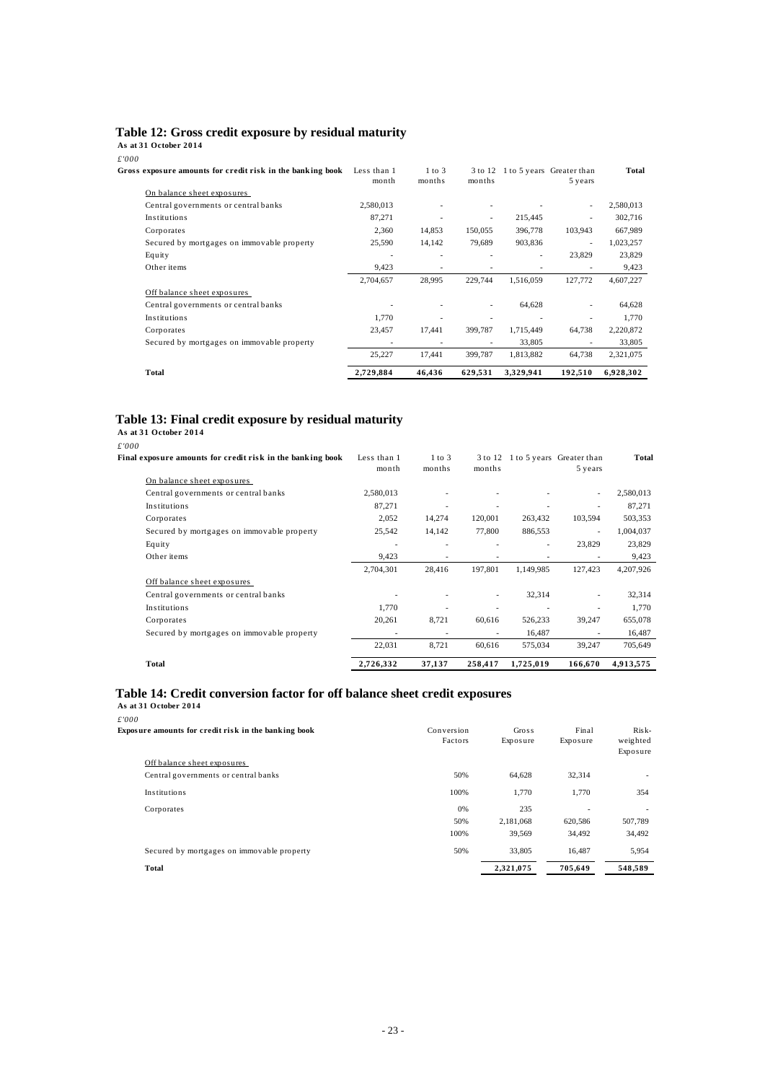#### <span id="page-25-0"></span>**Table 12: Gross credit exposure by residual maturity**

**As at 31 October 2014**

| £'000                                                      |                          |                      |                          |           |                                              |           |
|------------------------------------------------------------|--------------------------|----------------------|--------------------------|-----------|----------------------------------------------|-----------|
| Gross exposure amounts for credit risk in the banking book | Less than 1<br>month     | $1$ to $3$<br>months | months                   |           | 3 to 12 1 to 5 years Greater than<br>5 years | Total     |
| On balance sheet exposures                                 |                          |                      |                          |           |                                              |           |
| Central governments or central banks                       | 2,580,013                |                      |                          |           | ÷,                                           | 2,580,013 |
| Institutions                                               | 87,271                   |                      | $\overline{\phantom{a}}$ | 215,445   | ٠                                            | 302,716   |
| Corporates                                                 | 2,360                    | 14,853               | 150,055                  | 396,778   | 103,943                                      | 667,989   |
| Secured by mortgages on immovable property                 | 25,590                   | 14,142               | 79,689                   | 903,836   | ÷,                                           | 1,023,257 |
| Equity                                                     |                          |                      |                          |           | 23,829                                       | 23,829    |
| Other items                                                | 9,423                    |                      |                          |           |                                              | 9,423     |
|                                                            | 2,704,657                | 28,995               | 229,744                  | 1,516,059 | 127,772                                      | 4,607,227 |
| Off balance sheet exposures                                |                          |                      |                          |           |                                              |           |
| Central governments or central banks                       |                          |                      |                          | 64,628    |                                              | 64,628    |
| Institutions                                               | 1.770                    |                      |                          |           |                                              | 1,770     |
| Corporates                                                 | 23,457                   | 17,441               | 399,787                  | 1,715,449 | 64,738                                       | 2,220,872 |
| Secured by mortgages on immovable property                 | $\overline{\phantom{a}}$ | $\overline{a}$       | ٠                        | 33,805    | ٠                                            | 33,805    |
|                                                            | 25,227                   | 17,441               | 399,787                  | 1,813,882 | 64,738                                       | 2,321,075 |
| Total                                                      | 2,729,884                | 46,436               | 629,531                  | 3,329,941 | 192,510                                      | 6,928,302 |

#### **Table 13: Final credit exposure by residual maturity**

**As at 31 October 2014** *£'000* **Final exposure amounts for credit risk in the bank ing book** Less than 1 month 1 to 3 months 3 to 12 1 to 5 years Greater than months 5 years **Total** On balance s heet expos ures Central governments or central banks 2,580,013 - - - - - - - 2,580,013 Institutions 87,271 - - - - - 87,271 Corporates 2,052 14,274 120,001 263,432 103,594 503,353 Secured by mortgages on immovable property 25,542 14,142 77,800 886,553 - 1,004,037 Equity 23,829 23,829 23,829 Other items 9,423 - - - - - - 9,423 2,704,301 28,416 197,801 1,149,985 127,423 4,207,926 Off balance sheet exposures Central governments or central banks - - - - - 32,314 - 32,314 - 32,314 **Institutions** 1,770 - - - - - 1,770 Corporates 20,261 8,721 60,616 526,233 39,247 655,078 Secured by mortgages on immovable property  $\qquad \qquad$  - 16,487 - 16,487 - 16,487 22,031 8,721 60,616 575,034 39,247 705,649 **Total 2,726,332 37,137 258,417 1,725,019 166,670 4,913,575**

# Table 14: Credit conversion factor for off balance sheet credit exposures As at 31 October 2014

| £'000                                                |                       |                   |                          |                               |
|------------------------------------------------------|-----------------------|-------------------|--------------------------|-------------------------------|
| Exposure amounts for credit risk in the banking book | Conversion<br>Factors | Gross<br>Exposure | Final<br>Exposure        | Risk-<br>weighted<br>Exposure |
| Off balance sheet exposures                          |                       |                   |                          |                               |
| Central governments or central banks                 | 50%                   | 64,628            | 32,314                   |                               |
| Institutions                                         | 100%                  | 1.770             | 1,770                    | 354                           |
| Corporates                                           | 0%                    | 235               | $\overline{\phantom{0}}$ | ٠                             |
|                                                      | 50%                   | 2,181,068         | 620,586                  | 507,789                       |
|                                                      | 100%                  | 39.569            | 34,492                   | 34,492                        |
| Secured by mortgages on immovable property           | 50%                   | 33.805            | 16.487                   | 5,954                         |
| Total                                                |                       | 2,321,075         | 705,649                  | 548,589                       |
|                                                      |                       |                   |                          |                               |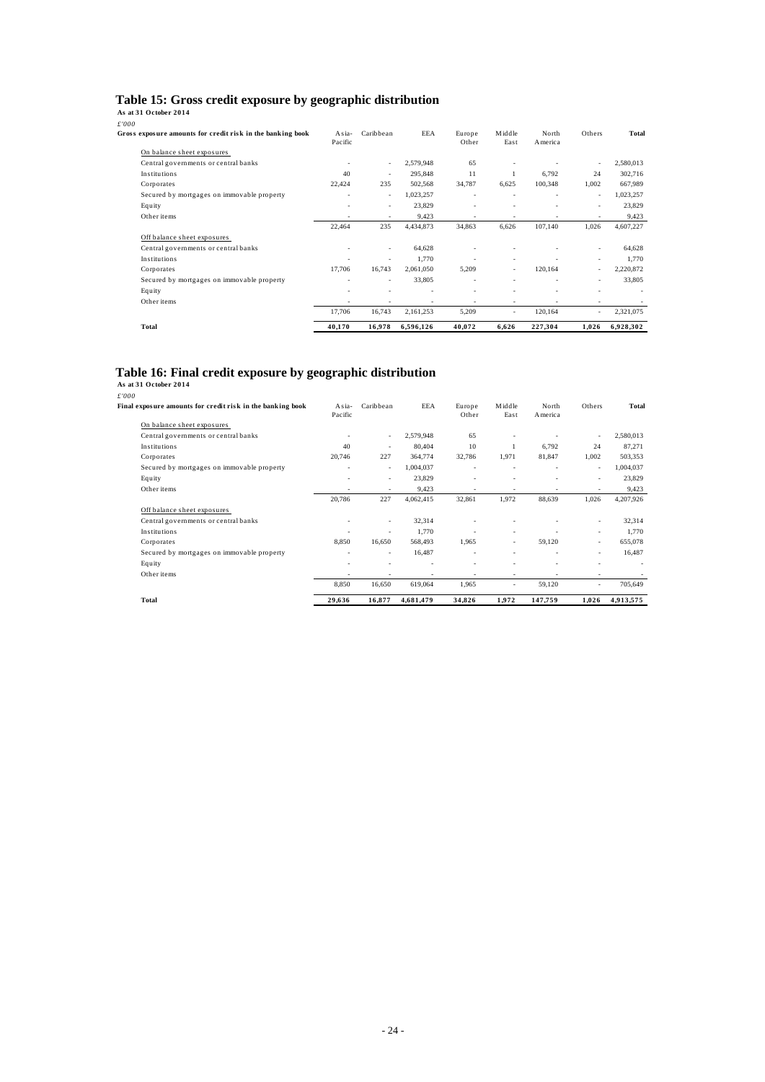## <span id="page-26-0"></span>Table 15: Gross credit exposure by geographic distribution As at 31 October 2014

| £'000<br>Gross exposure amounts for credit risk in the banking book | Asia-<br>Pacific             | Caribbean                | <b>EEA</b> | Europe<br>Other          | Middle<br>East           | North<br>A merica | Others | Total     |
|---------------------------------------------------------------------|------------------------------|--------------------------|------------|--------------------------|--------------------------|-------------------|--------|-----------|
| On balance sheet exposures                                          |                              |                          |            |                          |                          |                   |        |           |
| Central governments or central banks                                | $\overline{\phantom{a}}$     | $\overline{\phantom{a}}$ | 2,579,948  | 65                       |                          |                   |        | 2,580,013 |
| Institutions                                                        | 40                           | $\overline{\phantom{a}}$ | 295,848    | 11                       |                          | 6,792             | 24     | 302,716   |
| Corporates                                                          | 22,424                       | 235                      | 502,568    | 34,787                   | 6,625                    | 100,348           | 1,002  | 667,989   |
| Secured by mortgages on immovable property                          | ٠                            | $\overline{\phantom{a}}$ | 1,023,257  | $\overline{\phantom{a}}$ | $\overline{\phantom{a}}$ |                   | ٠      | 1,023,257 |
| Equity                                                              | $\qquad \qquad \blacksquare$ | ٠                        | 23,829     | ٠                        |                          |                   | ٠      | 23,829    |
| Other items                                                         | ٠                            | $\overline{\phantom{a}}$ | 9,423      | ٠                        | $\overline{\phantom{a}}$ |                   | ٠      | 9,423     |
|                                                                     | 22,464                       | 235                      | 4,434,873  | 34,863                   | 6,626                    | 107,140           | 1,026  | 4,607,227 |
| Off balance sheet exposures                                         |                              |                          |            |                          |                          |                   |        |           |
| Central governments or central banks                                |                              | ٠                        | 64,628     |                          |                          |                   | ٠      | 64,628    |
| Institutions                                                        | ٠                            | ٠                        | 1.770      |                          |                          |                   | ٠      | 1,770     |
| Corporates                                                          | 17,706                       | 16,743                   | 2,061,050  | 5,209                    | ٠                        | 120,164           | ٠      | 2,220,872 |
| Secured by mortgages on immovable property                          | ٠                            | $\overline{\phantom{a}}$ | 33,805     | ٠                        |                          |                   | ٠      | 33,805    |
| Equity                                                              | ٠                            |                          | ٠          | ٠                        |                          |                   |        |           |
| Other items                                                         | ٠                            | $\overline{\phantom{a}}$ | ٠          | ٠                        | $\overline{\phantom{a}}$ |                   |        |           |
|                                                                     | 17,706                       | 16,743                   | 2,161,253  | 5,209                    | ٠                        | 120,164           |        | 2,321,075 |
| Total                                                               | 40,170                       | 16,978                   | 6,596,126  | 40,072                   | 6,626                    | 227,304           | 1,026  | 6,928,302 |

# Table 16: Final credit exposure by geographic distribution As at 31 October 2014

| £'000                                                      |                          |                          |                          |                          |                          |                              |                          |                          |
|------------------------------------------------------------|--------------------------|--------------------------|--------------------------|--------------------------|--------------------------|------------------------------|--------------------------|--------------------------|
| Final exposure amounts for credit risk in the banking book | Asia-<br>Pacific         | Caribbean                | <b>EEA</b>               | Europe<br>Other          | Middle<br>East           | North<br>America             | Others                   | <b>Total</b>             |
| On balance sheet exposures                                 |                          |                          |                          |                          |                          |                              |                          |                          |
| Central governments or central banks                       |                          |                          | 2,579,948                | 65                       |                          |                              | ٠                        | 2,580,013                |
| Institutions                                               | 40                       | $\overline{\phantom{a}}$ | 80,404                   | 10                       | 1                        | 6,792                        | 24                       | 87,271                   |
| Corporates                                                 | 20,746                   | 227                      | 364,774                  | 32,786                   | 1,971                    | 81,847                       | 1,002                    | 503,353                  |
| Secured by mortgages on immovable property                 | $\overline{\phantom{a}}$ | $\overline{\phantom{a}}$ | 1,004,037                | ٠                        | $\overline{\phantom{a}}$ | $\qquad \qquad \blacksquare$ | ٠                        | 1,004,037                |
| Equity                                                     |                          | $\overline{\phantom{a}}$ | 23,829                   | ٠                        |                          | $\qquad \qquad \blacksquare$ | ٠                        | 23,829                   |
| Other items                                                |                          |                          | 9,423                    |                          |                          |                              |                          | 9,423                    |
|                                                            | 20,786                   | 227                      | 4,062,415                | 32,861                   | 1,972                    | 88,639                       | 1,026                    | 4,207,926                |
| Off balance sheet exposures                                |                          |                          |                          |                          |                          |                              |                          |                          |
| Central governments or central banks                       |                          | $\overline{\phantom{a}}$ | 32,314                   |                          |                          |                              | ٠                        | 32,314                   |
| Institutions                                               |                          |                          | 1.770                    |                          | $\overline{\phantom{a}}$ |                              | ٠                        | 1,770                    |
| Corporates                                                 | 8.850                    | 16,650                   | 568,493                  | 1.965                    | ٠                        | 59,120                       | ٠                        | 655,078                  |
| Secured by mortgages on immovable property                 | $\overline{\phantom{a}}$ | $\sim$                   | 16,487                   | $\overline{\phantom{a}}$ | $\overline{\phantom{a}}$ | $\qquad \qquad \blacksquare$ | ٠                        | 16,487                   |
| Equity                                                     |                          |                          |                          |                          |                          | ٠                            | $\overline{\phantom{a}}$ | $\overline{\phantom{a}}$ |
| Other items                                                | $\overline{\phantom{a}}$ | $\overline{\phantom{a}}$ | $\overline{\phantom{a}}$ | $\overline{\phantom{a}}$ | $\overline{\phantom{a}}$ | ٠                            | $\overline{\phantom{a}}$ |                          |
|                                                            | 8,850                    | 16,650                   | 619,064                  | 1,965                    |                          | 59,120                       | ٠                        | 705,649                  |
| Total                                                      | 29,636                   | 16,877                   | 4,681,479                | 34,826                   | 1,972                    | 147,759                      | 1,026                    | 4,913,575                |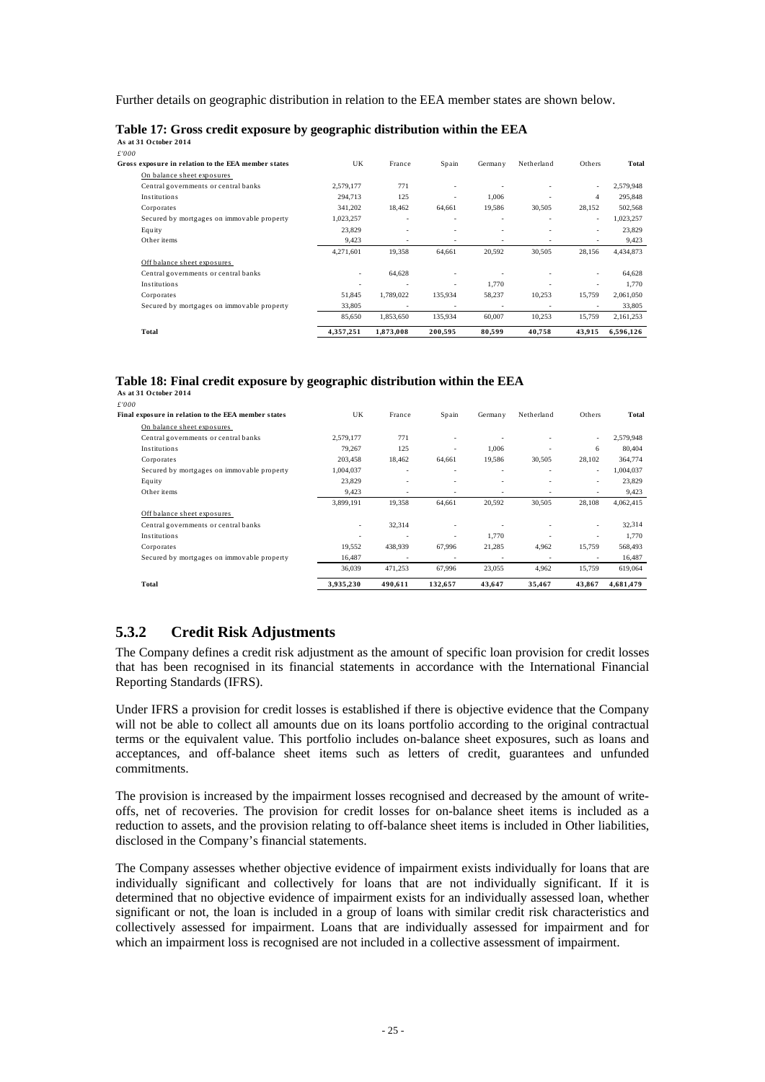<span id="page-27-0"></span>Further details on geographic distribution in relation to the EEA member states are shown below.

Table 17: Gross credit exposure by geographic distribution within the EEA As at 31 October 2014

| £'000                                               |           |                          |                          |         |            |        |           |
|-----------------------------------------------------|-----------|--------------------------|--------------------------|---------|------------|--------|-----------|
| Gross exposure in relation to the EEA member states | UK        | France                   | Spain                    | Germany | Netherland | Others | Total     |
| On balance sheet exposures                          |           |                          |                          |         |            |        |           |
| Central governments or central banks                | 2,579,177 | 771                      |                          |         |            | ٠      | 2,579,948 |
| Institutions                                        | 294.713   | 125                      | $\overline{\phantom{a}}$ | 1.006   |            | 4      | 295.848   |
| Corporates                                          | 341,202   | 18,462                   | 64,661                   | 19,586  | 30,505     | 28,152 | 502,568   |
| Secured by mortgages on immovable property          | 1,023,257 | ٠                        | $\overline{\phantom{a}}$ | ٠       |            | ٠      | 1,023,257 |
| Equity                                              | 23,829    |                          |                          | ۰       |            | ٠      | 23,829    |
| Other items                                         | 9,423     | $\overline{\phantom{a}}$ |                          |         | ٠          |        | 9,423     |
|                                                     | 4,271,601 | 19,358                   | 64.661                   | 20,592  | 30,505     | 28,156 | 4,434,873 |
| Off balance sheet exposures                         |           |                          |                          |         |            |        |           |
| Central governments or central banks                | ٠         | 64,628                   |                          |         |            | ٠      | 64,628    |
| Institutions                                        | ٠         |                          | $\overline{\phantom{a}}$ | 1.770   |            | ٠      | 1,770     |
| Corporates                                          | 51,845    | 1,789,022                | 135,934                  | 58,237  | 10,253     | 15,759 | 2,061,050 |
| Secured by mortgages on immovable property          | 33,805    |                          |                          |         |            |        | 33,805    |
|                                                     | 85,650    | 1,853,650                | 135,934                  | 60,007  | 10,253     | 15,759 | 2,161,253 |
| Total                                               | 4,357,251 | 1,873,008                | 200,595                  | 80,599  | 40,758     | 43,915 | 6,596,126 |

# Table 18: Final credit exposure by geographic distribution within the EEA As at 31 October 2014

| £'000                                               |           |                          |                          |                          |            |                          |           |
|-----------------------------------------------------|-----------|--------------------------|--------------------------|--------------------------|------------|--------------------------|-----------|
| Final exposure in relation to the EEA member states | UK        | France                   | Spain                    | Germany                  | Netherland | Others                   | Total     |
| On balance sheet exposures                          |           |                          |                          |                          |            |                          |           |
| Central governments or central banks                | 2,579,177 | 771                      | ٠                        |                          |            |                          | 2,579,948 |
| Institutions                                        | 79,267    | 125                      | ٠                        | 1,006                    |            | 6                        | 80,404    |
| Corporates                                          | 203,458   | 18,462                   | 64,661                   | 19,586                   | 30,505     | 28,102                   | 364,774   |
| Secured by mortgages on immovable property          | 1,004,037 |                          | $\overline{\phantom{a}}$ |                          |            | ٠                        | 1,004,037 |
| Equity                                              | 23,829    | ٠                        | $\overline{\phantom{a}}$ | ٠                        |            | $\overline{\phantom{a}}$ | 23,829    |
| Other items                                         | 9,423     | ٠                        |                          | ٠                        |            |                          | 9,423     |
|                                                     | 3,899,191 | 19.358                   | 64,661                   | 20.592                   | 30.505     | 28,108                   | 4,062,415 |
| Off balance sheet exposures                         |           |                          |                          |                          |            |                          |           |
| Central governments or central banks                | ٠         | 32.314                   |                          |                          |            | $\overline{\phantom{a}}$ | 32,314    |
| Institutions                                        |           |                          | $\overline{\phantom{a}}$ | 1.770                    |            | ٠                        | 1.770     |
| Corporates                                          | 19.552    | 438,939                  | 67.996                   | 21,285                   | 4.962      | 15.759                   | 568,493   |
| Secured by mortgages on immovable property          | 16,487    | $\overline{\phantom{a}}$ | $\overline{\phantom{a}}$ | $\overline{\phantom{a}}$ |            | ۰                        | 16,487    |
|                                                     | 36.039    | 471.253                  | 67,996                   | 23,055                   | 4.962      | 15,759                   | 619,064   |
| Total                                               | 3,935,230 | 490,611                  | 132,657                  | 43,647                   | 35,467     | 43,867                   | 4,681,479 |

## **5.3.2 Credit Risk Adjustments**

The Company defines a credit risk adjustment as the amount of specific loan provision for credit losses that has been recognised in its financial statements in accordance with the International Financial Reporting Standards (IFRS).

Under IFRS a provision for credit losses is established if there is objective evidence that the Company will not be able to collect all amounts due on its loans portfolio according to the original contractual terms or the equivalent value. This portfolio includes on-balance sheet exposures, such as loans and acceptances, and off-balance sheet items such as letters of credit, guarantees and unfunded commitments.

The provision is increased by the impairment losses recognised and decreased by the amount of writeoffs, net of recoveries. The provision for credit losses for on-balance sheet items is included as a reduction to assets, and the provision relating to off-balance sheet items is included in Other liabilities, disclosed in the Company's financial statements.

The Company assesses whether objective evidence of impairment exists individually for loans that are individually significant and collectively for loans that are not individually significant. If it is determined that no objective evidence of impairment exists for an individually assessed loan, whether significant or not, the loan is included in a group of loans with similar credit risk characteristics and collectively assessed for impairment. Loans that are individually assessed for impairment and for which an impairment loss is recognised are not included in a collective assessment of impairment.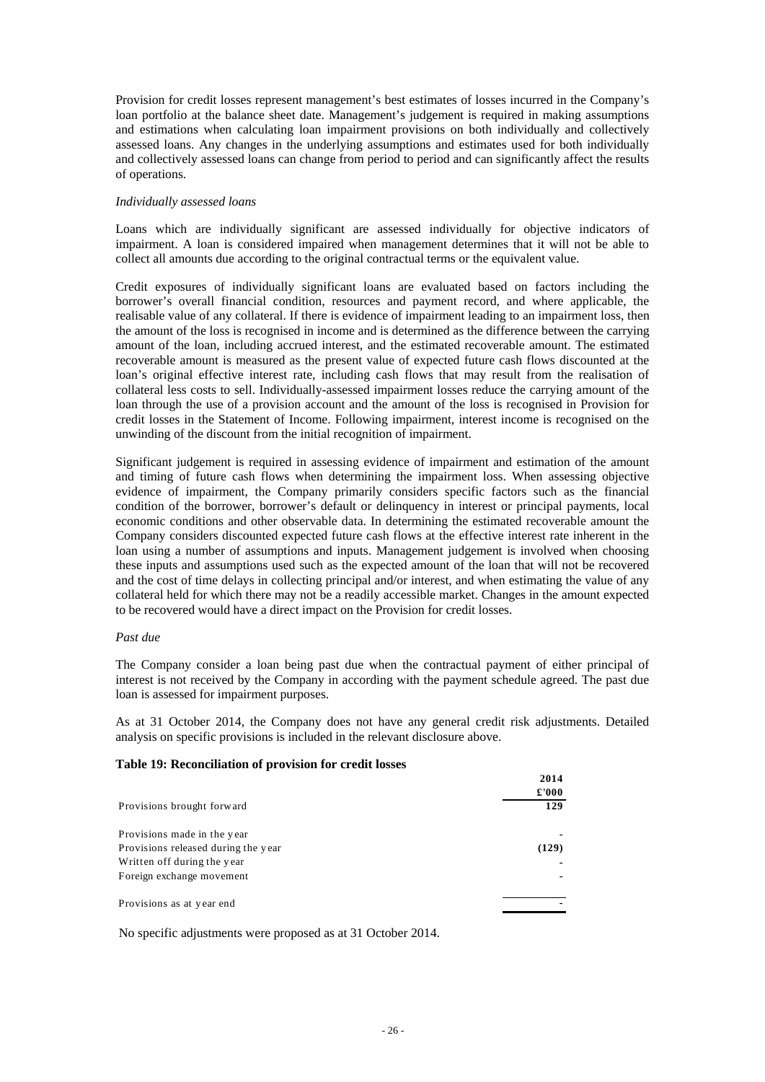<span id="page-28-0"></span>Provision for credit losses represent management's best estimates of losses incurred in the Company's loan portfolio at the balance sheet date. Management's judgement is required in making assumptions and estimations when calculating loan impairment provisions on both individually and collectively assessed loans. Any changes in the underlying assumptions and estimates used for both individually and collectively assessed loans can change from period to period and can significantly affect the results of operations.

#### *Individually assessed loans*

Loans which are individually significant are assessed individually for objective indicators of impairment. A loan is considered impaired when management determines that it will not be able to collect all amounts due according to the original contractual terms or the equivalent value.

Credit exposures of individually significant loans are evaluated based on factors including the borrower's overall financial condition, resources and payment record, and where applicable, the realisable value of any collateral. If there is evidence of impairment leading to an impairment loss, then the amount of the loss is recognised in income and is determined as the difference between the carrying amount of the loan, including accrued interest, and the estimated recoverable amount. The estimated recoverable amount is measured as the present value of expected future cash flows discounted at the loan's original effective interest rate, including cash flows that may result from the realisation of collateral less costs to sell. Individually-assessed impairment losses reduce the carrying amount of the loan through the use of a provision account and the amount of the loss is recognised in Provision for credit losses in the Statement of Income. Following impairment, interest income is recognised on the unwinding of the discount from the initial recognition of impairment.

Significant judgement is required in assessing evidence of impairment and estimation of the amount and timing of future cash flows when determining the impairment loss. When assessing objective evidence of impairment, the Company primarily considers specific factors such as the financial condition of the borrower, borrower's default or delinquency in interest or principal payments, local economic conditions and other observable data. In determining the estimated recoverable amount the Company considers discounted expected future cash flows at the effective interest rate inherent in the loan using a number of assumptions and inputs. Management judgement is involved when choosing these inputs and assumptions used such as the expected amount of the loan that will not be recovered and the cost of time delays in collecting principal and/or interest, and when estimating the value of any collateral held for which there may not be a readily accessible market. Changes in the amount expected to be recovered would have a direct impact on the Provision for credit losses.

#### *Past due*

The Company consider a loan being past due when the contractual payment of either principal of interest is not received by the Company in according with the payment schedule agreed. The past due loan is assessed for impairment purposes.

As at 31 October 2014, the Company does not have any general credit risk adjustments. Detailed analysis on specific provisions is included in the relevant disclosure above.

#### **Table 19: Reconciliation of provision for credit losses**

|                                     | 2014  |
|-------------------------------------|-------|
|                                     | £'000 |
| Provisions brought forward          | 129   |
| Provisions made in the year         |       |
| Provisions released during the year | (129) |
| Written off during the year         |       |
| Foreign exchange movement           |       |
| Provisions as at year end           |       |

No specific adjustments were proposed as at 31 October 2014.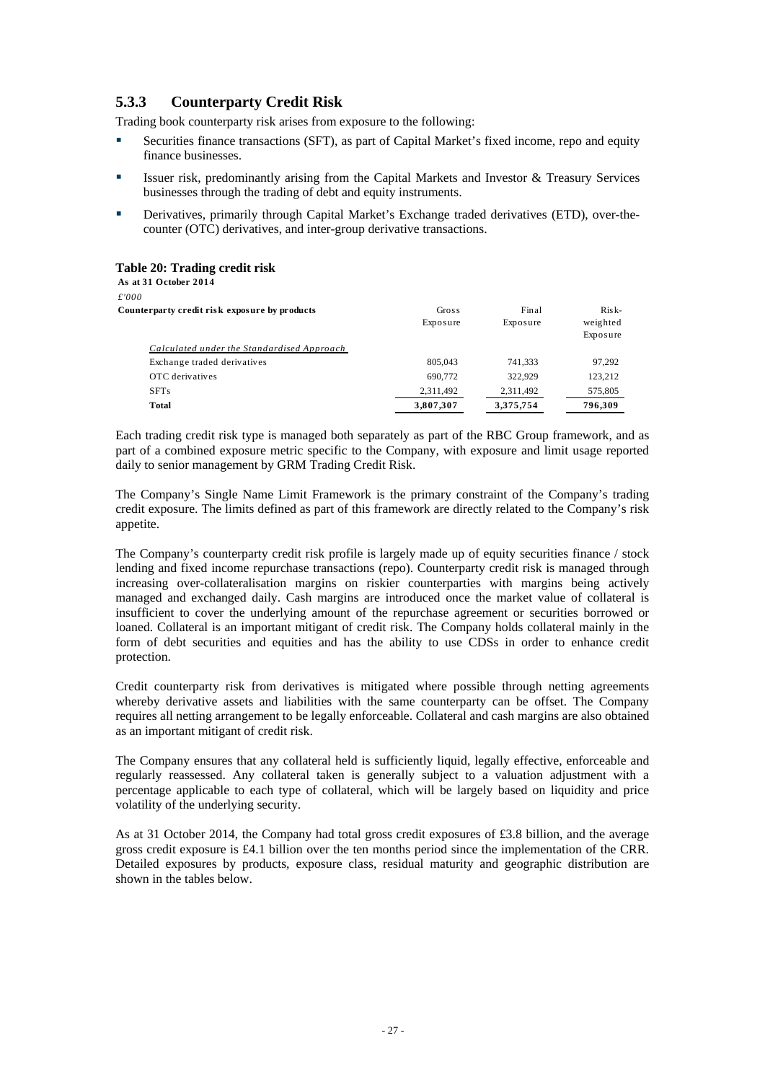## <span id="page-29-0"></span>**5.3.3 Counterparty Credit Risk**

Trading book counterparty risk arises from exposure to the following:

- Securities finance transactions (SFT), as part of Capital Market's fixed income, repo and equity finance businesses.
- Issuer risk, predominantly arising from the Capital Markets and Investor & Treasury Services businesses through the trading of debt and equity instruments.
- Derivatives, primarily through Capital Market's Exchange traded derivatives (ETD), over-thecounter (OTC) derivatives, and inter-group derivative transactions.

#### **Table 20: Trading credit risk**

| As at 31 October 2014                         |           |           |                      |
|-----------------------------------------------|-----------|-----------|----------------------|
| £'000                                         |           |           |                      |
| Counterparty credit risk exposure by products | Gross     | Final     | $Risk-$              |
|                                               | Exposure  | Exposure  | weighted<br>Exposure |
| Calculated under the Standardised Approach    |           |           |                      |
| Exchange traded derivatives                   | 805,043   | 741,333   | 97,292               |
| OTC derivatives                               | 690,772   | 322.929   | 123,212              |
| <b>SFTs</b>                                   | 2,311,492 | 2,311,492 | 575,805              |
| Total                                         | 3.807.307 | 3.375.754 | 796.309              |

Each trading credit risk type is managed both separately as part of the RBC Group framework, and as part of a combined exposure metric specific to the Company, with exposure and limit usage reported daily to senior management by GRM Trading Credit Risk.

The Company's Single Name Limit Framework is the primary constraint of the Company's trading credit exposure. The limits defined as part of this framework are directly related to the Company's risk appetite.

The Company's counterparty credit risk profile is largely made up of equity securities finance / stock lending and fixed income repurchase transactions (repo). Counterparty credit risk is managed through increasing over-collateralisation margins on riskier counterparties with margins being actively managed and exchanged daily. Cash margins are introduced once the market value of collateral is insufficient to cover the underlying amount of the repurchase agreement or securities borrowed or loaned. Collateral is an important mitigant of credit risk. The Company holds collateral mainly in the form of debt securities and equities and has the ability to use CDSs in order to enhance credit protection.

Credit counterparty risk from derivatives is mitigated where possible through netting agreements whereby derivative assets and liabilities with the same counterparty can be offset. The Company requires all netting arrangement to be legally enforceable. Collateral and cash margins are also obtained as an important mitigant of credit risk.

The Company ensures that any collateral held is sufficiently liquid, legally effective, enforceable and regularly reassessed. Any collateral taken is generally subject to a valuation adjustment with a percentage applicable to each type of collateral, which will be largely based on liquidity and price volatility of the underlying security.

As at 31 October 2014, the Company had total gross credit exposures of £3.8 billion, and the average gross credit exposure is £4.1 billion over the ten months period since the implementation of the CRR. Detailed exposures by products, exposure class, residual maturity and geographic distribution are shown in the tables below.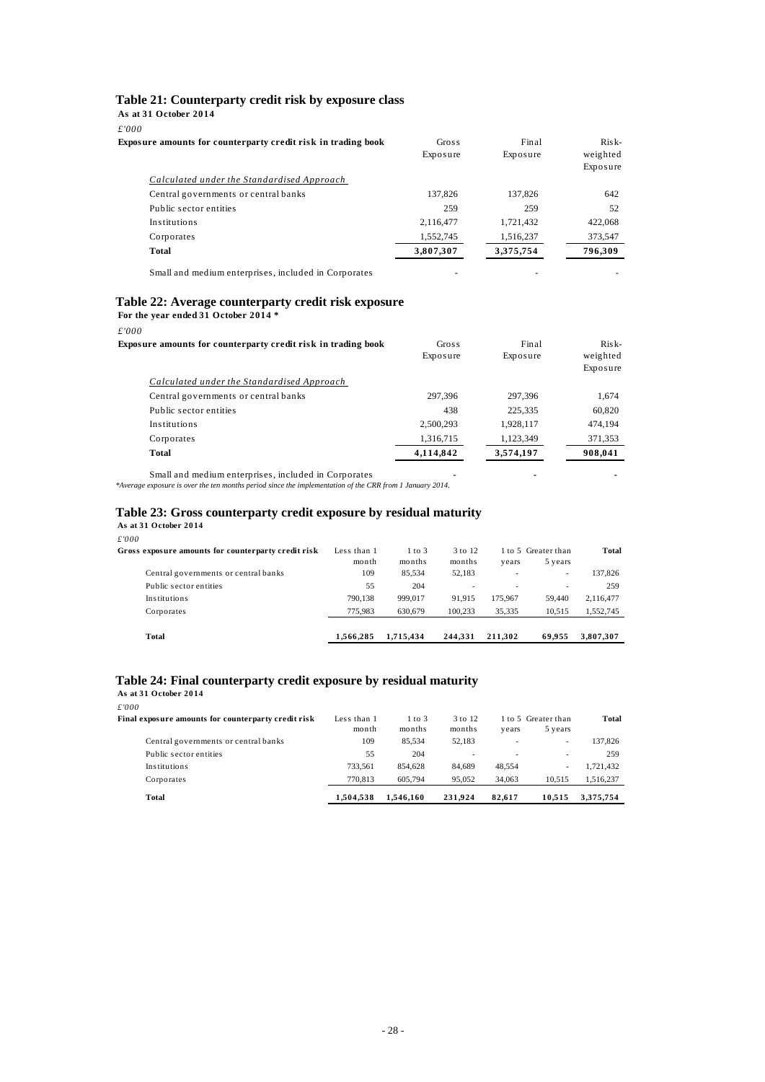#### <span id="page-30-0"></span>**Table 21: Counterparty credit risk by exposure class**

**As at 31 October 2014**

| Gross<br>Exposure | Final<br>Exposure | $Risk-$<br>weighted<br>Exposure |
|-------------------|-------------------|---------------------------------|
|                   |                   |                                 |
| 137.826           | 137,826           | 642                             |
| 259               | 259               | 52                              |
| 2,116,477         | 1,721,432         | 422,068                         |
| 1,552,745         | 1,516,237         | 373,547                         |
| 3,807,307         | 3,375,754         | 796,309                         |
|                   |                   |                                 |

Small and medium enterprises, included in Corporates - - -

#### **Table 22: Average counterparty credit risk exposure**

**For the year ended 31 October 2014 \***

*£'000*

| .                                                             |           |           |          |
|---------------------------------------------------------------|-----------|-----------|----------|
| Exposure amounts for counterparty credit risk in trading book | Gross     | Final     | $Risk-$  |
|                                                               | Exposure  | Exposure  | weighted |
|                                                               |           |           | Exposure |
| Calculated under the Standardised Approach                    |           |           |          |
| Central governments or central banks                          | 297.396   | 297.396   | 1,674    |
| Public sector entities                                        | 438       | 225,335   | 60,820   |
| Institutions                                                  | 2,500,293 | 1,928,117 | 474,194  |
| Corporates                                                    | 1,316,715 | 1,123,349 | 371,353  |
| Total                                                         | 4,114,842 | 3,574,197 | 908.041  |
|                                                               |           |           |          |

Small and medium enterprises, included in Corporates *---*

*\*Average exposure is over the ten months period since the implementation of the CRR from 1 January 2014.*

#### **Table 23: Gross counterparty credit exposure by residual maturity**

**As at 31 October 2014** *£'000*

| Total                                               | 1.566.285            | 1.715.434            | 244.331           | 211.302 | 69.955                         | 3,807,307 |
|-----------------------------------------------------|----------------------|----------------------|-------------------|---------|--------------------------------|-----------|
| Corporates                                          | 775.983              | 630.679              | 100.233           | 35.335  | 10.515                         | 1.552.745 |
| Institutions                                        | 790.138              | 999.017              | 91.915            | 175.967 | 59,440                         | 2,116,477 |
| Public sector entities                              | 55                   | 204                  | ۰                 |         | ۰.                             | 259       |
| Central governments or central banks                | 109                  | 85.534               | 52.183            |         | $\sim$                         | 137.826   |
| Gross exposure amounts for counterparty credit risk | Less than 1<br>month | $1$ to $3$<br>months | 3 to 12<br>months | vears   | 1 to 5 Greater than<br>5 years | Total     |
| .                                                   |                      |                      |                   |         |                                |           |

#### **Table 24: Final counterparty credit exposure by residual maturity**

**As at 31 October 2014**

*£'000*

| Final exposure amounts for counterparty credit risk | Less than 1<br>month | $1$ to $3$<br>months | 3 to 12<br>months | vears  | 1 to 5 Greater than<br>5 years | Total     |
|-----------------------------------------------------|----------------------|----------------------|-------------------|--------|--------------------------------|-----------|
| Central governments or central banks                | 109                  | 85.534               | 52.183            | ۰      |                                | 137.826   |
| Public sector entities                              | 55                   | 204                  | $\sim$            | ۰      | ۰                              | 259       |
| Institutions                                        | 733.561              | 854.628              | 84.689            | 48.554 |                                | 1.721.432 |
| Corporates                                          | 770.813              | 605.794              | 95.052            | 34,063 | 10.515                         | 1,516,237 |
| Total                                               | 1,504,538            | 1.546.160            | 231.924           | 82.617 | 10.515                         | 3.375.754 |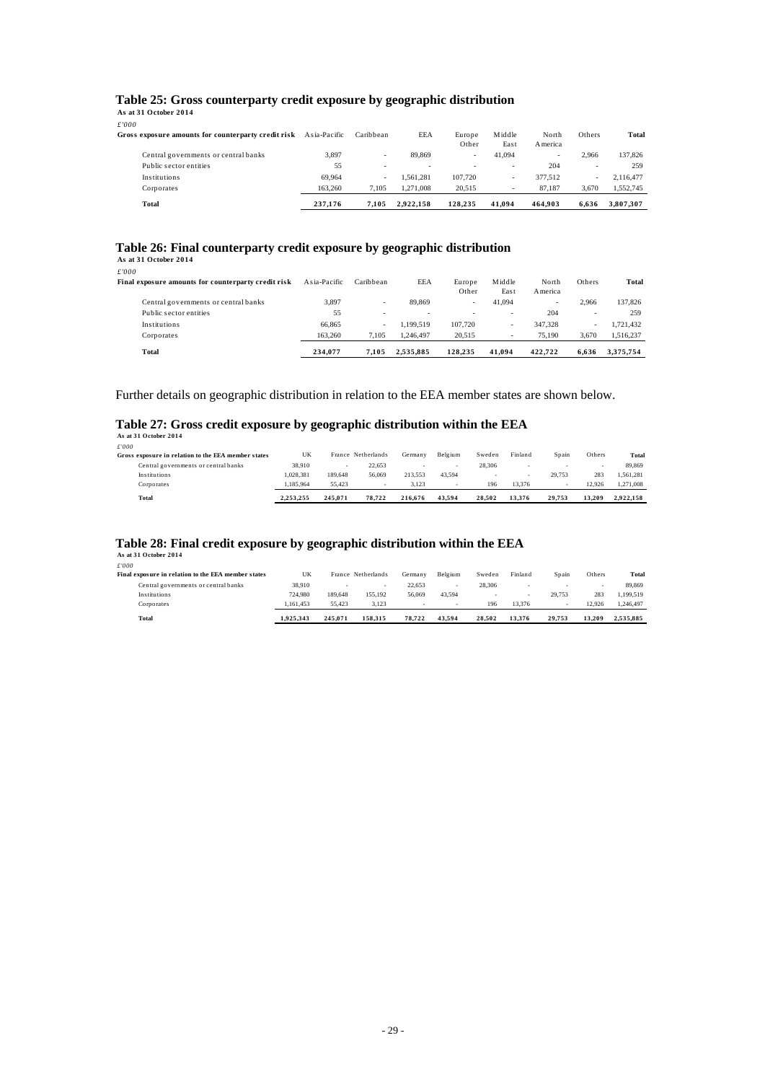# <span id="page-31-0"></span>**Table 25: Gross counterparty credit exposure by geographic distribution As at 31 October 2014**

*£'000*

| Corporates                                                  | 163,260       | 7.105     | 1.271.008 | 20.515          | $\sim$         | 87.187            | 3.670  | 1,552,745 |
|-------------------------------------------------------------|---------------|-----------|-----------|-----------------|----------------|-------------------|--------|-----------|
| Institutions                                                | 69.964        | ۰         | .561.281  | 107.720         | ۰              | 377.512           | $\sim$ | 2.116.477 |
| Public sector entities                                      | 55            | $\sim$    |           |                 | $\sim$         | 204               |        | 259       |
| Central governments or central banks                        | 3.897         | $\sim$    | 89.869    | -               | 41.094         | -                 | 2.966  | 137,826   |
| r nn<br>Gross exposure amounts for counterparty credit risk | A sia-Pacific | Caribbean | EEA       | Europe<br>Other | Middle<br>East | North<br>A merica | Others | Total     |

# **Table 26: Final counterparty credit exposure by geographic distribution** As at 31 October 2014

 $\frac{f}{\mathbf{F}}$ 

| Total                                                         | 234.077       | 7.105     | 2.535.885 | 128,235         | 41.094         | 422,722          | 6.636  | 3.375.754 |
|---------------------------------------------------------------|---------------|-----------|-----------|-----------------|----------------|------------------|--------|-----------|
| Corporates                                                    | 163.260       | 7.105     | 1.246.497 | 20.515          | $\sim$         | 75.190           | 3.670  | 1,516,237 |
| Institutions                                                  | 66.865        | ٠         | 1.199.519 | 107.720         | ٠              | 347,328          | ۰.     | 1,721,432 |
| Public sector entities                                        | 55            | ۰         |           |                 | $\sim$         | 204              | -      | 259       |
| Central governments or central banks                          | 3.897         | <b>.</b>  | 89.869    | $\sim$          | 41.094         | . .              | 2.966  | 137.826   |
| f '000<br>Final exposure amounts for counterparty credit risk | A sia-Pacific | Caribbean | EEA       | Europe<br>Other | Middle<br>East | North<br>America | Others | Total     |

Further details on geographic distribution in relation to the EEA member states are shown below.

# **Table 27: Gross credit exposure by geographic distribution within the EEA** As at 31 October 2014

*£'000*

| Total                                               | 2.253.255 | 245.071 | 78.722             | 216.676 | 43.594  | 28.502 | 13.376  | 29.753 | 13.209 | 2.922.158 |
|-----------------------------------------------------|-----------|---------|--------------------|---------|---------|--------|---------|--------|--------|-----------|
| Corporates                                          | .185.964  | 55.423  |                    | 3.123   |         | 196    | 13.376  |        | 12.926 | 1.271.008 |
| Institutions                                        | 1.028.381 | 189,648 | 56.069             | 213.553 | 43.594  |        |         | 29.753 | 283    | .561.281  |
| Central governments or central banks                | 38.910    |         | 22.653             |         |         | 28.306 |         |        |        | 89.869    |
| Gross exposure in relation to the EEA member states | UK        |         | France Netherlands | Germany | Belgium | Sweden | Finland | Spain  | Others | Total     |
| .                                                   |           |         |                    |         |         |        |         |        |        |           |

# **Table 28: Final credit exposure by geographic distribution within the EEA** As at 31 October 2014

*£'000*

| Total                                                    | 1.925.343 | 245.071 | 158.315            | 78.722  | 43.594  | 28.502 | 13.376  | 29.753 | 13.209 | 2.535.885 |
|----------------------------------------------------------|-----------|---------|--------------------|---------|---------|--------|---------|--------|--------|-----------|
| Corporates                                               | .161.453  | 55.423  | 3.123              |         |         | 196    | 13.376  |        | 12.926 | .246.497  |
| Institutions                                             | 724,980   | 189,648 | 155.192            | 56,069  | 43.594  |        |         | 29.753 | 283    | .199.519  |
| Central governments or central banks                     | 38.910    |         |                    | 22.653  |         | 28,306 |         |        |        | 89.869    |
| .<br>Final exposure in relation to the EEA member states | UK        |         | France Netherlands | Germany | Belgium | Sweden | Finland | Spain  | Others | Total     |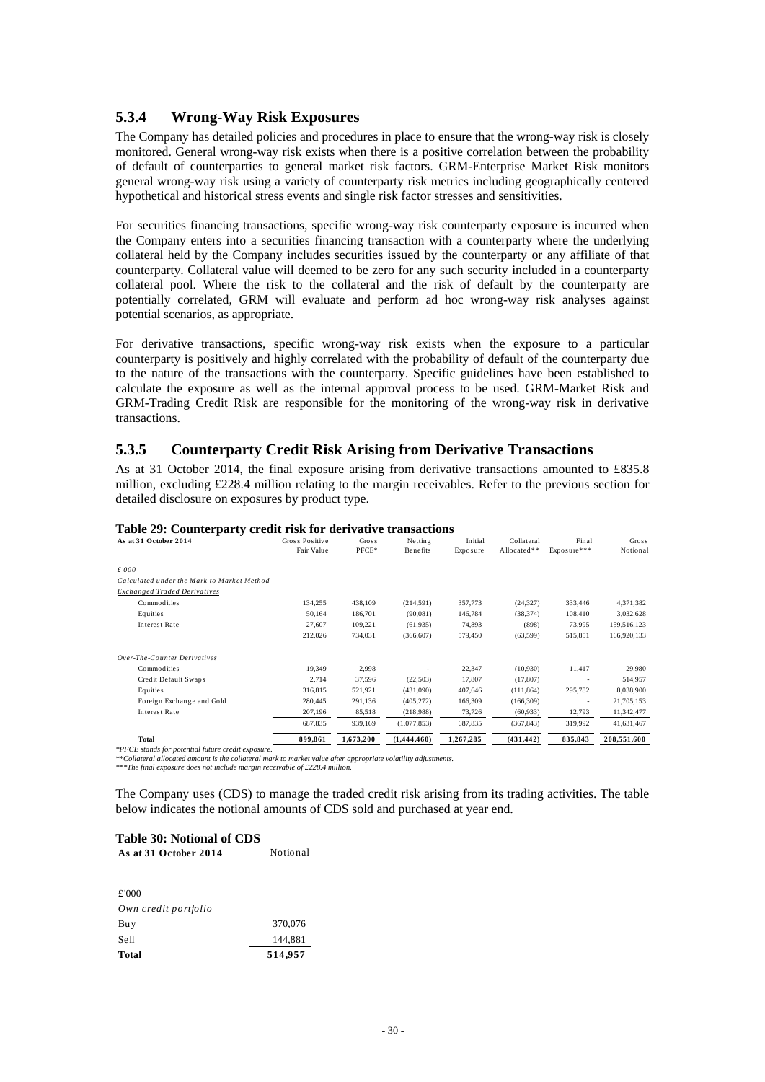#### <span id="page-32-0"></span>**5.3.4 Wrong-Way Risk Exposures**

The Company has detailed policies and procedures in place to ensure that the wrong-way risk is closely monitored. General wrong-way risk exists when there is a positive correlation between the probability of default of counterparties to general market risk factors. GRM-Enterprise Market Risk monitors general wrong-way risk using a variety of counterparty risk metrics including geographically centered hypothetical and historical stress events and single risk factor stresses and sensitivities.

For securities financing transactions, specific wrong-way risk counterparty exposure is incurred when the Company enters into a securities financing transaction with a counterparty where the underlying collateral held by the Company includes securities issued by the counterparty or any affiliate of that counterparty. Collateral value will deemed to be zero for any such security included in a counterparty collateral pool. Where the risk to the collateral and the risk of default by the counterparty are potentially correlated, GRM will evaluate and perform ad hoc wrong-way risk analyses against potential scenarios, as appropriate.

For derivative transactions, specific wrong-way risk exists when the exposure to a particular counterparty is positively and highly correlated with the probability of default of the counterparty due to the nature of the transactions with the counterparty. Specific guidelines have been established to calculate the exposure as well as the internal approval process to be used. GRM-Market Risk and GRM-Trading Credit Risk are responsible for the monitoring of the wrong-way risk in derivative transactions.

#### **5.3.5 Counterparty Credit Risk Arising from Derivative Transactions**

As at 31 October 2014, the final exposure arising from derivative transactions amounted to £835.8 million, excluding £228.4 million relating to the margin receivables. Refer to the previous section for detailed disclosure on exposures by product type.

| Table 27. Counterparty create risk for acrivative transactions |                |              |             |           |             |             |              |
|----------------------------------------------------------------|----------------|--------------|-------------|-----------|-------------|-------------|--------------|
| As at 31 October 2014                                          | Gross Positive | <b>Gross</b> | Netting     | Initial   | Collateral  | Final       | <b>Gross</b> |
|                                                                | Fair Value     | PFCE*        | Benefits    | Exposure  | Allocated** | Exposure*** | Notional     |
|                                                                |                |              |             |           |             |             |              |
| £'000                                                          |                |              |             |           |             |             |              |
| Calculated under the Mark to Market Method                     |                |              |             |           |             |             |              |
| <b>Exchanged Traded Derivatives</b>                            |                |              |             |           |             |             |              |
| Commodities                                                    | 134,255        | 438,109      | (214, 591)  | 357,773   | (24, 327)   | 333,446     | 4,371,382    |
| Equities                                                       | 50,164         | 186,701      | (90,081)    | 146,784   | (38, 374)   | 108,410     | 3,032,628    |
| <b>Interest Rate</b>                                           | 27,607         | 109,221      | (61, 935)   | 74,893    | (898)       | 73,995      | 159,516,123  |
|                                                                | 212,026        | 734,031      | (366, 607)  | 579,450   | (63,599)    | 515,851     | 166,920,133  |
| Over-The-Counter Derivatives                                   |                |              |             |           |             |             |              |
| Commodities                                                    | 19,349         | 2,998        |             | 22,347    | (10,930)    | 11,417      | 29,980       |
| Credit Default Swaps                                           | 2,714          | 37,596       | (22, 503)   | 17,807    | (17, 807)   |             | 514,957      |
| Equities                                                       | 316,815        | 521,921      | (431,090)   | 407,646   | (111, 864)  | 295,782     | 8,038,900    |
| Foreign Exchange and Gold                                      | 280,445        | 291,136      | (405, 272)  | 166,309   | (166, 309)  | ٠           | 21,705,153   |
| Interest Rate                                                  | 207,196        | 85,518       | (218,988)   | 73,726    | (60, 933)   | 12,793      | 11,342,477   |
|                                                                | 687,835        | 939,169      | (1,077,853) | 687,835   | (367, 843)  | 319,992     | 41,631,467   |
| Total                                                          | 899.861        | 1.673.200    | (1.444.460) | 1.267.285 | (431, 442)  | 835.843     | 208,551,600  |

#### **Table 29: Counterparty credit risk for derivative transactions**

*\*PFCE stands for potential future credit exposure.* 

*\*\*Collateral allocated amount is the collateral mark to market value after appropriate volatility adjustments. \*\*\*The final exposure does not include margin receivable of £228.4 million.* 

The Company uses (CDS) to manage the traded credit risk arising from its trading activities. The table below indicates the notional amounts of CDS sold and purchased at year end.

#### **Table 30: Notional of CDS**  As at 31 October 2014 Notional

| £'000                |         |
|----------------------|---------|
| Own credit portfolio |         |
| Buy                  | 370,076 |
| Sell                 | 144.881 |
| Total                | 514,957 |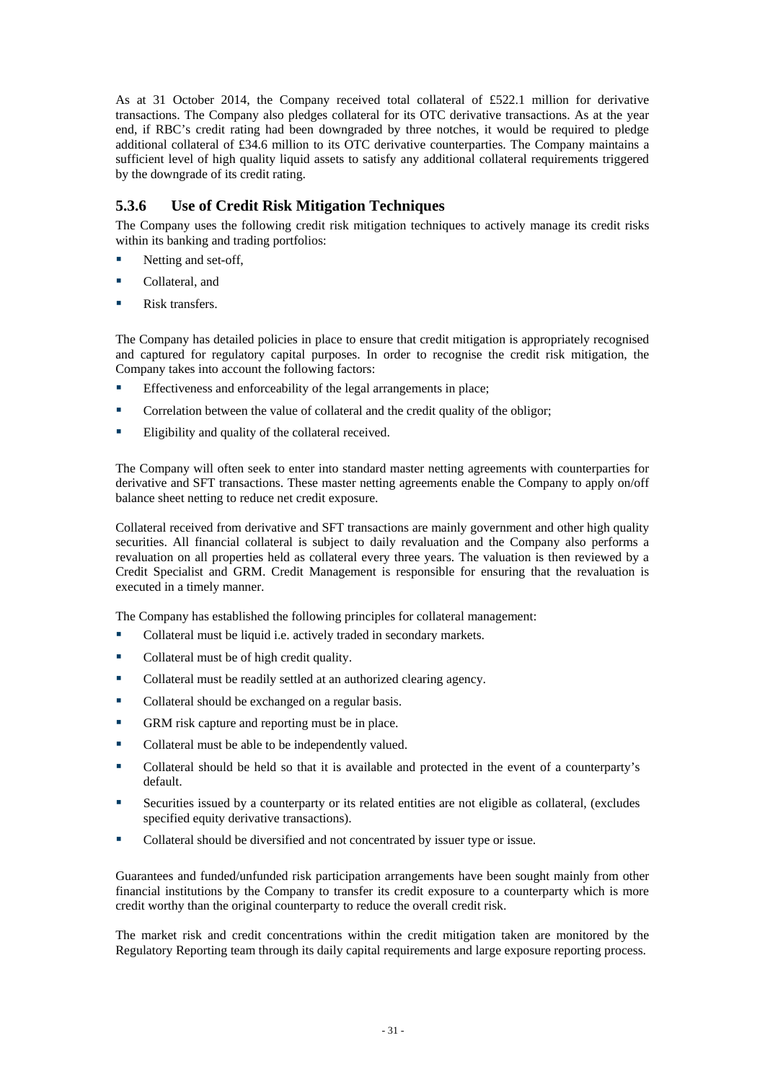<span id="page-33-0"></span>As at 31 October 2014, the Company received total collateral of £522.1 million for derivative transactions. The Company also pledges collateral for its OTC derivative transactions. As at the year end, if RBC's credit rating had been downgraded by three notches, it would be required to pledge additional collateral of £34.6 million to its OTC derivative counterparties. The Company maintains a sufficient level of high quality liquid assets to satisfy any additional collateral requirements triggered by the downgrade of its credit rating.

## **5.3.6 Use of Credit Risk Mitigation Techniques**

The Company uses the following credit risk mitigation techniques to actively manage its credit risks within its banking and trading portfolios:

- Netting and set-off,
- Collateral, and
- Risk transfers.

The Company has detailed policies in place to ensure that credit mitigation is appropriately recognised and captured for regulatory capital purposes. In order to recognise the credit risk mitigation, the Company takes into account the following factors:

- Effectiveness and enforceability of the legal arrangements in place;
- **Correlation between the value of collateral and the credit quality of the obligor;**
- Eligibility and quality of the collateral received.

The Company will often seek to enter into standard master netting agreements with counterparties for derivative and SFT transactions. These master netting agreements enable the Company to apply on/off balance sheet netting to reduce net credit exposure.

Collateral received from derivative and SFT transactions are mainly government and other high quality securities. All financial collateral is subject to daily revaluation and the Company also performs a revaluation on all properties held as collateral every three years. The valuation is then reviewed by a Credit Specialist and GRM. Credit Management is responsible for ensuring that the revaluation is executed in a timely manner.

The Company has established the following principles for collateral management:

- Collateral must be liquid i.e. actively traded in secondary markets.
- Collateral must be of high credit quality.
- Collateral must be readily settled at an authorized clearing agency.
- Collateral should be exchanged on a regular basis.
- GRM risk capture and reporting must be in place.
- Collateral must be able to be independently valued.
- Collateral should be held so that it is available and protected in the event of a counterparty's default.
- Securities issued by a counterparty or its related entities are not eligible as collateral, (excludes specified equity derivative transactions).
- Collateral should be diversified and not concentrated by issuer type or issue.

Guarantees and funded/unfunded risk participation arrangements have been sought mainly from other financial institutions by the Company to transfer its credit exposure to a counterparty which is more credit worthy than the original counterparty to reduce the overall credit risk.

The market risk and credit concentrations within the credit mitigation taken are monitored by the Regulatory Reporting team through its daily capital requirements and large exposure reporting process.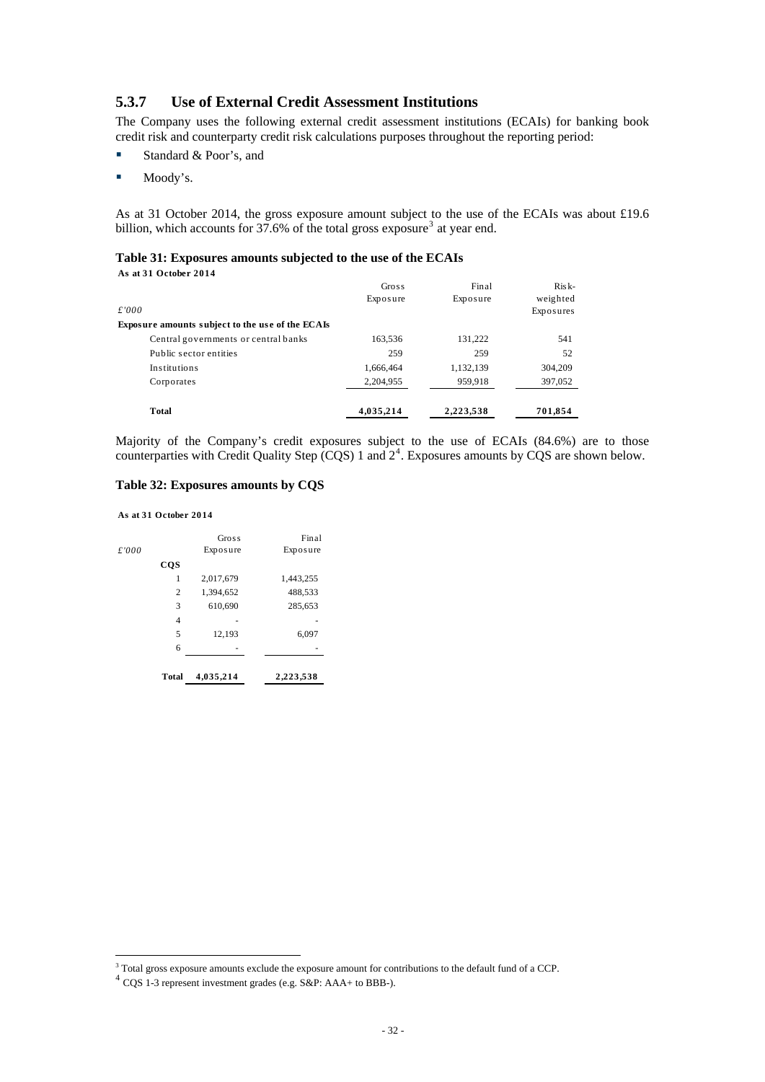#### <span id="page-34-0"></span>**5.3.7 Use of External Credit Assessment Institutions**

The Company uses the following external credit assessment institutions (ECAIs) for banking book credit risk and counterparty credit risk calculations purposes throughout the reporting period:

- Standard & Poor's, and
- Moody's.

As at 31 October 2014, the gross exposure amount subject to the use of the ECAIs was about £19.6 billion, which accounts for  $37.6\%$  $37.6\%$  of the total gross exposure<sup>3</sup> at year end.

#### **Table 31: Exposures amounts subjected to the use of the ECAIs As at 31 October 2014**

| £'000<br>Exposure amounts subject to the use of the ECAIs | Gross<br>Exposure | Final<br>Exposure | $Risk-$<br>weighted<br>Exposures |
|-----------------------------------------------------------|-------------------|-------------------|----------------------------------|
| Central governments or central banks                      | 163,536           | 131,222           | 541                              |
| Public sector entities                                    | 259               | 259               | 52                               |
| Institutions                                              | 1,666,464         | 1,132,139         | 304,209                          |
| Corporates                                                | 2,204,955         | 959,918           | 397,052                          |
| Total                                                     | 4,035,214         | 2,223,538         | 701,854                          |

Majority of the Company's credit exposures subject to the use of ECAIs (84.6%) are to those counterparties with Credit Quality Step  $(CQS)$  1 and  $2<sup>4</sup>$  $2<sup>4</sup>$  $2<sup>4</sup>$ . Exposures amounts by CQS are shown below.

#### **Table 32: Exposures amounts by CQS**

**As at 31 October 2014**

|       | <b>Total</b> | 4,035,214 | 2,223,538 |
|-------|--------------|-----------|-----------|
|       | 6            |           |           |
|       | 5            | 12,193    | 6,097     |
|       | 4            |           |           |
|       | 3            | 610,690   | 285,653   |
|       | 2            | 1,394,652 | 488,533   |
|       | 1            | 2,017,679 | 1,443,255 |
|       | <b>CQS</b>   |           |           |
| £'000 |              | Exposure  | Exposure  |
|       |              | Gross     | Final     |
|       |              |           |           |

<sup>&</sup>lt;sup>3</sup> Total gross exposure amounts exclude the exposure amount for contributions to the default fund of a CCP.<br><sup>4</sup> CQS 1-3 represent investment grades (e.g. S&P: AAA+ to BBB-).

<span id="page-34-2"></span><span id="page-34-1"></span>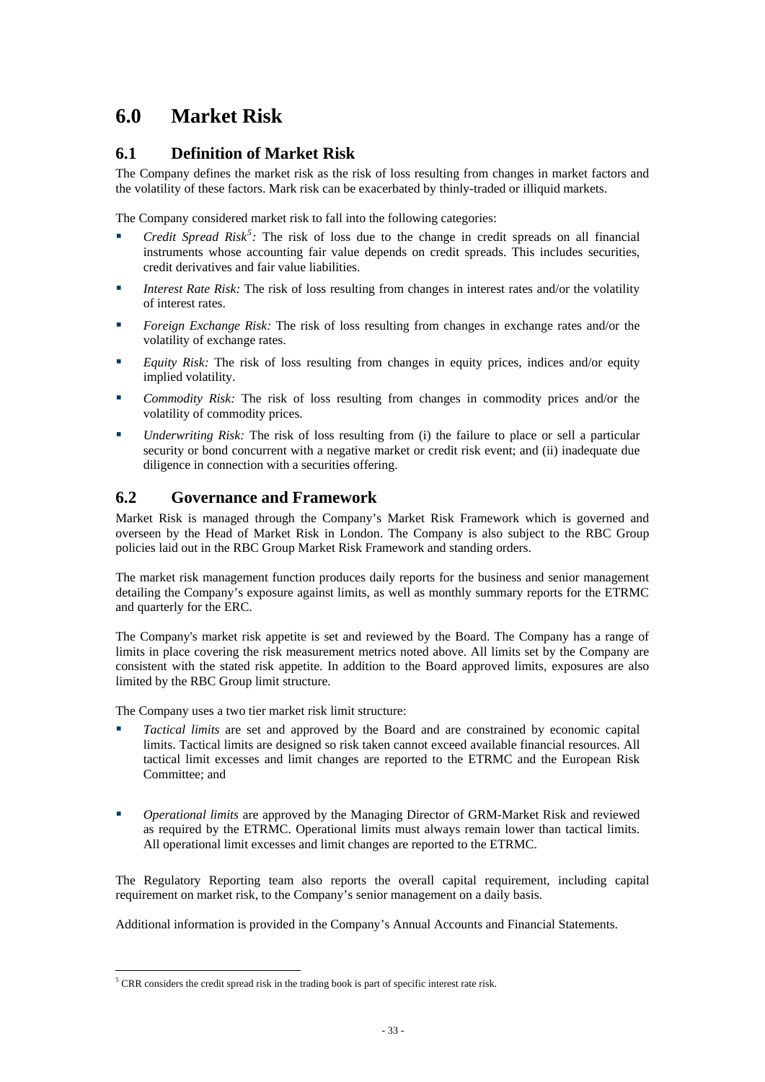# <span id="page-35-0"></span>**6.0 Market Risk**

## **6.1 Definition of Market Risk**

The Company defines the market risk as the risk of loss resulting from changes in market factors and the volatility of these factors. Mark risk can be exacerbated by thinly-traded or illiquid markets.

The Company considered market risk to fall into the following categories:

- *Credit Spread Risk<sup>[5](#page-35-1)</sup>*: The risk of loss due to the change in credit spreads on all financial instruments whose accounting fair value depends on credit spreads. This includes securities, credit derivatives and fair value liabilities.
- **Interest Rate Risk:** The risk of loss resulting from changes in interest rates and/or the volatility of interest rates.
- *Foreign Exchange Risk:* The risk of loss resulting from changes in exchange rates and/or the volatility of exchange rates.
- *Equity Risk:* The risk of loss resulting from changes in equity prices, indices and/or equity implied volatility.
- *Commodity Risk:* The risk of loss resulting from changes in commodity prices and/or the volatility of commodity prices.
- *Underwriting Risk:* The risk of loss resulting from (i) the failure to place or sell a particular security or bond concurrent with a negative market or credit risk event; and (ii) inadequate due diligence in connection with a securities offering.

## **6.2 Governance and Framework**

Market Risk is managed through the Company's Market Risk Framework which is governed and overseen by the Head of Market Risk in London. The Company is also subject to the RBC Group policies laid out in the RBC Group Market Risk Framework and standing orders.

The market risk management function produces daily reports for the business and senior management detailing the Company's exposure against limits, as well as monthly summary reports for the ETRMC and quarterly for the ERC.

The Company's market risk appetite is set and reviewed by the Board. The Company has a range of limits in place covering the risk measurement metrics noted above. All limits set by the Company are consistent with the stated risk appetite. In addition to the Board approved limits, exposures are also limited by the RBC Group limit structure.

The Company uses a two tier market risk limit structure:

- *Tactical limits* are set and approved by the Board and are constrained by economic capital limits. Tactical limits are designed so risk taken cannot exceed available financial resources. All tactical limit excesses and limit changes are reported to the ETRMC and the European Risk Committee; and
- *Operational limits* are approved by the Managing Director of GRM-Market Risk and reviewed as required by the ETRMC. Operational limits must always remain lower than tactical limits. All operational limit excesses and limit changes are reported to the ETRMC.

The Regulatory Reporting team also reports the overall capital requirement, including capital requirement on market risk, to the Company's senior management on a daily basis.

Additional information is provided in the Company's Annual Accounts and Financial Statements.

<span id="page-35-1"></span><sup>&</sup>lt;u>.</u>  $<sup>5</sup> CRR$  considers the credit spread risk in the trading book is part of specific interest rate risk.</sup>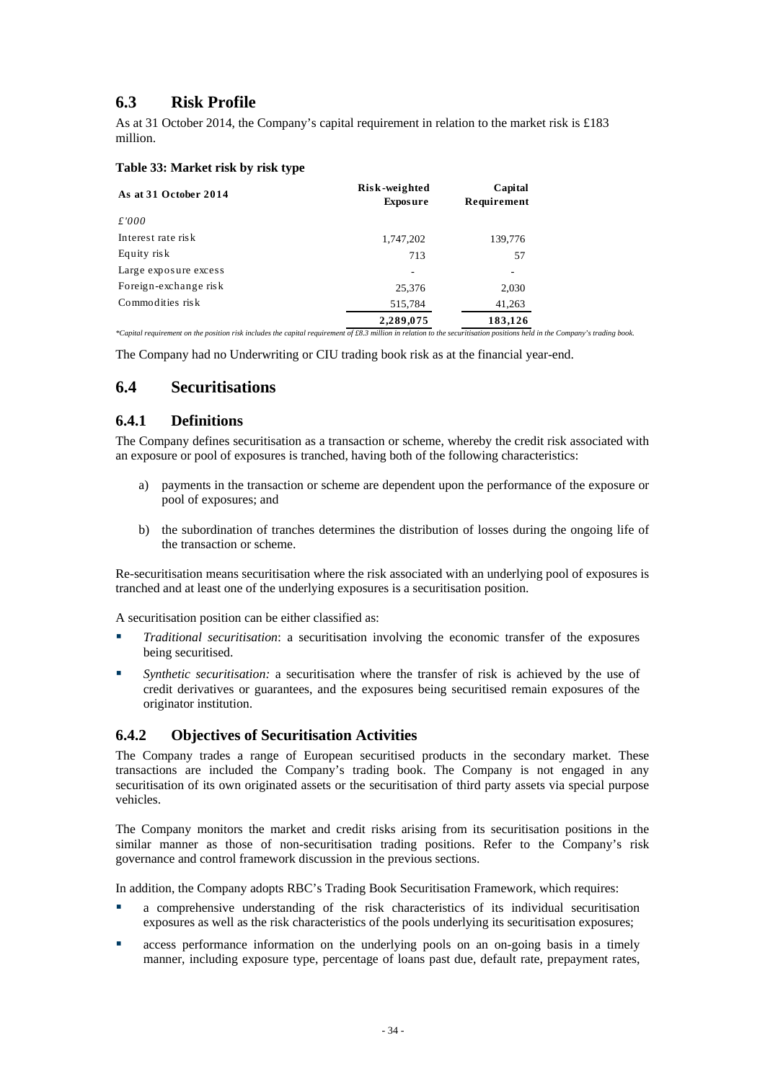## <span id="page-36-0"></span>**6.3 Risk Profile**

As at 31 October 2014, the Company's capital requirement in relation to the market risk is £183 million.

#### **Table 33: Market risk by risk type**

| As at 31 October 2014                                                                                                                                                      | Risk-weighted<br><b>Exposure</b> | Capital<br>Requirement |  |
|----------------------------------------------------------------------------------------------------------------------------------------------------------------------------|----------------------------------|------------------------|--|
| £'000                                                                                                                                                                      |                                  |                        |  |
| Interest rate risk                                                                                                                                                         | 1,747,202                        | 139,776                |  |
| Equity risk                                                                                                                                                                | 713                              | 57                     |  |
| Large exposure excess                                                                                                                                                      |                                  |                        |  |
| Foreign-exchange risk                                                                                                                                                      | 25,376                           | 2,030                  |  |
| Commodities risk                                                                                                                                                           | 515,784                          | 41,263                 |  |
|                                                                                                                                                                            | 2,289,075                        | 183,126                |  |
| *Capital requirement on the position risk includes the capital requirement of £8.3 million in relation to the securitisation positions held in the Company's trading book. |                                  |                        |  |

The Company had no Underwriting or CIU trading book risk as at the financial year-end.

## **6.4 Securitisations**

#### **6.4.1 Definitions**

The Company defines securitisation as a transaction or scheme, whereby the credit risk associated with an exposure or pool of exposures is tranched, having both of the following characteristics:

- a) payments in the transaction or scheme are dependent upon the performance of the exposure or pool of exposures; and
- b) the subordination of tranches determines the distribution of losses during the ongoing life of the transaction or scheme.

Re-securitisation means securitisation where the risk associated with an underlying pool of exposures is tranched and at least one of the underlying exposures is a securitisation position.

A securitisation position can be either classified as:

- *Traditional securitisation*: a securitisation involving the economic transfer of the exposures being securitised.
- *Synthetic securitisation:* a securitisation where the transfer of risk is achieved by the use of credit derivatives or guarantees, and the exposures being securitised remain exposures of the originator institution.

### **6.4.2 Objectives of Securitisation Activities**

The Company trades a range of European securitised products in the secondary market. These transactions are included the Company's trading book. The Company is not engaged in any securitisation of its own originated assets or the securitisation of third party assets via special purpose vehicles.

The Company monitors the market and credit risks arising from its securitisation positions in the similar manner as those of non-securitisation trading positions. Refer to the Company's risk governance and control framework discussion in the previous sections.

In addition, the Company adopts RBC's Trading Book Securitisation Framework, which requires:

- a comprehensive understanding of the risk characteristics of its individual securitisation exposures as well as the risk characteristics of the pools underlying its securitisation exposures;
- access performance information on the underlying pools on an on-going basis in a timely manner, including exposure type, percentage of loans past due, default rate, prepayment rates,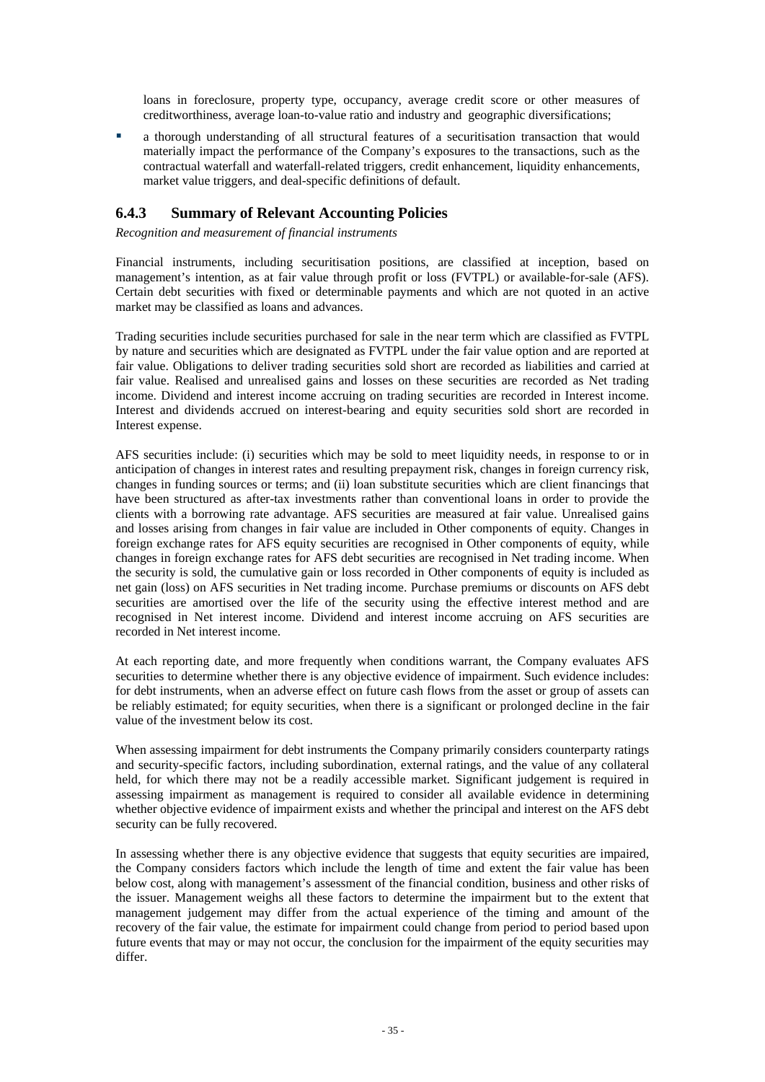<span id="page-37-0"></span>loans in foreclosure, property type, occupancy, average credit score or other measures of creditworthiness, average loan-to-value ratio and industry and geographic diversifications;

 a thorough understanding of all structural features of a securitisation transaction that would materially impact the performance of the Company's exposures to the transactions, such as the contractual waterfall and waterfall-related triggers, credit enhancement, liquidity enhancements, market value triggers, and deal-specific definitions of default.

### **6.4.3 Summary of Relevant Accounting Policies**

*Recognition and measurement of financial instruments* 

Financial instruments, including securitisation positions, are classified at inception, based on management's intention, as at fair value through profit or loss (FVTPL) or available-for-sale (AFS). Certain debt securities with fixed or determinable payments and which are not quoted in an active market may be classified as loans and advances.

Trading securities include securities purchased for sale in the near term which are classified as FVTPL by nature and securities which are designated as FVTPL under the fair value option and are reported at fair value. Obligations to deliver trading securities sold short are recorded as liabilities and carried at fair value. Realised and unrealised gains and losses on these securities are recorded as Net trading income. Dividend and interest income accruing on trading securities are recorded in Interest income. Interest and dividends accrued on interest-bearing and equity securities sold short are recorded in Interest expense.

AFS securities include: (i) securities which may be sold to meet liquidity needs, in response to or in anticipation of changes in interest rates and resulting prepayment risk, changes in foreign currency risk, changes in funding sources or terms; and (ii) loan substitute securities which are client financings that have been structured as after-tax investments rather than conventional loans in order to provide the clients with a borrowing rate advantage. AFS securities are measured at fair value. Unrealised gains and losses arising from changes in fair value are included in Other components of equity. Changes in foreign exchange rates for AFS equity securities are recognised in Other components of equity, while changes in foreign exchange rates for AFS debt securities are recognised in Net trading income. When the security is sold, the cumulative gain or loss recorded in Other components of equity is included as net gain (loss) on AFS securities in Net trading income. Purchase premiums or discounts on AFS debt securities are amortised over the life of the security using the effective interest method and are recognised in Net interest income. Dividend and interest income accruing on AFS securities are recorded in Net interest income.

At each reporting date, and more frequently when conditions warrant, the Company evaluates AFS securities to determine whether there is any objective evidence of impairment. Such evidence includes: for debt instruments, when an adverse effect on future cash flows from the asset or group of assets can be reliably estimated; for equity securities, when there is a significant or prolonged decline in the fair value of the investment below its cost.

When assessing impairment for debt instruments the Company primarily considers counterparty ratings and security-specific factors, including subordination, external ratings, and the value of any collateral held, for which there may not be a readily accessible market. Significant judgement is required in assessing impairment as management is required to consider all available evidence in determining whether objective evidence of impairment exists and whether the principal and interest on the AFS debt security can be fully recovered.

In assessing whether there is any objective evidence that suggests that equity securities are impaired, the Company considers factors which include the length of time and extent the fair value has been below cost, along with management's assessment of the financial condition, business and other risks of the issuer. Management weighs all these factors to determine the impairment but to the extent that management judgement may differ from the actual experience of the timing and amount of the recovery of the fair value, the estimate for impairment could change from period to period based upon future events that may or may not occur, the conclusion for the impairment of the equity securities may differ.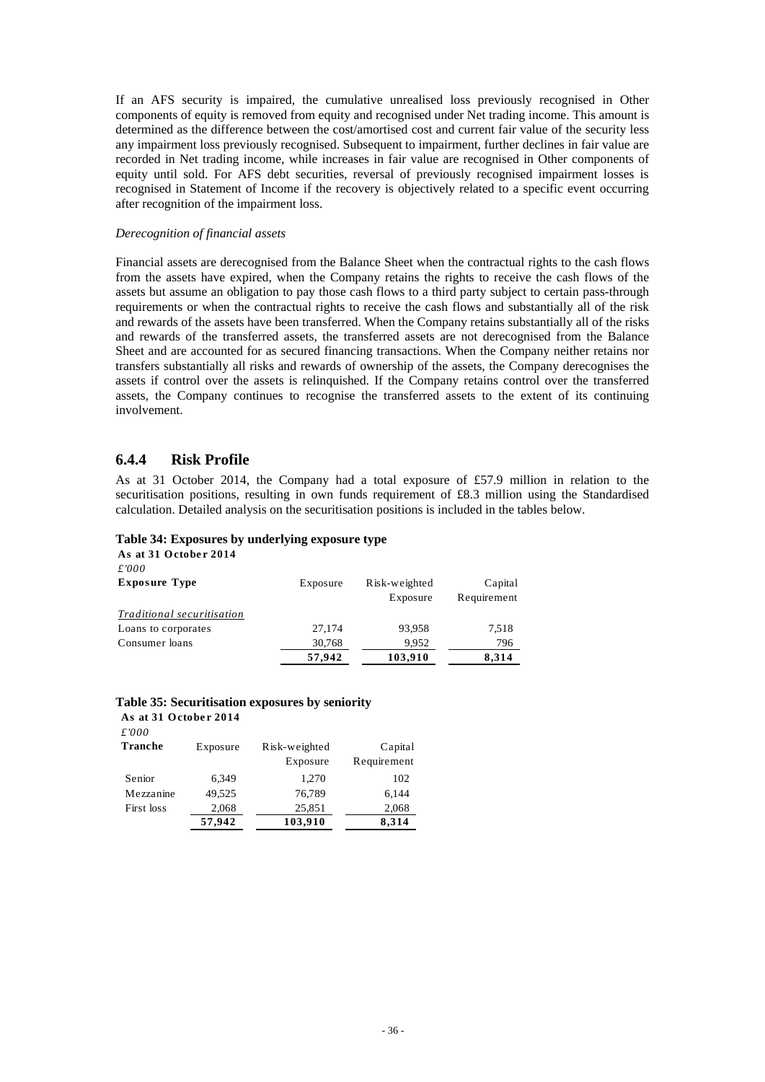<span id="page-38-0"></span>If an AFS security is impaired, the cumulative unrealised loss previously recognised in Other components of equity is removed from equity and recognised under Net trading income. This amount is determined as the difference between the cost/amortised cost and current fair value of the security less any impairment loss previously recognised. Subsequent to impairment, further declines in fair value are recorded in Net trading income, while increases in fair value are recognised in Other components of equity until sold. For AFS debt securities, reversal of previously recognised impairment losses is recognised in Statement of Income if the recovery is objectively related to a specific event occurring after recognition of the impairment loss.

#### *Derecognition of financial assets*

Financial assets are derecognised from the Balance Sheet when the contractual rights to the cash flows from the assets have expired, when the Company retains the rights to receive the cash flows of the assets but assume an obligation to pay those cash flows to a third party subject to certain pass-through requirements or when the contractual rights to receive the cash flows and substantially all of the risk and rewards of the assets have been transferred. When the Company retains substantially all of the risks and rewards of the transferred assets, the transferred assets are not derecognised from the Balance Sheet and are accounted for as secured financing transactions. When the Company neither retains nor transfers substantially all risks and rewards of ownership of the assets, the Company derecognises the assets if control over the assets is relinquished. If the Company retains control over the transferred assets, the Company continues to recognise the transferred assets to the extent of its continuing involvement.

#### **6.4.4 Risk Profile**

As at 31 October 2014, the Company had a total exposure of £57.9 million in relation to the securitisation positions, resulting in own funds requirement of £8.3 million using the Standardised calculation. Detailed analysis on the securitisation positions is included in the tables below.

#### **Table 34: Exposures by underlying exposure type**

As at 31 October 2014 *£'000*

| <b>Exposure Type</b>              | Exposure | Risk-weighted | Capital     |
|-----------------------------------|----------|---------------|-------------|
|                                   |          | Exposure      | Requirement |
| <i>Traditional securitisation</i> |          |               |             |
| Loans to corporates               | 27,174   | 93,958        | 7,518       |
| Consumer loans                    | 30,768   | 9.952         | 796         |
|                                   | 57,942   | 103,910       | 8,314       |

#### **Table 35: Securitisation exposures by seniority**

**As at 31 Octobe r 2014** *£'000*

| L 171717<br>Tranche | Exposure | Risk-weighted | Capital     |
|---------------------|----------|---------------|-------------|
|                     |          | Exposure      | Requirement |
| Senior              | 6,349    | 1,270         | 102         |
| Mezzanine           | 49,525   | 76,789        | 6,144       |
| First loss          | 2,068    | 25,851        | 2,068       |
|                     | 57,942   | 103,910       | 8,314       |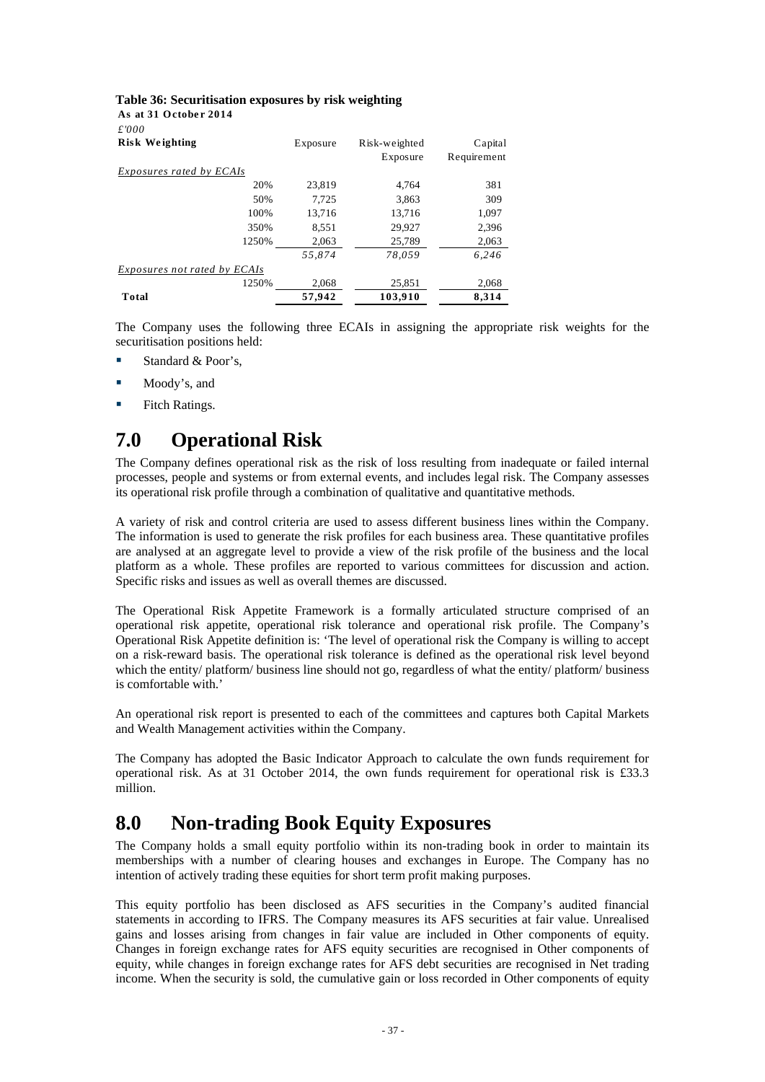#### <span id="page-39-0"></span>**Table 36: Securitisation exposures by risk weighting**

**As at 31 Octobe r 2014**

| £'000                               |          |               |             |
|-------------------------------------|----------|---------------|-------------|
| <b>Risk Weighting</b>               | Exposure | Risk-weighted | Capital     |
|                                     |          | Exposure      | Requirement |
| <i>Exposures rated by ECAIs</i>     |          |               |             |
| 20%                                 | 23.819   | 4.764         | 381         |
| 50%                                 | 7.725    | 3.863         | 309         |
| 100%                                | 13.716   | 13.716        | 1,097       |
| 350%                                | 8,551    | 29,927        | 2,396       |
| 1250%                               | 2,063    | 25,789        | 2,063       |
|                                     | 55.874   | 78.059        | 6.246       |
| <i>Exposures not rated by ECAIs</i> |          |               |             |
| 1250%                               | 2.068    | 25,851        | 2,068       |
| Total                               | 57,942   | 103,910       | 8,314       |

The Company uses the following three ECAIs in assigning the appropriate risk weights for the securitisation positions held:

- Standard & Poor's,
- Moody's, and
- Fitch Ratings.

# **7.0 Operational Risk**

The Company defines operational risk as the risk of loss resulting from inadequate or failed internal processes, people and systems or from external events, and includes legal risk. The Company assesses its operational risk profile through a combination of qualitative and quantitative methods.

A variety of risk and control criteria are used to assess different business lines within the Company. The information is used to generate the risk profiles for each business area. These quantitative profiles are analysed at an aggregate level to provide a view of the risk profile of the business and the local platform as a whole. These profiles are reported to various committees for discussion and action. Specific risks and issues as well as overall themes are discussed.

The Operational Risk Appetite Framework is a formally articulated structure comprised of an operational risk appetite, operational risk tolerance and operational risk profile. The Company's Operational Risk Appetite definition is: 'The level of operational risk the Company is willing to accept on a risk-reward basis. The operational risk tolerance is defined as the operational risk level beyond which the entity/ platform/ business line should not go, regardless of what the entity/ platform/ business is comfortable with.'

An operational risk report is presented to each of the committees and captures both Capital Markets and Wealth Management activities within the Company.

The Company has adopted the Basic Indicator Approach to calculate the own funds requirement for operational risk. As at 31 October 2014, the own funds requirement for operational risk is £33.3 million.

## **8.0 Non-trading Book Equity Exposures**

The Company holds a small equity portfolio within its non-trading book in order to maintain its memberships with a number of clearing houses and exchanges in Europe. The Company has no intention of actively trading these equities for short term profit making purposes.

This equity portfolio has been disclosed as AFS securities in the Company's audited financial statements in according to IFRS. The Company measures its AFS securities at fair value. Unrealised gains and losses arising from changes in fair value are included in Other components of equity. Changes in foreign exchange rates for AFS equity securities are recognised in Other components of equity, while changes in foreign exchange rates for AFS debt securities are recognised in Net trading income. When the security is sold, the cumulative gain or loss recorded in Other components of equity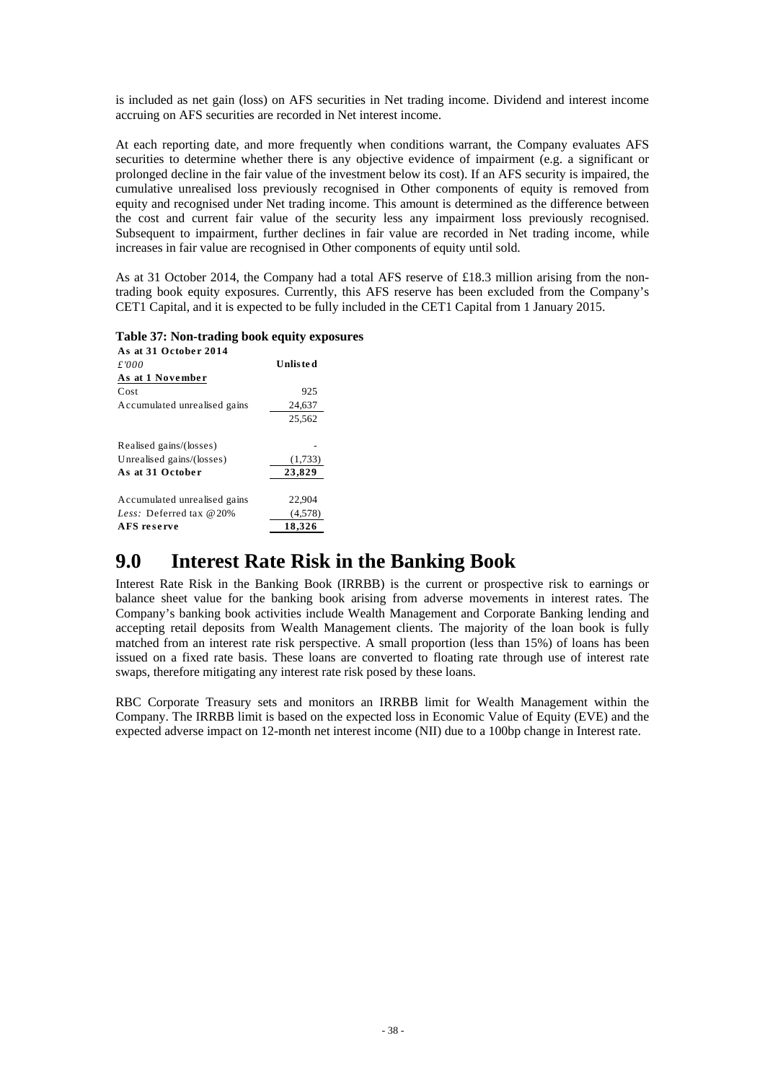<span id="page-40-0"></span>is included as net gain (loss) on AFS securities in Net trading income. Dividend and interest income accruing on AFS securities are recorded in Net interest income.

At each reporting date, and more frequently when conditions warrant, the Company evaluates AFS securities to determine whether there is any objective evidence of impairment (e.g. a significant or prolonged decline in the fair value of the investment below its cost). If an AFS security is impaired, the cumulative unrealised loss previously recognised in Other components of equity is removed from equity and recognised under Net trading income. This amount is determined as the difference between the cost and current fair value of the security less any impairment loss previously recognised. Subsequent to impairment, further declines in fair value are recorded in Net trading income, while increases in fair value are recognised in Other components of equity until sold.

As at 31 October 2014, the Company had a total AFS reserve of £18.3 million arising from the nontrading book equity exposures. Currently, this AFS reserve has been excluded from the Company's CET1 Capital, and it is expected to be fully included in the CET1 Capital from 1 January 2015.

#### **Table 37: Non-trading book equity exposures**

| As at 31 October 2014        |          |
|------------------------------|----------|
| £'000                        | Unlisted |
| As at 1 November             |          |
| Cost                         | 925      |
| Accumulated unrealised gains | 24,637   |
|                              | 25,562   |
| Realised gains/(losses)      |          |
| Unrealised gains/(losses)    | (1,733)  |
| As at 31 October             | 23,829   |
| Accumulated unrealised gains | 22,904   |
| Less: Deferred tax $@20\%$   | (4,578)  |
| <b>AFS</b> reserve           | 18,326   |

## **9.0 Interest Rate Risk in the Banking Book**

Interest Rate Risk in the Banking Book (IRRBB) is the current or prospective risk to earnings or balance sheet value for the banking book arising from adverse movements in interest rates. The Company's banking book activities include Wealth Management and Corporate Banking lending and accepting retail deposits from Wealth Management clients. The majority of the loan book is fully matched from an interest rate risk perspective. A small proportion (less than 15%) of loans has been issued on a fixed rate basis. These loans are converted to floating rate through use of interest rate swaps, therefore mitigating any interest rate risk posed by these loans.

RBC Corporate Treasury sets and monitors an IRRBB limit for Wealth Management within the Company. The IRRBB limit is based on the expected loss in Economic Value of Equity (EVE) and the expected adverse impact on 12-month net interest income (NII) due to a 100bp change in Interest rate.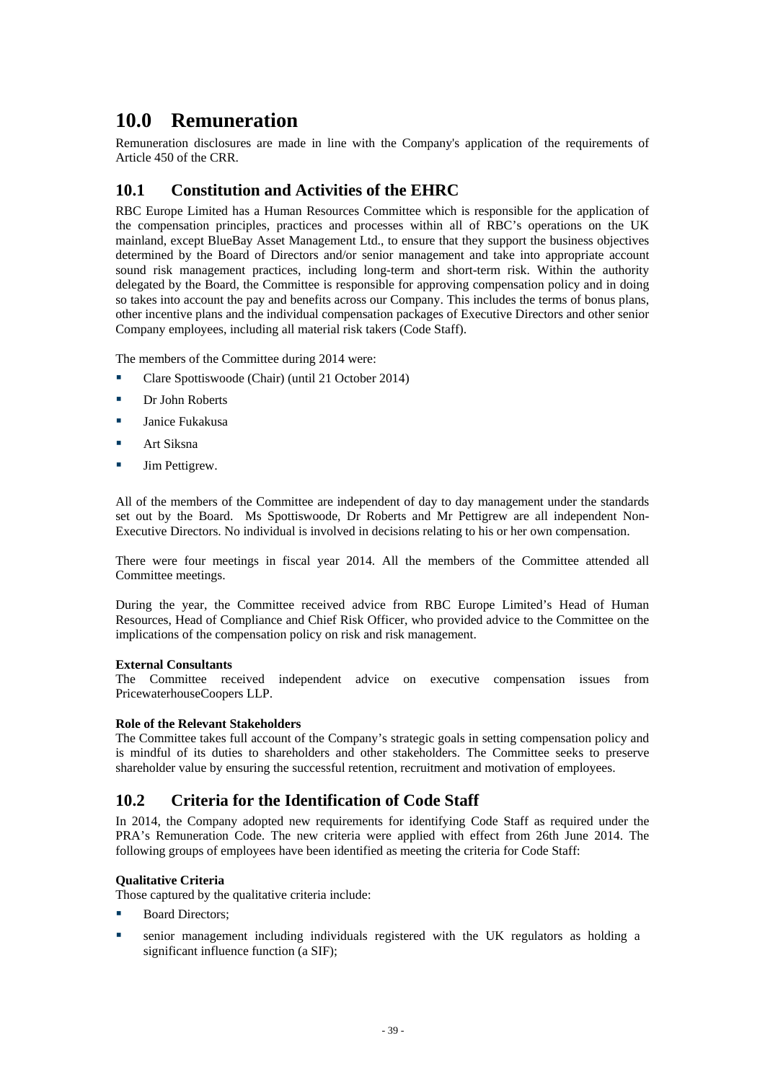## <span id="page-41-0"></span>**10.0 Remuneration**

Remuneration disclosures are made in line with the Company's application of the requirements of Article 450 of the CRR.

## **10.1 Constitution and Activities of the EHRC**

RBC Europe Limited has a Human Resources Committee which is responsible for the application of the compensation principles, practices and processes within all of RBC's operations on the UK mainland, except BlueBay Asset Management Ltd., to ensure that they support the business objectives determined by the Board of Directors and/or senior management and take into appropriate account sound risk management practices, including long-term and short-term risk. Within the authority delegated by the Board, the Committee is responsible for approving compensation policy and in doing so takes into account the pay and benefits across our Company. This includes the terms of bonus plans, other incentive plans and the individual compensation packages of Executive Directors and other senior Company employees, including all material risk takers (Code Staff).

The members of the Committee during 2014 were:

- Clare Spottiswoode (Chair) (until 21 October 2014)
- **Dr John Roberts**
- **Janice Fukakusa**
- **Art Siksna**
- **Jim Pettigrew.**

All of the members of the Committee are independent of day to day management under the standards set out by the Board. Ms Spottiswoode, Dr Roberts and Mr Pettigrew are all independent Non-Executive Directors. No individual is involved in decisions relating to his or her own compensation.

There were four meetings in fiscal year 2014. All the members of the Committee attended all Committee meetings.

During the year, the Committee received advice from RBC Europe Limited's Head of Human Resources, Head of Compliance and Chief Risk Officer, who provided advice to the Committee on the implications of the compensation policy on risk and risk management.

#### **External Consultants**

The Committee received independent advice on executive compensation issues from PricewaterhouseCoopers LLP.

#### **Role of the Relevant Stakeholders**

The Committee takes full account of the Company's strategic goals in setting compensation policy and is mindful of its duties to shareholders and other stakeholders. The Committee seeks to preserve shareholder value by ensuring the successful retention, recruitment and motivation of employees.

## **10.2 Criteria for the Identification of Code Staff**

In 2014, the Company adopted new requirements for identifying Code Staff as required under the PRA's Remuneration Code. The new criteria were applied with effect from 26th June 2014. The following groups of employees have been identified as meeting the criteria for Code Staff:

#### **Qualitative Criteria**

Those captured by the qualitative criteria include:

- Board Directors;
- senior management including individuals registered with the UK regulators as holding a significant influence function (a SIF):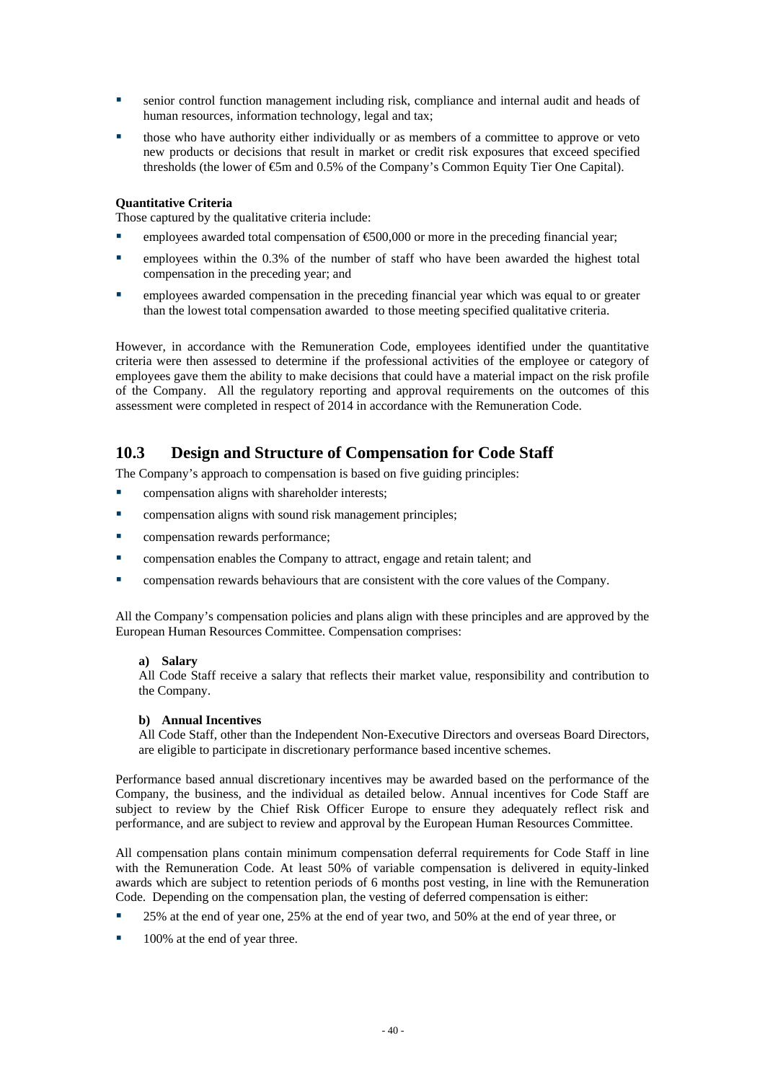- <span id="page-42-0"></span> senior control function management including risk, compliance and internal audit and heads of human resources, information technology, legal and tax;
- those who have authority either individually or as members of a committee to approve or veto new products or decisions that result in market or credit risk exposures that exceed specified thresholds (the lower of €5m and 0.5% of the Company's Common Equity Tier One Capital).

#### **Quantitative Criteria**

Those captured by the qualitative criteria include:

- employees awarded total compensation of  $\epsilon$ 500,000 or more in the preceding financial year;
- **EXECUTE:** employees within the 0.3% of the number of staff who have been awarded the highest total compensation in the preceding year; and
- employees awarded compensation in the preceding financial year which was equal to or greater than the lowest total compensation awarded to those meeting specified qualitative criteria.

However, in accordance with the Remuneration Code, employees identified under the quantitative criteria were then assessed to determine if the professional activities of the employee or category of employees gave them the ability to make decisions that could have a material impact on the risk profile of the Company. All the regulatory reporting and approval requirements on the outcomes of this assessment were completed in respect of 2014 in accordance with the Remuneration Code.

## **10.3 Design and Structure of Compensation for Code Staff**

The Company's approach to compensation is based on five guiding principles:

- **•** compensation aligns with shareholder interests;
- **EXECUTE:** compensation aligns with sound risk management principles;
- **•** compensation rewards performance;
- **EXECOMPERIST:** compensation enables the Company to attract, engage and retain talent; and
- **EXECOM** compensation rewards behaviours that are consistent with the core values of the Company.

All the Company's compensation policies and plans align with these principles and are approved by the European Human Resources Committee. Compensation comprises:

#### **a) Salary**

All Code Staff receive a salary that reflects their market value, responsibility and contribution to the Company.

#### **b) Annual Incentives**

All Code Staff, other than the Independent Non-Executive Directors and overseas Board Directors, are eligible to participate in discretionary performance based incentive schemes.

Performance based annual discretionary incentives may be awarded based on the performance of the Company, the business, and the individual as detailed below. Annual incentives for Code Staff are subject to review by the Chief Risk Officer Europe to ensure they adequately reflect risk and performance, and are subject to review and approval by the European Human Resources Committee.

All compensation plans contain minimum compensation deferral requirements for Code Staff in line with the Remuneration Code. At least 50% of variable compensation is delivered in equity-linked awards which are subject to retention periods of 6 months post vesting, in line with the Remuneration Code. Depending on the compensation plan, the vesting of deferred compensation is either:

- 25% at the end of year one, 25% at the end of year two, and 50% at the end of year three, or
- 100% at the end of year three.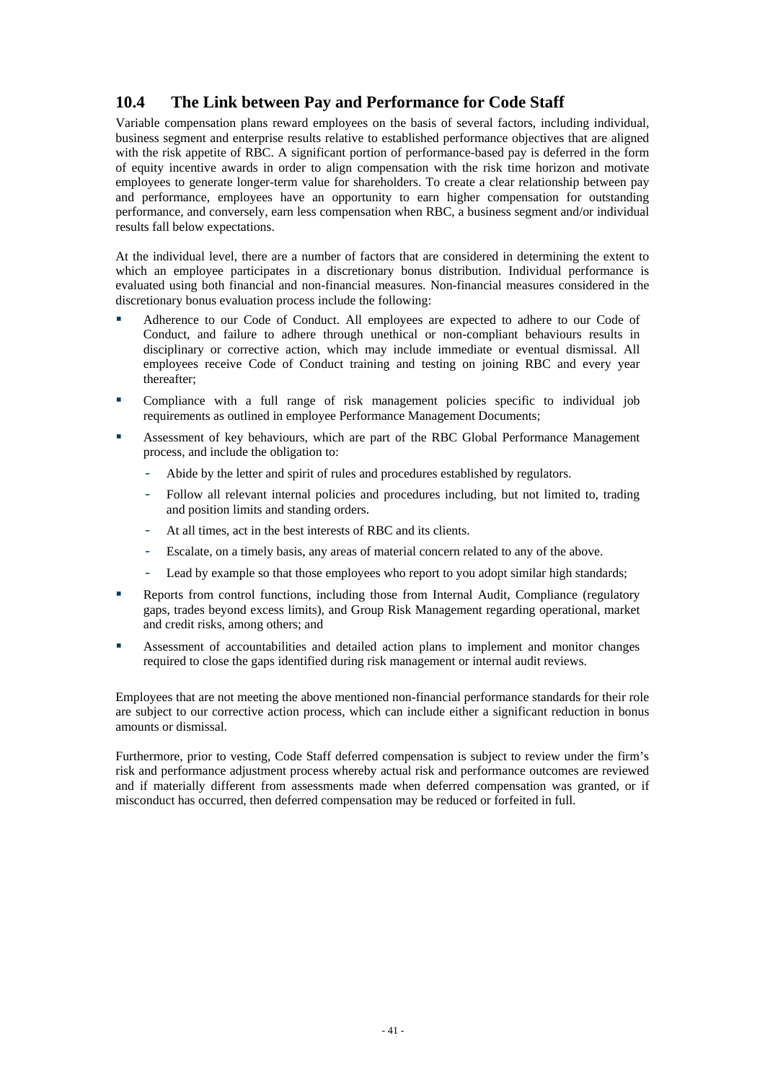## <span id="page-43-0"></span>**10.4 The Link between Pay and Performance for Code Staff**

Variable compensation plans reward employees on the basis of several factors, including individual, business segment and enterprise results relative to established performance objectives that are aligned with the risk appetite of RBC. A significant portion of performance-based pay is deferred in the form of equity incentive awards in order to align compensation with the risk time horizon and motivate employees to generate longer-term value for shareholders. To create a clear relationship between pay and performance, employees have an opportunity to earn higher compensation for outstanding performance, and conversely, earn less compensation when RBC, a business segment and/or individual results fall below expectations.

At the individual level, there are a number of factors that are considered in determining the extent to which an employee participates in a discretionary bonus distribution. Individual performance is evaluated using both financial and non-financial measures. Non-financial measures considered in the discretionary bonus evaluation process include the following:

- Adherence to our Code of Conduct. All employees are expected to adhere to our Code of Conduct, and failure to adhere through unethical or non-compliant behaviours results in disciplinary or corrective action, which may include immediate or eventual dismissal. All employees receive Code of Conduct training and testing on joining RBC and every year thereafter;
- Compliance with a full range of risk management policies specific to individual job requirements as outlined in employee Performance Management Documents;
- Assessment of key behaviours, which are part of the RBC Global Performance Management process, and include the obligation to:
	- Abide by the letter and spirit of rules and procedures established by regulators.
	- Follow all relevant internal policies and procedures including, but not limited to, trading and position limits and standing orders.
	- At all times, act in the best interests of RBC and its clients.
	- Escalate, on a timely basis, any areas of material concern related to any of the above.
	- Lead by example so that those employees who report to you adopt similar high standards;
- **Reports from control functions, including those from Internal Audit, Compliance (regulatory** gaps, trades beyond excess limits), and Group Risk Management regarding operational, market and credit risks, among others; and
- Assessment of accountabilities and detailed action plans to implement and monitor changes required to close the gaps identified during risk management or internal audit reviews.

Employees that are not meeting the above mentioned non-financial performance standards for their role are subject to our corrective action process, which can include either a significant reduction in bonus amounts or dismissal.

Furthermore, prior to vesting, Code Staff deferred compensation is subject to review under the firm's risk and performance adjustment process whereby actual risk and performance outcomes are reviewed and if materially different from assessments made when deferred compensation was granted, or if misconduct has occurred, then deferred compensation may be reduced or forfeited in full.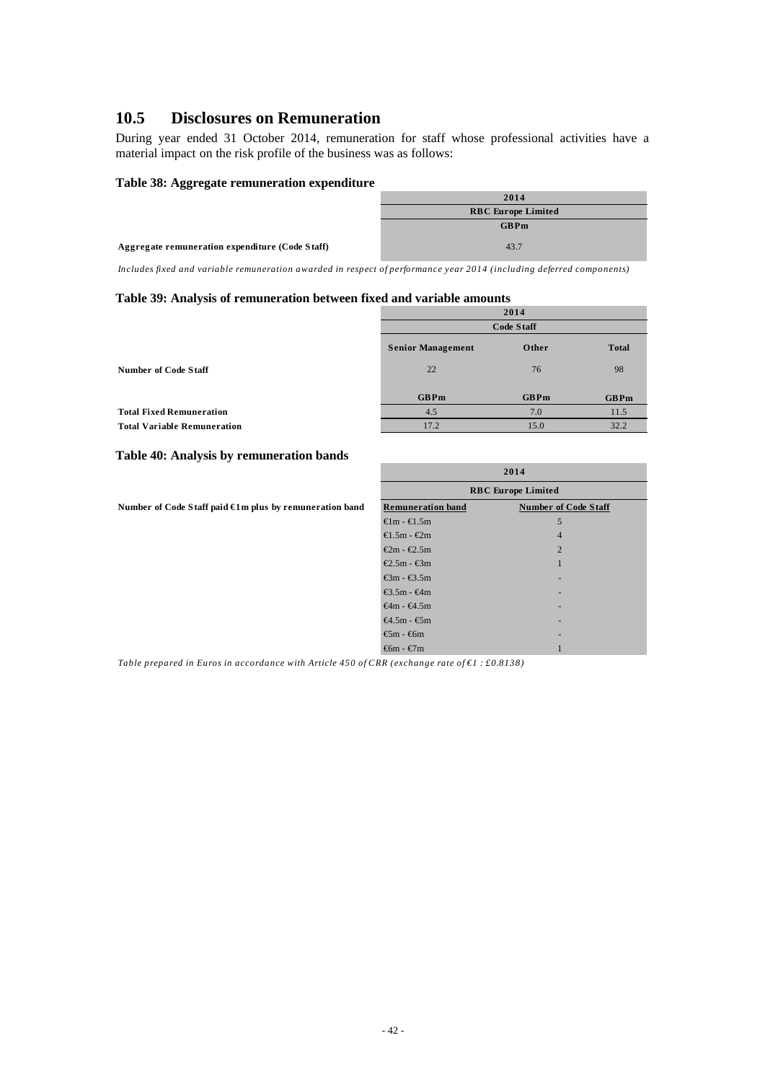## <span id="page-44-0"></span>**10.5 Disclosures on Remuneration**

During year ended 31 October 2014, remuneration for staff whose professional activities have a material impact on the risk profile of the business was as follows:

#### **Table 38: Aggregate remuneration expenditure**

|                                                 | 2014                      |
|-------------------------------------------------|---------------------------|
|                                                 | <b>RBC</b> Europe Limited |
|                                                 | <b>GBPm</b>               |
| Aggregate remuneration expenditure (Code Staff) | 43.7                      |

*Includes fixed and variable remuneration awarded in respect of performance year 2014 (including deferred components)*

#### **Table 39: Analysis of remuneration between fixed and variable amounts**

|                                    |                          | 2014        |              |
|------------------------------------|--------------------------|-------------|--------------|
|                                    | <b>Code Staff</b>        |             |              |
|                                    | <b>Senior Management</b> | Other       | <b>Total</b> |
| Number of Code Staff               | 22                       | 76          | 98           |
|                                    | <b>GBPm</b>              | <b>GBPm</b> | <b>GBPm</b>  |
| <b>Total Fixed Remuneration</b>    | 4.5                      | 7.0         | 11.5         |
| <b>Total Variable Remuneration</b> | 17.2                     | 15.0        | 32.2         |

#### **Table 40: Analysis by remuneration bands**

Number of Code Staff paid €1m plus by remuneration band

| 2014                                  |                             |  |
|---------------------------------------|-----------------------------|--|
| <b>RBC</b> Europe Limited             |                             |  |
| <b>Remuneration band</b>              | <b>Number of Code Staff</b> |  |
| $\oplus$ m - $\oplus$ .5m             | 5                           |  |
| $\bigoplus .5m - \bigoplus m$         | $\overline{4}$              |  |
| $€2m - €2.5m$                         | $\overline{2}$              |  |
| $€2.5m - €3m$                         | 1                           |  |
| $\mathcal{E}$ 3m - $\mathcal{E}$ 3.5m |                             |  |
| $\bigoplus$ .5m - $\bigoplus$ m       |                             |  |
| $\bigoplus$ m - $\bigoplus$ .5m       |                             |  |
| $\bigoplus$ 5m - $\bigoplus$ m        |                             |  |
| $\mathfrak{S}$ m - $\mathfrak{S}$ m   |                             |  |
| $\mathfrak{m}$ - $\mathfrak{m}$       |                             |  |

*Table prepared in Euros in accordance with Article 450 of CRR (exchange rate of €1 : £0.8138)*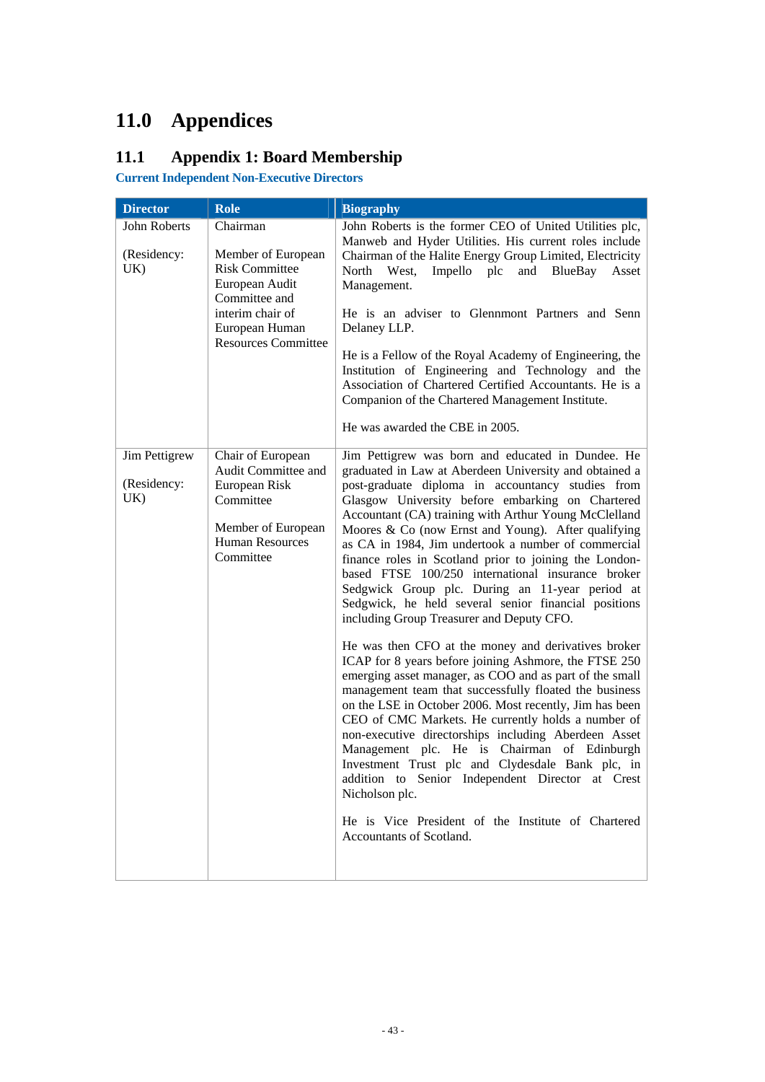# <span id="page-45-0"></span>**11.0 Appendices**

# **11.1 Appendix 1: Board Membership**

**Current Independent Non-Executive Directors** 

| <b>Director</b>                     | <b>Role</b>                                                                                                                                                    | <b>Biography</b>                                                                                                                                                                                                                                                                                                                                                                                                                                                                                                                                                                                                                                                                                                                                                                                                                                                                                                                                                                                                                                                                                                                                                                                                                                                                                                                            |
|-------------------------------------|----------------------------------------------------------------------------------------------------------------------------------------------------------------|---------------------------------------------------------------------------------------------------------------------------------------------------------------------------------------------------------------------------------------------------------------------------------------------------------------------------------------------------------------------------------------------------------------------------------------------------------------------------------------------------------------------------------------------------------------------------------------------------------------------------------------------------------------------------------------------------------------------------------------------------------------------------------------------------------------------------------------------------------------------------------------------------------------------------------------------------------------------------------------------------------------------------------------------------------------------------------------------------------------------------------------------------------------------------------------------------------------------------------------------------------------------------------------------------------------------------------------------|
| John Roberts<br>(Residency:<br>UK)  | Chairman<br>Member of European<br><b>Risk Committee</b><br>European Audit<br>Committee and<br>interim chair of<br>European Human<br><b>Resources Committee</b> | John Roberts is the former CEO of United Utilities plc,<br>Manweb and Hyder Utilities. His current roles include<br>Chairman of the Halite Energy Group Limited, Electricity<br>North West,<br>Impello plc<br>and BlueBay<br>Asset<br>Management.<br>He is an adviser to Glennmont Partners and Senn<br>Delaney LLP.<br>He is a Fellow of the Royal Academy of Engineering, the<br>Institution of Engineering and Technology and the<br>Association of Chartered Certified Accountants. He is a<br>Companion of the Chartered Management Institute.<br>He was awarded the CBE in 2005.                                                                                                                                                                                                                                                                                                                                                                                                                                                                                                                                                                                                                                                                                                                                                      |
| Jim Pettigrew<br>(Residency:<br>UK) | Chair of European<br>Audit Committee and<br>European Risk<br>Committee<br>Member of European<br><b>Human Resources</b><br>Committee                            | Jim Pettigrew was born and educated in Dundee. He<br>graduated in Law at Aberdeen University and obtained a<br>post-graduate diploma in accountancy studies from<br>Glasgow University before embarking on Chartered<br>Accountant (CA) training with Arthur Young McClelland<br>Moores & Co (now Ernst and Young). After qualifying<br>as CA in 1984, Jim undertook a number of commercial<br>finance roles in Scotland prior to joining the London-<br>based FTSE 100/250 international insurance broker<br>Sedgwick Group plc. During an 11-year period at<br>Sedgwick, he held several senior financial positions<br>including Group Treasurer and Deputy CFO.<br>He was then CFO at the money and derivatives broker<br>ICAP for 8 years before joining Ashmore, the FTSE 250<br>emerging asset manager, as COO and as part of the small<br>management team that successfully floated the business<br>on the LSE in October 2006. Most recently, Jim has been<br>CEO of CMC Markets. He currently holds a number of<br>non-executive directorships including Aberdeen Asset<br>Management plc. He is Chairman of Edinburgh<br>Investment Trust plc and Clydesdale Bank plc, in<br>addition to Senior Independent Director at Crest<br>Nicholson plc.<br>He is Vice President of the Institute of Chartered<br>Accountants of Scotland. |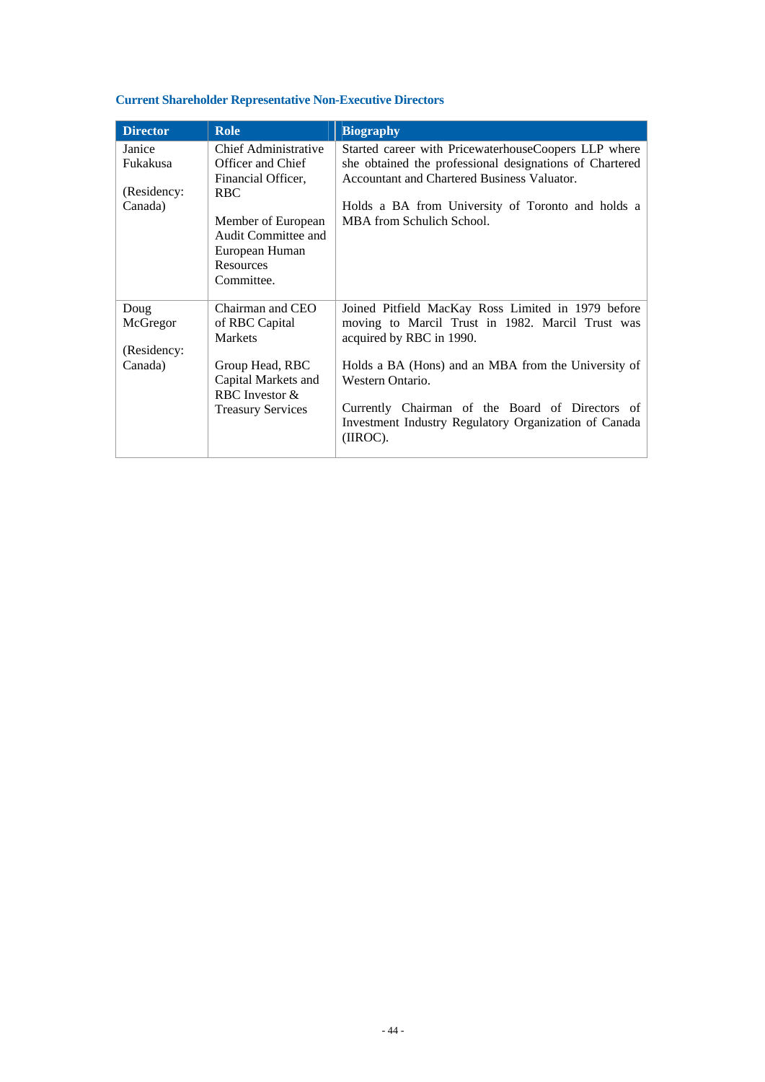## **Current Shareholder Representative Non-Executive Directors**

| <b>Director</b>                              | <b>Role</b>                                                                                                                                                                           | <b>Biography</b>                                                                                                                                                                                                                                                                                                                     |
|----------------------------------------------|---------------------------------------------------------------------------------------------------------------------------------------------------------------------------------------|--------------------------------------------------------------------------------------------------------------------------------------------------------------------------------------------------------------------------------------------------------------------------------------------------------------------------------------|
| Janice<br>Fukakusa<br>(Residency:<br>Canada) | <b>Chief Administrative</b><br>Officer and Chief<br>Financial Officer,<br><b>RBC</b><br>Member of European<br>Audit Committee and<br>European Human<br><b>Resources</b><br>Committee. | Started career with PricewaterhouseCoopers LLP where<br>she obtained the professional designations of Chartered<br>Accountant and Chartered Business Valuator.<br>Holds a BA from University of Toronto and holds a<br>MBA from Schulich School.                                                                                     |
| Doug<br>McGregor<br>(Residency:<br>Canada)   | Chairman and CEO<br>of RBC Capital<br>Markets<br>Group Head, RBC<br>Capital Markets and<br>RBC Investor &<br><b>Treasury Services</b>                                                 | Joined Pitfield MacKay Ross Limited in 1979 before<br>moving to Marcil Trust in 1982. Marcil Trust was<br>acquired by RBC in 1990.<br>Holds a BA (Hons) and an MBA from the University of<br>Western Ontario.<br>Currently Chairman of the Board of Directors of<br>Investment Industry Regulatory Organization of Canada<br>(IROC). |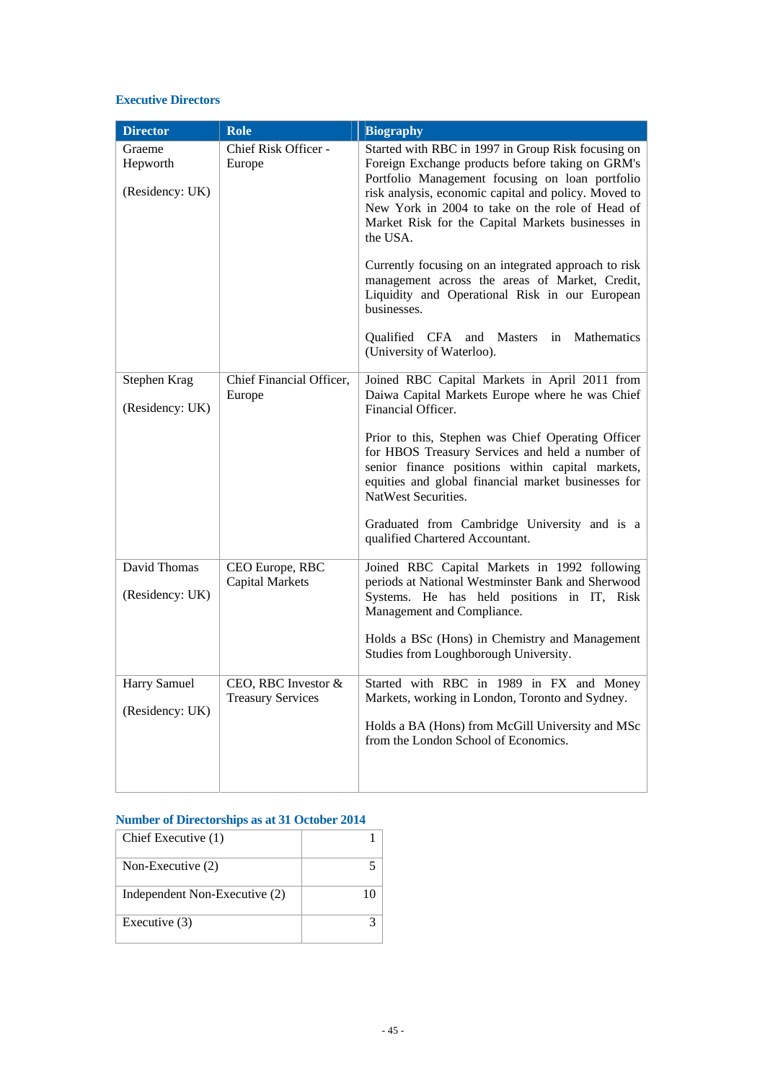#### **Executive Directors**

| <b>Director</b>                       | <b>Role</b>                                     | <b>Biography</b>                                                                                                                                                                                                                                                                                                                                                                                                                                                                                                                                                                             |
|---------------------------------------|-------------------------------------------------|----------------------------------------------------------------------------------------------------------------------------------------------------------------------------------------------------------------------------------------------------------------------------------------------------------------------------------------------------------------------------------------------------------------------------------------------------------------------------------------------------------------------------------------------------------------------------------------------|
| Graeme<br>Hepworth<br>(Residency: UK) | Chief Risk Officer -<br>Europe                  | Started with RBC in 1997 in Group Risk focusing on<br>Foreign Exchange products before taking on GRM's<br>Portfolio Management focusing on loan portfolio<br>risk analysis, economic capital and policy. Moved to<br>New York in 2004 to take on the role of Head of<br>Market Risk for the Capital Markets businesses in<br>the USA.<br>Currently focusing on an integrated approach to risk<br>management across the areas of Market, Credit,<br>Liquidity and Operational Risk in our European<br>businesses.<br>Mathematics<br>Qualified CFA and Masters in<br>(University of Waterloo). |
| Stephen Krag<br>(Residency: UK)       | Chief Financial Officer,<br>Europe              | Joined RBC Capital Markets in April 2011 from<br>Daiwa Capital Markets Europe where he was Chief<br>Financial Officer.<br>Prior to this, Stephen was Chief Operating Officer<br>for HBOS Treasury Services and held a number of<br>senior finance positions within capital markets,<br>equities and global financial market businesses for<br>NatWest Securities.<br>Graduated from Cambridge University and is a<br>qualified Chartered Accountant.                                                                                                                                         |
| David Thomas<br>(Residency: UK)       | CEO Europe, RBC<br><b>Capital Markets</b>       | Joined RBC Capital Markets in 1992 following<br>periods at National Westminster Bank and Sherwood<br>Systems. He has held positions in IT, Risk<br>Management and Compliance.<br>Holds a BSc (Hons) in Chemistry and Management<br>Studies from Loughborough University.                                                                                                                                                                                                                                                                                                                     |
| Harry Samuel<br>(Residency: UK)       | CEO, RBC Investor &<br><b>Treasury Services</b> | Started with RBC in 1989 in FX and Money<br>Markets, working in London, Toronto and Sydney.<br>Holds a BA (Hons) from McGill University and MSc<br>from the London School of Economics.                                                                                                                                                                                                                                                                                                                                                                                                      |

#### **Number of Directorships as at 31 October 2014**

| Chief Executive (1)           |    |
|-------------------------------|----|
| Non-Executive (2)             |    |
| Independent Non-Executive (2) | 10 |
| Executive (3)                 |    |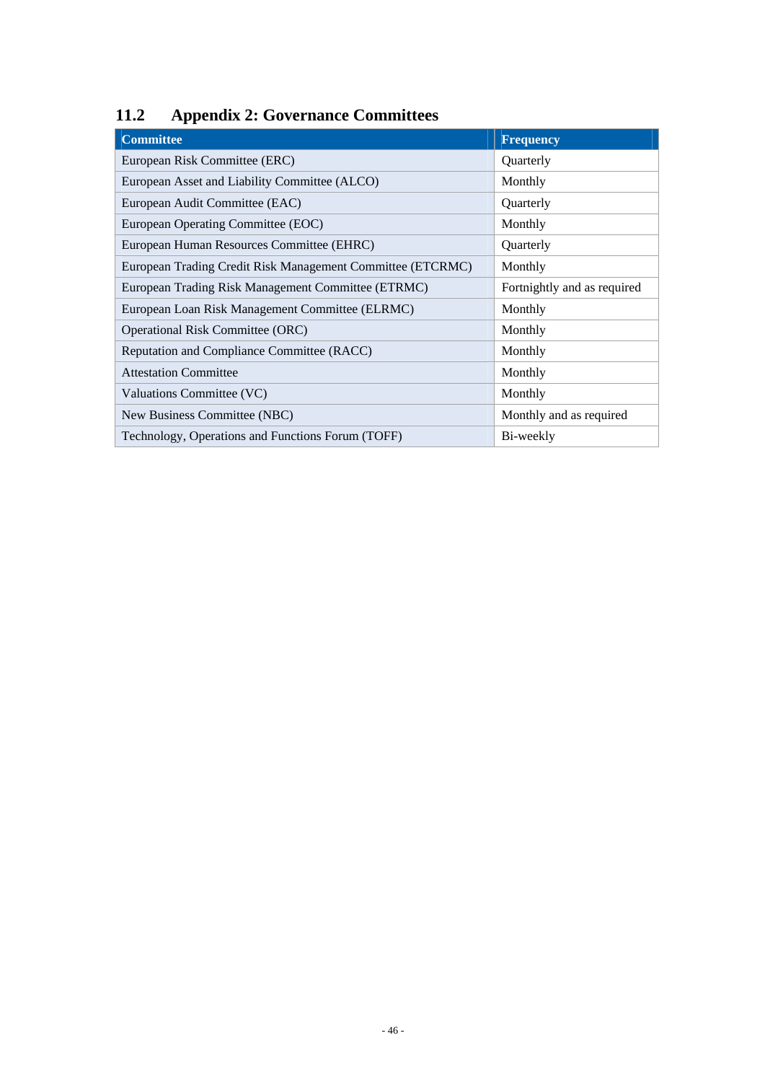# <span id="page-48-0"></span>**11.2 Appendix 2: Governance Committees**

| <b>Committee</b>                                           | <b>Frequency</b>            |
|------------------------------------------------------------|-----------------------------|
| European Risk Committee (ERC)                              | Quarterly                   |
| European Asset and Liability Committee (ALCO)              | Monthly                     |
| European Audit Committee (EAC)                             | Quarterly                   |
| European Operating Committee (EOC)                         | Monthly                     |
| European Human Resources Committee (EHRC)                  | Quarterly                   |
| European Trading Credit Risk Management Committee (ETCRMC) | Monthly                     |
| European Trading Risk Management Committee (ETRMC)         | Fortnightly and as required |
| European Loan Risk Management Committee (ELRMC)            | Monthly                     |
| <b>Operational Risk Committee (ORC)</b>                    | Monthly                     |
| Reputation and Compliance Committee (RACC)                 | Monthly                     |
| <b>Attestation Committee</b>                               | Monthly                     |
| Valuations Committee (VC)                                  | Monthly                     |
| New Business Committee (NBC)                               | Monthly and as required     |
| Technology, Operations and Functions Forum (TOFF)          | Bi-weekly                   |